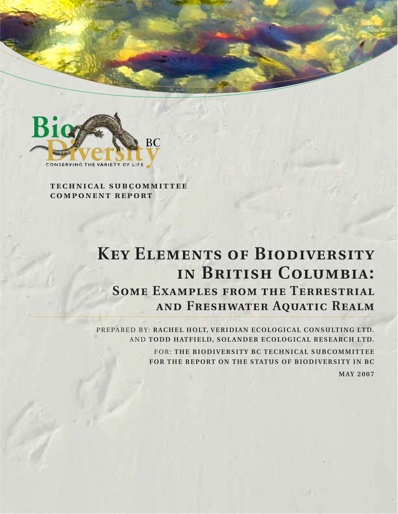

**technical subcommittee component report**

# **Key Elements of Biodiversity in British Columbia: Some Examples from the Terrestrial and Freshwater Aquatic Realm**

PREPARED BY: RACHEL HOLT, VERIDIAN ECOLOGICAL CONSULTING LTD. AND **TODD HATFIELD, SOLANDER ECOLOGICAL RESEARCH LTD.**

> FOR: **THE BIODIVERSITY BC TECHNICAL SUBCOMMITTEE FOR THE REPORT ON THE STATUS OF BIODIVERSITY IN BC**

**MAY 2007**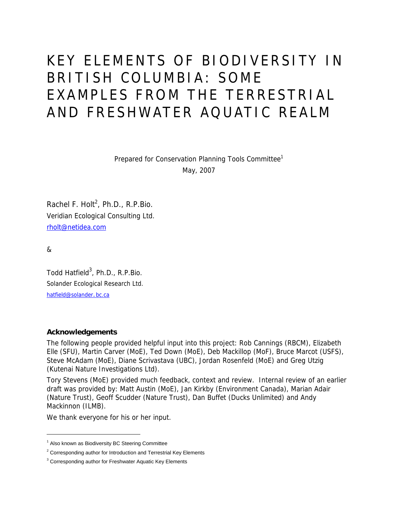# KEY ELEMENTS OF BIODIVERSITY IN BRITISH COLUMBIA: SOME EXAMPLES FROM THE TERRESTRIAL AND FRESHWATER AQUATIC REALM

Prepared for Conservation Planning Tools Committee<sup>1</sup> May, 2007

Rachel F. Holt<sup>2</sup>, Ph.D., R.P.Bio. Veridian Ecological Consulting Ltd. rholt@netidea.com

&

j

Todd Hatfield<sup>3</sup>, Ph.D., R.P.Bio. Solander Ecological Research Ltd. hatfield@solander.bc.ca

#### **Acknowledgements**

The following people provided helpful input into this project: Rob Cannings (RBCM), Elizabeth Elle (SFU), Martin Carver (MoE), Ted Down (MoE), Deb Mackillop (MoF), Bruce Marcot (USFS), Steve McAdam (MoE), Diane Scrivastava (UBC), Jordan Rosenfeld (MoE) and Greg Utzig (Kutenai Nature Investigations Ltd).

Tory Stevens (MoE) provided much feedback, context and review. Internal review of an earlier draft was provided by: Matt Austin (MoE), Jan Kirkby (Environment Canada), Marian Adair (Nature Trust), Geoff Scudder (Nature Trust), Dan Buffet (Ducks Unlimited) and Andy Mackinnon (ILMB).

We thank everyone for his or her input.

<sup>&</sup>lt;sup>1</sup> Also known as Biodiversity BC Steering Committee

 $2$  Corresponding author for Introduction and Terrestrial Key Elements

<sup>&</sup>lt;sup>3</sup> Corresponding author for Freshwater Aquatic Key Elements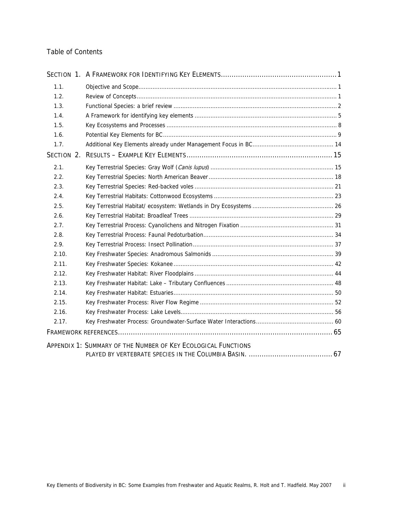# Table of Contents

| 1.1.  |                                                               |
|-------|---------------------------------------------------------------|
| 1.2.  |                                                               |
| 1.3.  |                                                               |
| 1.4.  |                                                               |
| 1.5.  |                                                               |
| 1.6.  |                                                               |
| 1.7.  |                                                               |
|       |                                                               |
| 2.1.  |                                                               |
| 2.2.  |                                                               |
| 2.3.  |                                                               |
| 2.4.  |                                                               |
| 2.5.  |                                                               |
| 2.6.  |                                                               |
| 2.7.  |                                                               |
| 2.8.  |                                                               |
| 2.9.  |                                                               |
| 2.10. |                                                               |
| 2.11. |                                                               |
| 2.12. |                                                               |
| 2.13. |                                                               |
| 2.14. |                                                               |
| 2.15. |                                                               |
| 2.16. |                                                               |
| 2.17. |                                                               |
|       |                                                               |
|       | APPENDIX 1: SUMMARY OF THE NUMBER OF KEY ECOLOGICAL FUNCTIONS |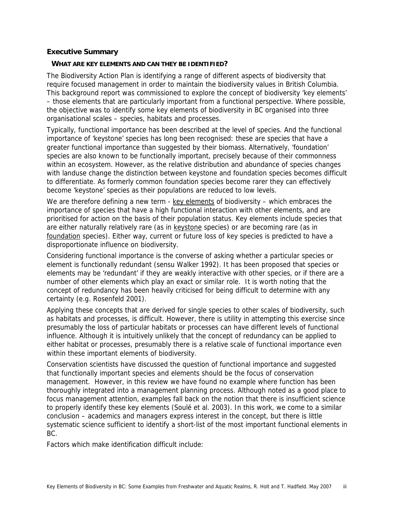#### **Executive Summary**

#### **WHAT ARE KEY ELEMENTS AND CAN THEY BE IDENTIFIED?**

The Biodiversity Action Plan is identifying a range of different aspects of biodiversity that require focused management in order to maintain the biodiversity values in British Columbia. This background report was commissioned to explore the concept of biodiversity 'key elements' – those elements that are particularly important from a functional perspective. Where possible, the objective was to identify some key elements of biodiversity in BC organised into three organisational scales – species, habitats and processes.

Typically, functional importance has been described at the level of species. And the functional importance of 'keystone' species has long been recognised: these are species that have a greater functional importance than suggested by their biomass. Alternatively, 'foundation' species are also known to be functionally important, precisely because of their commonness within an ecosystem. However, as the relative distribution and abundance of species changes with landuse change the distinction between keystone and foundation species becomes difficult to differentiate. As formerly common foundation species become rarer they can effectively become 'keystone' species as their populations are reduced to low levels.

We are therefore defining a new term - key elements of biodiversity – which embraces the importance of species that have a high functional interaction with other elements, and are prioritised for action on the basis of their population status. Key elements include species that are either naturally relatively rare (as in keystone species) or are becoming rare (as in foundation species). Either way, current or future loss of key species is predicted to have a disproportionate influence on biodiversity.

Considering functional importance is the converse of asking whether a particular species or element is functionally redundant (sensu Walker 1992). It has been proposed that species or elements may be 'redundant' if they are weakly interactive with other species, or if there are a number of other elements which play an exact or similar role. It is worth noting that the concept of redundancy has been heavily criticised for being difficult to determine with any certainty (e.g. Rosenfeld 2001).

Applying these concepts that are derived for single species to other scales of biodiversity, such as habitats and processes, is difficult. However, there is utility in attempting this exercise since presumably the loss of particular habitats or processes can have different levels of functional influence. Although it is intuitively unlikely that the concept of redundancy can be applied to either habitat or processes, presumably there is a relative scale of functional importance even within these important elements of biodiversity.

Conservation scientists have discussed the question of functional importance and suggested that functionally important species and elements should be the focus of conservation management. However, in this review we have found no example where function has been thoroughly integrated into a management planning process. Although noted as a good place to focus management attention, examples fall back on the notion that there is insufficient science to properly identify these key elements (Soulé et al. 2003). In this work, we come to a similar conclusion – academics and managers express interest in the concept, but there is little systematic science sufficient to identify a short-list of the most important functional elements in BC.

Factors which make identification difficult include: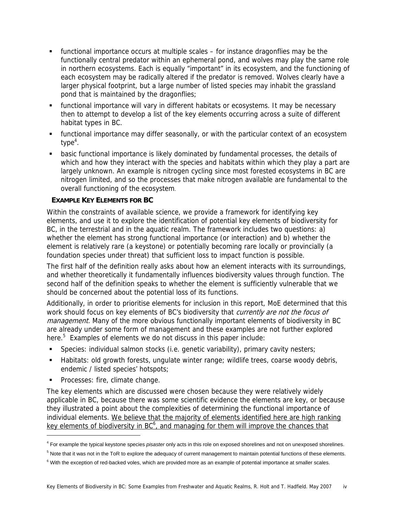- functional importance occurs at multiple scales for instance dragonflies may be the functionally central predator within an ephemeral pond, and wolves may play the same role in northern ecosystems. Each is equally "important" in its ecosystem, and the functioning of each ecosystem may be radically altered if the predator is removed. Wolves clearly have a larger physical footprint, but a large number of listed species may inhabit the grassland pond that is maintained by the dragonflies;
- functional importance will vary in different habitats or ecosystems. It may be necessary then to attempt to develop a list of the key elements occurring across a suite of different habitat types in BC.
- functional importance may differ seasonally, or with the particular context of an ecosystem type<sup>4</sup>.
- basic functional importance is likely dominated by fundamental processes, the details of which and how they interact with the species and habitats within which they play a part are largely unknown. An example is nitrogen cycling since most forested ecosystems in BC are nitrogen limited, and so the processes that make nitrogen available are fundamental to the overall functioning of the ecosystem.

# **EXAMPLE KEY ELEMENTS FOR BC**

Within the constraints of available science, we provide a framework for identifying key elements, and use it to explore the identification of potential key elements of biodiversity for BC, in the terrestrial and in the aquatic realm. The framework includes two questions: a) whether the element has strong functional importance (or interaction) and b) whether the element is relatively rare (a keystone) or potentially becoming rare locally or provincially (a foundation species under threat) that sufficient loss to impact function is possible.

The first half of the definition really asks about how an element interacts with its surroundings, and whether theoretically it fundamentally influences biodiversity values through function. The second half of the definition speaks to whether the element is sufficiently vulnerable that we should be concerned about the potential loss of its functions.

Additionally, in order to prioritise elements for inclusion in this report, MoE determined that this work should focus on key elements of BC's biodiversity that currently are not the focus of management. Many of the more obvious functionally important elements of biodiversity in BC are already under some form of management and these examples are not further explored here.<sup>5</sup> Examples of elements we do not discuss in this paper include:

- Species: individual salmon stocks (i.e. genetic variability), primary cavity nesters;
- Habitats: old growth forests, ungulate winter range; wildlife trees, coarse woody debris, endemic / listed species' hotspots;
- **Processes: fire, climate change.**

 $\overline{a}$ 

The key elements which are discussed were chosen because they were relatively widely applicable in BC, because there was some scientific evidence the elements are key, or because they illustrated a point about the complexities of determining the functional importance of individual elements. We believe that the majority of elements identified here are high ranking key elements of biodiversity in  $BC<sup>6</sup>$ , and managing for them will improve the chances that

<sup>4</sup> For example the typical keystone species *pisaster* only acts in this role on exposed shorelines and not on unexposed shorelines.

<sup>&</sup>lt;sup>5</sup> Note that it was not in the ToR to explore the adequacy of current management to maintain potential functions of these elements.

<sup>&</sup>lt;sup>6</sup> With the exception of red-backed voles, which are provided more as an example of potential importance at smaller scales.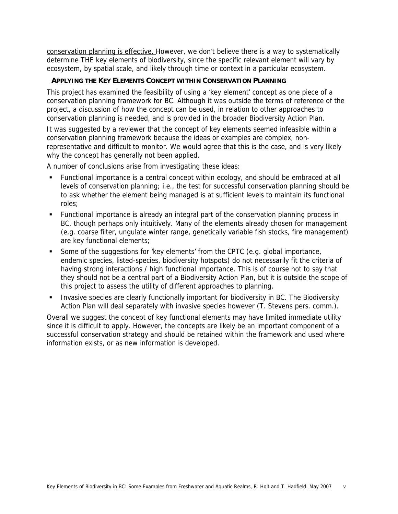conservation planning is effective. However, we don't believe there is a way to systematically determine THE key elements of biodiversity, since the specific relevant element will vary by ecosystem, by spatial scale, and likely through time or context in a particular ecosystem.

# **APPLYING THE KEY ELEMENTS CONCEPT WITHIN CONSERVATION PLANNING**

This project has examined the feasibility of using a 'key element' concept as one piece of a conservation planning framework for BC. Although it was outside the terms of reference of the project, a discussion of how the concept can be used, in relation to other approaches to conservation planning is needed, and is provided in the broader Biodiversity Action Plan.

It was suggested by a reviewer that the concept of key elements seemed infeasible within a conservation planning framework because the ideas or examples are complex, nonrepresentative and difficult to monitor. We would agree that this is the case, and is very likely why the concept has generally not been applied.

A number of conclusions arise from investigating these ideas:

- Functional importance is a central concept within ecology, and should be embraced at all levels of conservation planning; i.e., the test for successful conservation planning should be to ask whether the element being managed is at sufficient levels to maintain its functional roles;
- Functional importance is already an integral part of the conservation planning process in BC, though perhaps only intuitively. Many of the elements already chosen for management (e.g. coarse filter, ungulate winter range, genetically variable fish stocks, fire management) are key functional elements;
- Some of the suggestions for 'key elements' from the CPTC (e.g. global importance, endemic species, listed-species, biodiversity hotspots) do not necessarily fit the criteria of having strong interactions / high functional importance. This is of course not to say that they should not be a central part of a Biodiversity Action Plan, but it is outside the scope of this project to assess the utility of different approaches to planning.
- **Invasive species are clearly functionally important for biodiversity in BC. The Biodiversity** Action Plan will deal separately with invasive species however (T. Stevens pers. comm.).

Overall we suggest the concept of key functional elements may have limited immediate utility since it is difficult to apply. However, the concepts are likely be an important component of a successful conservation strategy and should be retained within the framework and used where information exists, or as new information is developed.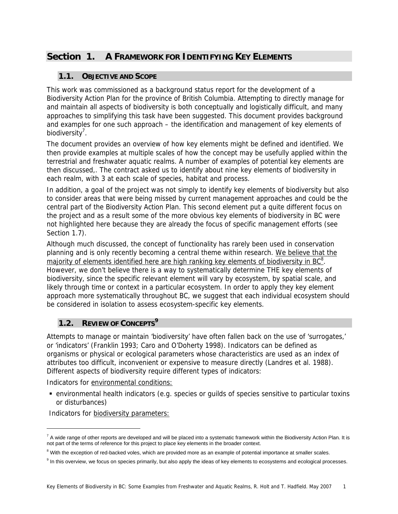# **Section 1. A FRAMEWORK FOR IDENTIFYING KEY ELEMENTS**

# **1.1. OBJECTIVE AND SCOPE**

This work was commissioned as a background status report for the development of a Biodiversity Action Plan for the province of British Columbia. Attempting to directly manage for and maintain all aspects of biodiversity is both conceptually and logistically difficult, and many approaches to simplifying this task have been suggested. This document provides background and examples for one such approach – the identification and management of key elements of biodiversity<sup>7</sup>.

The document provides an overview of how key elements might be defined and identified. We then provide examples at multiple scales of how the concept may be usefully applied within the terrestrial and freshwater aquatic realms. A number of examples of potential key elements are then discussed,. The contract asked us to identify about nine key elements of biodiversity in each realm, with 3 at each scale of species, habitat and process.

In addition, a goal of the project was not simply to identify key elements of biodiversity but also to consider areas that were being missed by current management approaches and could be the central part of the Biodiversity Action Plan. This second element put a quite different focus on the project and as a result some of the more obvious key elements of biodiversity in BC were not highlighted here because they are already the focus of specific management efforts (see Section 1.7).

Although much discussed, the concept of functionality has rarely been used in conservation planning and is only recently becoming a central theme within research. We believe that the majority of elements identified here are high ranking key elements of biodiversity in  $BC<sup>8</sup>$ . However, we don't believe there is a way to systematically determine THE key elements of biodiversity, since the specific relevant element will vary by ecosystem, by spatial scale, and likely through time or context in a particular ecosystem. In order to apply they key element approach more systematically throughout BC, we suggest that each individual ecosystem should be considered in isolation to assess ecosystem-specific key elements.

# **1.2. REVIEW OF CONCEPTS<sup>9</sup>**

Attempts to manage or maintain 'biodiversity' have often fallen back on the use of 'surrogates,' or 'indicators' (Franklin 1993; Caro and O'Doherty 1998). Indicators can be defined as organisms or physical or ecological parameters whose characteristics are used as an index of attributes too difficult, inconvenient or expensive to measure directly (Landres et al. 1988). Different aspects of biodiversity require different types of indicators:

Indicators for environmental conditions:

 environmental health indicators (e.g. species or guilds of species sensitive to particular toxins or disturbances)

Indicators for biodiversity parameters:

-

 $^7$  A wide range of other reports are developed and will be placed into a systematic framework within the Biodiversity Action Plan. It is not part of the terms of reference for this project to place key elements in the broader context.

<sup>&</sup>lt;sup>8</sup> With the exception of red-backed voles, which are provided more as an example of potential importance at smaller scales.

<sup>&</sup>lt;sup>9</sup> In this overview, we focus on species primarily, but also apply the ideas of key elements to ecosystems and ecological processes.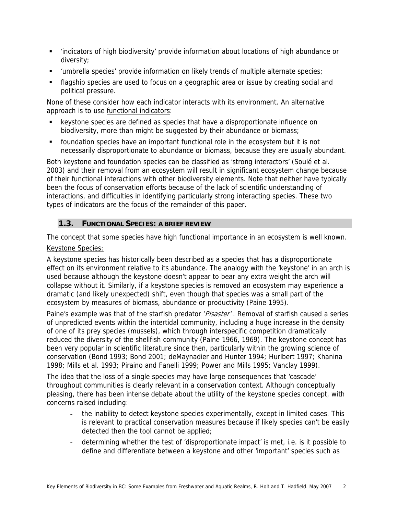- 'indicators of high biodiversity' provide information about locations of high abundance or diversity;
- 'umbrella species' provide information on likely trends of multiple alternate species;
- flagship species are used to focus on a geographic area or issue by creating social and political pressure.

None of these consider how each indicator interacts with its environment. An alternative approach is to use functional indicators:

- keystone species are defined as species that have a disproportionate influence on biodiversity, more than might be suggested by their abundance or biomass;
- foundation species have an important functional role in the ecosystem but it is not necessarily disproportionate to abundance or biomass, because they are usually abundant.

Both keystone and foundation species can be classified as 'strong interactors' (Soulé et al. 2003) and their removal from an ecosystem will result in significant ecosystem change because of their functional interactions with other biodiversity elements. Note that neither have typically been the focus of conservation efforts because of the lack of scientific understanding of interactions, and difficulties in identifying particularly strong interacting species. These two types of indicators are the focus of the remainder of this paper.

# **1.3. FUNCTIONAL SPECIES: A BRIEF REVIEW**

The concept that some species have high functional importance in an ecosystem is well known. Keystone Species:

A keystone species has historically been described as a species that has a disproportionate effect on its environment relative to its abundance. The analogy with the 'keystone' in an arch is used because although the keystone doesn't appear to bear any extra weight the arch will collapse without it. Similarly, if a keystone species is removed an ecosystem may experience a dramatic (and likely unexpected) shift, even though that species was a small part of the ecosystem by measures of biomass, abundance or productivity (Paine 1995).

Paine's example was that of the starfish predator 'Pisaster'. Removal of starfish caused a series of unpredicted events within the intertidal community, including a huge increase in the density of one of its prey species (mussels), which through interspecific competition dramatically reduced the diversity of the shellfish community (Paine 1966, 1969). The keystone concept has been very popular in scientific literature since then, particularly within the growing science of conservation (Bond 1993; Bond 2001; deMaynadier and Hunter 1994; Hurlbert 1997; Khanina 1998; Mills et al. 1993; Piraino and Fanelli 1999; Power and Mills 1995; Vanclay 1999).

The idea that the loss of a single species may have large consequences that 'cascade' throughout communities is clearly relevant in a conservation context. Although conceptually pleasing, there has been intense debate about the utility of the keystone species concept, with concerns raised including:

- the inability to detect keystone species experimentally, except in limited cases. This is relevant to practical conservation measures because if likely species can't be easily detected then the tool cannot be applied;
- determining whether the test of 'disproportionate impact' is met, i.e. is it possible to define and differentiate between a keystone and other 'important' species such as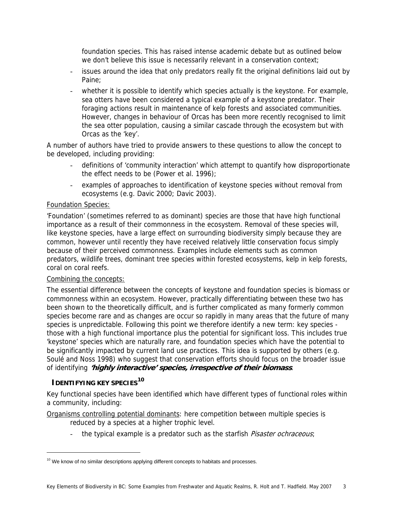foundation species. This has raised intense academic debate but as outlined below we don't believe this issue is necessarily relevant in a conservation context;

- issues around the idea that only predators really fit the original definitions laid out by Paine;
- whether it is possible to identify which species actually is the keystone. For example, sea otters have been considered a typical example of a keystone predator. Their foraging actions result in maintenance of kelp forests and associated communities. However, changes in behaviour of Orcas has been more recently recognised to limit the sea otter population, causing a similar cascade through the ecosystem but with Orcas as the 'key'.

A number of authors have tried to provide answers to these questions to allow the concept to be developed, including providing:

- definitions of 'community interaction' which attempt to quantify how disproportionate the effect needs to be (Power et al. 1996);
- examples of approaches to identification of keystone species without removal from ecosystems (e.g. Davic 2000; Davic 2003).

# Foundation Species:

'Foundation' (sometimes referred to as dominant) species are those that have high functional importance as a result of their commonness in the ecosystem. Removal of these species will, like keystone species, have a large effect on surrounding biodiversity simply because they are common, however until recently they have received relatively little conservation focus simply because of their perceived commonness. Examples include elements such as common predators, wildlife trees, dominant tree species within forested ecosystems, kelp in kelp forests, coral on coral reefs.

# Combining the concepts:

The essential difference between the concepts of keystone and foundation species is biomass or commonness within an ecosystem. However, practically differentiating between these two has been shown to the theoretically difficult, and is further complicated as many formerly common species become rare and as changes are occur so rapidly in many areas that the future of many species is unpredictable. Following this point we therefore identify a new term: key species those with a high functional importance plus the potential for significant loss. This includes true 'keystone' species which are naturally rare, and foundation species which have the potential to be significantly impacted by current land use practices. This idea is supported by others (e.g. Soulé and Noss 1998) who suggest that conservation efforts should focus on the broader issue of identifying **'highly interactive' species, irrespective of their biomass**.

# **IDENTIFYING KEY SPECIES<sup>10</sup>**

-

Key functional species have been identified which have different types of functional roles within a community, including:

Organisms controlling potential dominants: here competition between multiple species is reduced by a species at a higher trophic level.

- the typical example is a predator such as the starfish *Pisaster ochraceous*;

 $10$  We know of no similar descriptions applying different concepts to habitats and processes.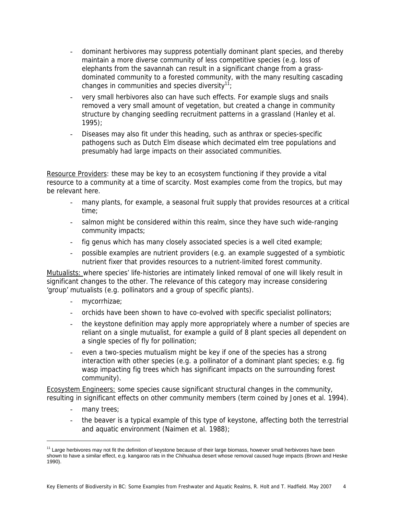- dominant herbivores may suppress potentially dominant plant species, and thereby maintain a more diverse community of less competitive species (e.g. loss of elephants from the savannah can result in a significant change from a grassdominated community to a forested community, with the many resulting cascading changes in communities and species diversity<sup>11</sup>;
- very small herbivores also can have such effects. For example slugs and snails removed a very small amount of vegetation, but created a change in community structure by changing seedling recruitment patterns in a grassland (Hanley et al. 1995);
- Diseases may also fit under this heading, such as anthrax or species-specific pathogens such as Dutch Elm disease which decimated elm tree populations and presumably had large impacts on their associated communities.

Resource Providers: these may be key to an ecosystem functioning if they provide a vital resource to a community at a time of scarcity. Most examples come from the tropics, but may be relevant here.

- many plants, for example, a seasonal fruit supply that provides resources at a critical time;
- salmon might be considered within this realm, since they have such wide-ranging community impacts;
- fig genus which has many closely associated species is a well cited example;
- possible examples are nutrient providers (e.g. an example suggested of a symbiotic nutrient fixer that provides resources to a nutrient-limited forest community.

Mutualists: where species' life-histories are intimately linked removal of one will likely result in significant changes to the other. The relevance of this category may increase considering 'group' mutualists (e.g. pollinators and a group of specific plants).

- mycorrhizae;
- orchids have been shown to have co-evolved with specific specialist pollinators;
- the keystone definition may apply more appropriately where a number of species are reliant on a single mutualist, for example a guild of 8 plant species all dependent on a single species of fly for pollination;
- even a two-species mutualism might be key if one of the species has a strong interaction with other species (e.g. a pollinator of a dominant plant species; e.g. fig wasp impacting fig trees which has significant impacts on the surrounding forest community).

Ecosystem Engineers: some species cause significant structural changes in the community, resulting in significant effects on other community members (term coined by Jones et al. 1994).

- many trees;

j

- the beaver is a typical example of this type of keystone, affecting both the terrestrial and aquatic environment (Naimen et al. 1988);

<sup>&</sup>lt;sup>11</sup> Large herbivores may not fit the definition of keystone because of their large biomass, however small herbivores have been shown to have a similar effect, e.g. kangaroo rats in the Chihuahua desert whose removal caused huge impacts (Brown and Heske 1990).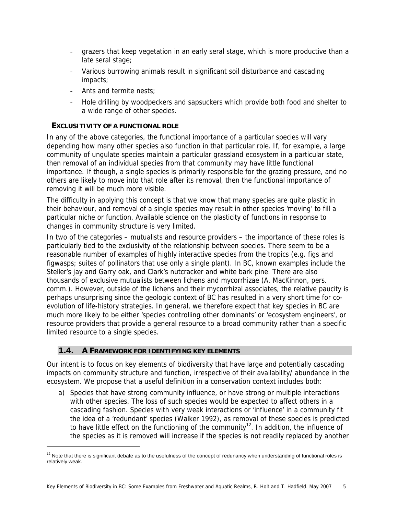- grazers that keep vegetation in an early seral stage, which is more productive than a late seral stage;
- Various burrowing animals result in significant soil disturbance and cascading impacts;
- Ants and termite nests;
- Hole drilling by woodpeckers and sapsuckers which provide both food and shelter to a wide range of other species.

# **EXCLUSITIVITY OF A FUNCTIONAL ROLE**

In any of the above categories, the functional importance of a particular species will vary depending how many other species also function in that particular role. If, for example, a large community of ungulate species maintain a particular grassland ecosystem in a particular state, then removal of an individual species from that community may have little functional importance. If though, a single species is primarily responsible for the grazing pressure, and no others are likely to move into that role after its removal, then the functional importance of removing it will be much more visible.

The difficulty in applying this concept is that we know that many species are quite plastic in their behaviour, and removal of a single species may result in other species 'moving' to fill a particular niche or function. Available science on the plasticity of functions in response to changes in community structure is very limited.

In two of the categories – mutualists and resource providers – the importance of these roles is particularly tied to the exclusivity of the relationship between species. There seem to be a reasonable number of examples of highly interactive species from the tropics (e.g. figs and figwasps; suites of pollinators that use only a single plant). In BC, known examples include the Steller's jay and Garry oak, and Clark's nutcracker and white bark pine. There are also thousands of exclusive mutualists between lichens and mycorrhizae (A. MacKinnon, pers. comm.). However, outside of the lichens and their mycorrhizal associates, the relative paucity is perhaps unsurprising since the geologic context of BC has resulted in a very short time for coevolution of life-history strategies. In general, we therefore expect that key species in BC are much more likely to be either 'species controlling other dominants' or 'ecosystem engineers', or resource providers that provide a general resource to a broad community rather than a specific limited resource to a single species.

# **1.4. A FRAMEWORK FOR IDENTIFYING KEY ELEMENTS**

-

Our intent is to focus on key elements of biodiversity that have large and potentially cascading impacts on community structure and function, irrespective of their availability/ abundance in the ecosystem. We propose that a useful definition in a conservation context includes both:

a) Species that have strong community influence, or have strong or multiple interactions with other species. The loss of such species would be expected to affect others in a cascading fashion. Species with very weak interactions or 'influence' in a community fit the idea of a 'redundant' species (Walker 1992), as removal of these species is predicted to have little effect on the functioning of the community<sup>12</sup>. In addition, the influence of the species as it is removed will increase if the species is not readily replaced by another

 $12$  Note that there is significant debate as to the usefulness of the concept of redunancy when understanding of functional roles is relatively weak.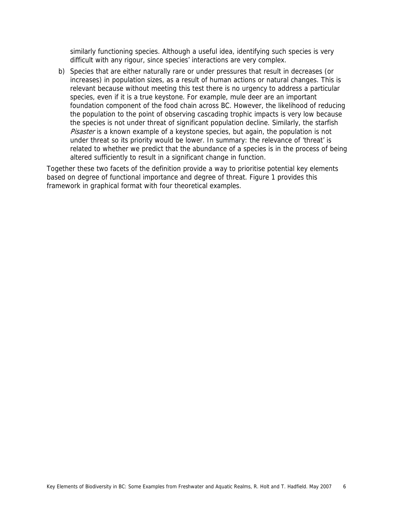similarly functioning species. Although a useful idea, identifying such species is very difficult with any rigour, since species' interactions are very complex.

b) Species that are either naturally rare or under pressures that result in decreases (or increases) in population sizes, as a result of human actions or natural changes. This is relevant because without meeting this test there is no urgency to address a particular species, even if it is a true keystone. For example, mule deer are an important foundation component of the food chain across BC. However, the likelihood of reducing the population to the point of observing cascading trophic impacts is very low because the species is not under threat of significant population decline. Similarly, the starfish Pisaster is a known example of a keystone species, but again, the population is not under threat so its priority would be lower. In summary: the relevance of 'threat' is related to whether we predict that the abundance of a species is in the process of being altered sufficiently to result in a significant change in function.

Together these two facets of the definition provide a way to prioritise potential key elements based on degree of functional importance and degree of threat. Figure 1 provides this framework in graphical format with four theoretical examples.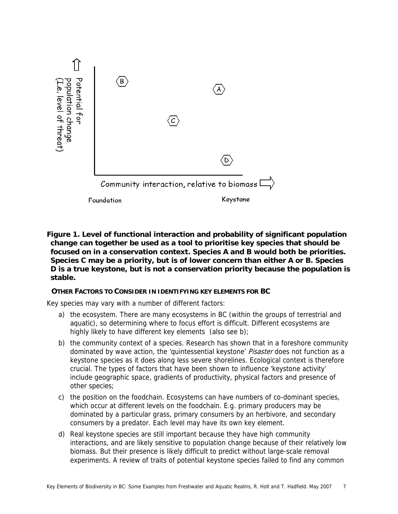

**Figure 1. Level of functional interaction and probability of significant population change can together be used as a tool to prioritise key species that should be focused on in a conservation context. Species A and B would both be priorities. Species C may be a priority, but is of lower concern than either A or B. Species D is a true keystone, but is not a conservation priority because the population is stable.** 

# **OTHER FACTORS TO CONSIDER IN IDENTIFYING KEY ELEMENTS FOR BC**

Key species may vary with a number of different factors:

- a) the ecosystem. There are many ecosystems in BC (within the groups of terrestrial and aquatic), so determining where to focus effort is difficult. Different ecosystems are highly likely to have different key elements (also see b);
- b) the community context of a species. Research has shown that in a foreshore community dominated by wave action, the 'quintessential keystone' Pisaster does not function as a keystone species as it does along less severe shorelines. Ecological context is therefore crucial. The types of factors that have been shown to influence 'keystone activity' include geographic space, gradients of productivity, physical factors and presence of other species;
- c) the position on the foodchain. Ecosystems can have numbers of co-dominant species, which occur at different levels on the foodchain. E.g. primary producers may be dominated by a particular grass, primary consumers by an herbivore, and secondary consumers by a predator. Each level may have its own key element.
- d) Real keystone species are still important because they have high community interactions, and are likely sensitive to population change because of their relatively low biomass. But their presence is likely difficult to predict without large-scale removal experiments. A review of traits of potential keystone species failed to find any common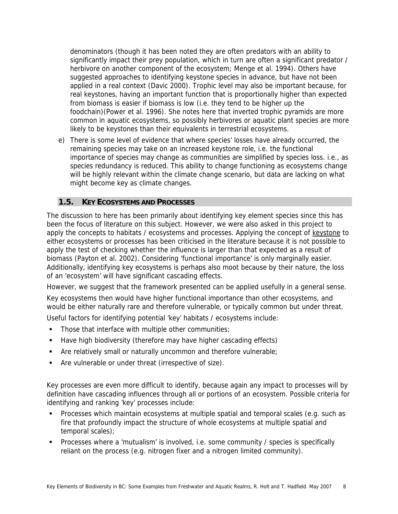denominators (though it has been noted they are often predators with an ability to significantly impact their prey population, which in turn are often a significant predator / herbivore on another component of the ecosystem; Menge et al. 1994). Others have suggested approaches to identifying keystone species in advance, but have not been applied in a real context (Davic 2000). Trophic level may also be important because, for real keystones, having an important function that is proportionally higher than expected from biomass is easier if biomass is low (i.e. they tend to be higher up the foodchain)(Power et al. 1996). She notes here that inverted trophic pyramids are more common in aquatic ecosystems, so possibly herbivores or aquatic plant species are more likely to be keystones than their equivalents in terrestrial ecosystems.

e) There is some level of evidence that where species' losses have already occurred, the remaining species may take on an increased keystone role, i.e. the functional importance of species may change as communities are simplified by species loss. i.e., as species redundancy is reduced. This ability to change functioning as ecosystems change will be highly relevant within the climate change scenario, but data are lacking on what might become key as climate changes.

# **1.5. KEY ECOSYSTEMS AND PROCESSES**

The discussion to here has been primarily about identifying key element species since this has been the focus of literature on this subject. However, we were also asked in this project to apply the concepts to habitats / ecosystems and processes. Applying the concept of keystone to either ecosystems or processes has been criticised in the literature because it is not possible to apply the test of checking whether the influence is larger than that expected as a result of biomass (Payton et al. 2002). Considering 'functional importance' is only marginally easier. Additionally, identifying key ecosystems is perhaps also moot because by their nature, the loss of an 'ecosystem' will have significant cascading effects.

However, we suggest that the framework presented can be applied usefully in a general sense.

Key ecosystems then would have higher functional importance than other ecosystems, and would be either naturally rare and therefore vulnerable, or typically common but under threat.

Useful factors for identifying potential 'key' habitats / ecosystems include:

- Those that interface with multiple other communities;
- Have high biodiversity (therefore may have higher cascading effects)
- **EXTERNIM** Are relatively small or naturally uncommon and therefore vulnerable;
- Are vulnerable or under threat (irrespective of size).

Key processes are even more difficult to identify, because again any impact to processes will by definition have cascading influences through all or portions of an ecosystem. Possible criteria for identifying and ranking 'key' processes include:

- **Processes which maintain ecosystems at multiple spatial and temporal scales (e.g. such as** fire that profoundly impact the structure of whole ecosystems at multiple spatial and temporal scales);
- **Processes where a 'mutualism' is involved, i.e. some community / species is specifically** reliant on the process (e.g. nitrogen fixer and a nitrogen limited community).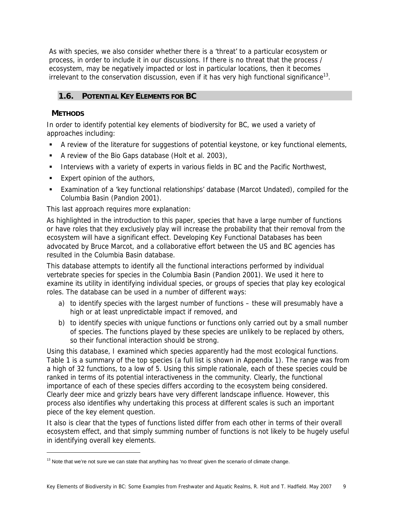As with species, we also consider whether there is a 'threat' to a particular ecosystem or process, in order to include it in our discussions. If there is no threat that the process / ecosystem, may be negatively impacted or lost in particular locations, then it becomes irrelevant to the conservation discussion, even if it has very high functional significance<sup>13</sup>.

# **1.6. POTENTIAL KEY ELEMENTS FOR BC**

# **METHODS**

-

In order to identify potential key elements of biodiversity for BC, we used a variety of approaches including:

- A review of the literature for suggestions of potential keystone, or key functional elements,
- A review of the Bio Gaps database (Holt et al. 2003),
- **Interviews with a variety of experts in various fields in BC and the Pacific Northwest,**
- **Expert opinion of the authors,**
- Examination of a 'key functional relationships' database (Marcot Undated), compiled for the Columbia Basin (Pandion 2001).

This last approach requires more explanation:

As highlighted in the introduction to this paper, species that have a large number of functions or have roles that they exclusively play will increase the probability that their removal from the ecosystem will have a significant effect. Developing Key Functional Databases has been advocated by Bruce Marcot, and a collaborative effort between the US and BC agencies has resulted in the Columbia Basin database.

This database attempts to identify all the functional interactions performed by individual vertebrate species for species in the Columbia Basin (Pandion 2001). We used it here to examine its utility in identifying individual species, or groups of species that play key ecological roles. The database can be used in a number of different ways:

- a) to identify species with the largest number of functions these will presumably have a high or at least unpredictable impact if removed, and
- b) to identify species with unique functions or functions only carried out by a small number of species. The functions played by these species are unlikely to be replaced by others, so their functional interaction should be strong.

Using this database, I examined which species apparently had the most ecological functions. Table 1 is a summary of the top species (a full list is shown in Appendix 1). The range was from a high of 32 functions, to a low of 5. Using this simple rationale, each of these species could be ranked in terms of its potential interactiveness in the community. Clearly, the functional importance of each of these species differs according to the ecosystem being considered. Clearly deer mice and grizzly bears have very different landscape influence. However, this process also identifies why undertaking this process at different scales is such an important piece of the key element question.

It also is clear that the types of functions listed differ from each other in terms of their overall ecosystem effect, and that simply summing number of functions is not likely to be hugely useful in identifying overall key elements.

 $13$  Note that we're not sure we can state that anything has 'no threat' given the scenario of climate change.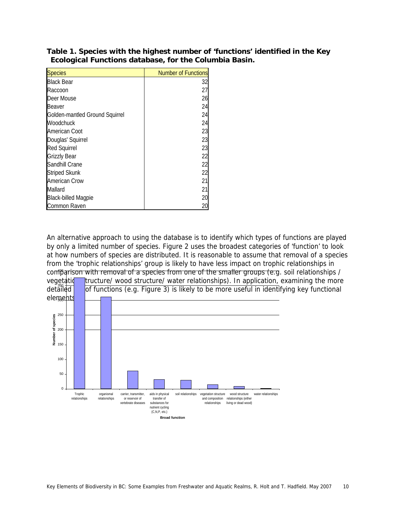| <b>Species</b>                 | <b>Number of Functions</b> |
|--------------------------------|----------------------------|
| <b>Black Bear</b>              | 32                         |
| Raccoon                        | 27                         |
| Deer Mouse                     | 26                         |
| Beaver                         | 24                         |
| Golden-mantled Ground Squirrel | 24                         |
| Woodchuck                      | 24                         |
| American Coot                  | 23                         |
| Douglas' Squirrel              | 23                         |
| <b>Red Squirrel</b>            | 23                         |
| <b>Grizzly Bear</b>            | 22                         |
| Sandhill Crane                 | 22                         |
| <b>Striped Skunk</b>           | 22                         |
| <b>American Crow</b>           | 21                         |
| Mallard                        | 21                         |
| <b>Black-billed Magpie</b>     | 20                         |
| Common Raven                   | 20                         |

**Table 1. Species with the highest number of 'functions' identified in the Key Ecological Functions database, for the Columbia Basin.** 

An alternative approach to using the database is to identify which types of functions are played by only a limited number of species. Figure 2 uses the broadest categories of 'function' to look at how numbers of species are distributed. It is reasonable to assume that removal of a species from the 'trophic relationships' group is likely to have less impact on trophic relationships in comparison with removal of a species from one of the smaller groups (e.g. soil relationships / vegetatic**on tructure/ wood structure/ water relationships)**. In application, examining the more

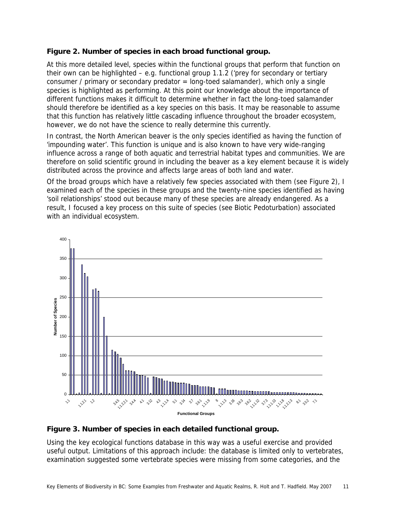# **Figure 2. Number of species in each broad functional group.**

At this more detailed level, species within the functional groups that perform that function on their own can be highlighted  $-$  e.g. functional group 1.1.2 ('prey for secondary or tertiary consumer / primary or secondary predator = long-toed salamander), which only a single species is highlighted as performing. At this point our knowledge about the importance of different functions makes it difficult to determine whether in fact the long-toed salamander should therefore be identified as a key species on this basis. It may be reasonable to assume that this function has relatively little cascading influence throughout the broader ecosystem, however, we do not have the science to really determine this currently.

In contrast, the North American beaver is the only species identified as having the function of 'impounding water'. This function is unique and is also known to have very wide-ranging influence across a range of both aquatic and terrestrial habitat types and communities. We are therefore on solid scientific ground in including the beaver as a key element because it is widely distributed across the province and affects large areas of both land and water.

Of the broad groups which have a relatively few species associated with them (see Figure 2), I examined each of the species in these groups and the twenty-nine species identified as having 'soil relationships' stood out because many of these species are already endangered. As a result, I focused a key process on this suite of species (see Biotic Pedoturbation) associated with an individual ecosystem.



# **Figure 3. Number of species in each detailed functional group.**

Using the key ecological functions database in this way was a useful exercise and provided useful output. Limitations of this approach include: the database is limited only to vertebrates, examination suggested some vertebrate species were missing from some categories, and the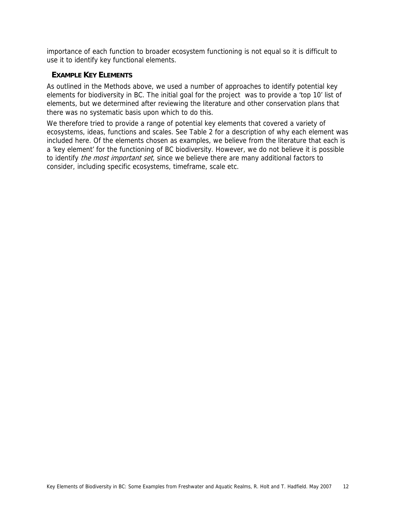importance of each function to broader ecosystem functioning is not equal so it is difficult to use it to identify key functional elements.

# **EXAMPLE KEY ELEMENTS**

As outlined in the Methods above, we used a number of approaches to identify potential key elements for biodiversity in BC. The initial goal for the project was to provide a 'top 10' list of elements, but we determined after reviewing the literature and other conservation plans that there was no systematic basis upon which to do this.

We therefore tried to provide a range of potential key elements that covered a variety of ecosystems, ideas, functions and scales. See Table 2 for a description of why each element was included here. Of the elements chosen as examples, we believe from the literature that each is a 'key element' for the functioning of BC biodiversity. However, we do not believe it is possible to identify the most important set, since we believe there are many additional factors to consider, including specific ecosystems, timeframe, scale etc.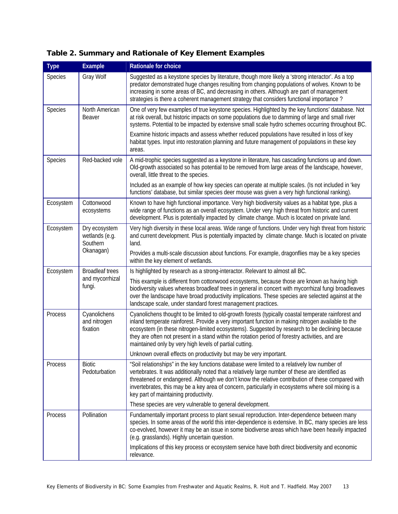| Table 2. Summary and Rationale of Key Element Examples |  |  |  |
|--------------------------------------------------------|--|--|--|
|--------------------------------------------------------|--|--|--|

| <b>Type</b> | <b>Example</b>                                           | Rationale for choice                                                                                                                                                                                                                                                                                                                                                                                                                                                         |
|-------------|----------------------------------------------------------|------------------------------------------------------------------------------------------------------------------------------------------------------------------------------------------------------------------------------------------------------------------------------------------------------------------------------------------------------------------------------------------------------------------------------------------------------------------------------|
| Species     | Gray Wolf                                                | Suggested as a keystone species by literature, though more likely a 'strong interactor'. As a top<br>predator demonstrated huge changes resulting from changing populations of wolves. Known to be<br>increasing in some areas of BC, and decreasing in others. Although are part of management<br>strategies is there a coherent management strategy that considers functional importance?                                                                                  |
| Species     | North American<br>Beaver                                 | One of very few examples of true keystone species. Highlighted by the key functions' database. Not<br>at risk overall, but historic impacts on some populations due to damming of large and small river<br>systems. Potential to be impacted by extensive small scale hydro schemes occurring throughout BC.                                                                                                                                                                 |
|             |                                                          | Examine historic impacts and assess whether reduced populations have resulted in loss of key<br>habitat types. Input into restoration planning and future management of populations in these key<br>areas.                                                                                                                                                                                                                                                                   |
| Species     | Red-backed vole                                          | A mid-trophic species suggested as a keystone in literature, has cascading functions up and down.<br>Old-growth associated so has potential to be removed from large areas of the landscape, however,<br>overall, little threat to the species.                                                                                                                                                                                                                              |
|             |                                                          | Included as an example of how key species can operate at multiple scales. (Is not included in 'key<br>functions' database, but similar species deer mouse was given a very high functional ranking).                                                                                                                                                                                                                                                                         |
| Ecosystem   | Cottonwood<br>ecosystems                                 | Known to have high functional importance. Very high biodiversity values as a habitat type, plus a<br>wide range of functions as an overall ecosystem. Under very high threat from historic and current<br>development. Plus is potentially impacted by climate change. Much is located on private land.                                                                                                                                                                      |
| Ecosystem   | Dry ecosystem<br>wetlands (e.g.<br>Southern<br>Okanagan) | Very high diversity in these local areas. Wide range of functions. Under very high threat from historic<br>and current development. Plus is potentially impacted by climate change. Much is located on private<br>land.                                                                                                                                                                                                                                                      |
|             |                                                          | Provides a multi-scale discussion about functions. For example, dragonflies may be a key species<br>within the key element of wetlands.                                                                                                                                                                                                                                                                                                                                      |
| Ecosystem   | <b>Broadleaf trees</b>                                   | Is highlighted by research as a strong-interactor. Relevant to almost all BC.                                                                                                                                                                                                                                                                                                                                                                                                |
|             | and mycorrhizal<br>fungi.                                | This example is different from cottonwood ecosystems, because those are known as having high<br>biodiversity values whereas broadleaf trees in general in concert with mycorrhizal fungi broadleaves<br>over the landscape have broad productivity implications. These species are selected against at the<br>landscape scale, under standard forest management practices.                                                                                                   |
| Process     | Cyanolichens<br>and nitrogen<br>fixation                 | Cyanolichens thought to be limited to old-growth forests (typically coastal temperate rainforest and<br>inland temperate rainforest. Provide a very important function in making nitrogen available to the<br>ecosystem (in these nitrogen-limited ecosystems). Suggested by research to be declining because<br>they are often not present in a stand within the rotation period of forestry activities, and are<br>maintained only by very high levels of partial cutting. |
|             |                                                          | Unknown overall effects on productivity but may be very important.                                                                                                                                                                                                                                                                                                                                                                                                           |
| Process     | <b>Biotic</b><br>Pedoturbation                           | "Soil relationships" in the key functions database were limited to a relatively low number of<br>vertebrates. It was additionally noted that a relatively large number of these are identified as<br>threatened or endangered. Although we don't know the relative contribution of these compared with<br>invertebrates, this may be a key area of concern, particularly in ecosystems where soil mixing is a<br>key part of maintaining productivity.                       |
|             |                                                          | These species are very vulnerable to general development.                                                                                                                                                                                                                                                                                                                                                                                                                    |
| Process     | Pollination                                              | Fundamentally important process to plant sexual reproduction. Inter-dependence between many<br>species. In some areas of the world this inter-dependence is extensive. In BC, many species are less<br>co-evolved, however it may be an issue in some biodiverse areas which have been heavily impacted<br>(e.g. grasslands). Highly uncertain question.                                                                                                                     |
|             |                                                          | Implications of this key process or ecosystem service have both direct biodiversity and economic<br>relevance.                                                                                                                                                                                                                                                                                                                                                               |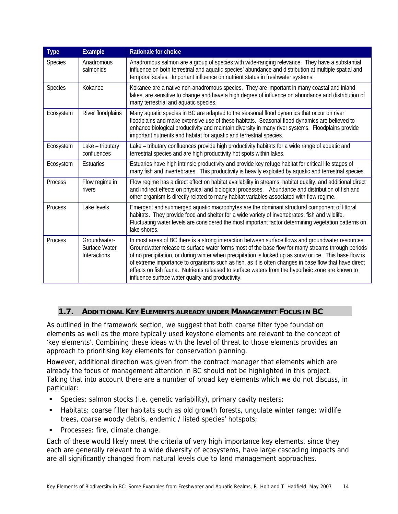| <b>Type</b> | <b>Example</b>                                | Rationale for choice                                                                                                                                                                                                                                                                                                                                                                                                                                                                                                                                                                 |
|-------------|-----------------------------------------------|--------------------------------------------------------------------------------------------------------------------------------------------------------------------------------------------------------------------------------------------------------------------------------------------------------------------------------------------------------------------------------------------------------------------------------------------------------------------------------------------------------------------------------------------------------------------------------------|
| Species     | Anadromous<br>salmonids                       | Anadromous salmon are a group of species with wide-ranging relevance. They have a substantial<br>influence on both terrestrial and aquatic species' abundance and distribution at multiple spatial and<br>temporal scales. Important influence on nutrient status in freshwater systems.                                                                                                                                                                                                                                                                                             |
| Species     | Kokanee                                       | Kokanee are a native non-anadromous species. They are important in many coastal and inland<br>lakes, are sensitive to change and have a high degree of influence on abundance and distribution of<br>many terrestrial and aquatic species.                                                                                                                                                                                                                                                                                                                                           |
| Ecosystem   | River floodplains                             | Many aquatic species in BC are adapted to the seasonal flood dynamics that occur on river<br>floodplains and make extensive use of these habitats. Seasonal flood dynamics are believed to<br>enhance biological productivity and maintain diversity in many river systems. Floodplains provide<br>important nutrients and habitat for aquatic and terrestrial species.                                                                                                                                                                                                              |
| Ecosystem   | Lake - tributary<br>confluences               | Lake - tributary confluences provide high productivity habitats for a wide range of aquatic and<br>terrestrial species and are high productivity hot spots within lakes.                                                                                                                                                                                                                                                                                                                                                                                                             |
| Ecosystem   | Estuaries                                     | Estuaries have high intrinsic productivity and provide key refuge habitat for critical life stages of<br>many fish and invertebrates. This productivity is heavily exploited by aquatic and terrestrial species.                                                                                                                                                                                                                                                                                                                                                                     |
| Process     | Flow regime in<br>rivers                      | Flow regime has a direct effect on habitat availability in streams, habitat quality, and additional direct<br>and indirect effects on physical and biological processes. Abundance and distribution of fish and<br>other organism is directly related to many habitat variables associated with flow regime.                                                                                                                                                                                                                                                                         |
| Process     | Lake levels                                   | Emergent and submerged aquatic macrophytes are the dominant structural component of littoral<br>habitats. They provide food and shelter for a wide variety of invertebrates, fish and wildlife.<br>Fluctuating water levels are considered the most important factor determining vegetation patterns on<br>lake shores.                                                                                                                                                                                                                                                              |
| Process     | Groundwater-<br>Surface Water<br>Interactions | In most areas of BC there is a strong interaction between surface flows and groundwater resources.<br>Groundwater release to surface water forms most of the base flow for many streams through periods<br>of no precipitation, or during winter when precipitation is locked up as snow or ice. This base flow is<br>of extreme importance to organisms such as fish, as it is often changes in base flow that have direct<br>effects on fish fauna. Nutrients released to surface waters from the hyporheic zone are known to<br>influence surface water quality and productivity. |

# **1.7. ADDITIONAL KEY ELEMENTS ALREADY UNDER MANAGEMENT FOCUS IN BC**

As outlined in the framework section, we suggest that both coarse filter type foundation elements as well as the more typically used keystone elements are relevant to the concept of 'key elements'. Combining these ideas with the level of threat to those elements provides an approach to prioritising key elements for conservation planning.

However, additional direction was given from the contract manager that elements which are already the focus of management attention in BC should not be highlighted in this project. Taking that into account there are a number of broad key elements which we do not discuss, in particular:

- Species: salmon stocks (i.e. genetic variability), primary cavity nesters;
- Habitats: coarse filter habitats such as old growth forests, ungulate winter range; wildlife trees, coarse woody debris, endemic / listed species' hotspots;
- **Processes: fire, climate change.**

Each of these would likely meet the criteria of very high importance key elements, since they each are generally relevant to a wide diversity of ecosystems, have large cascading impacts and are all significantly changed from natural levels due to land management approaches.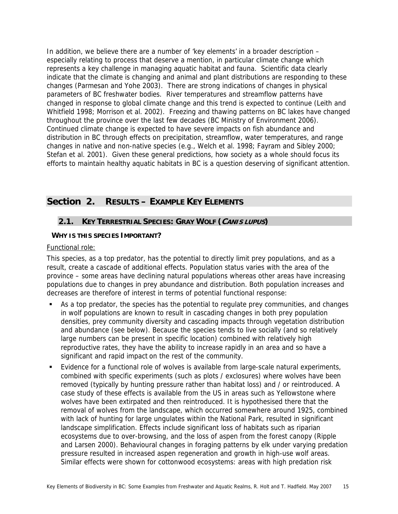In addition, we believe there are a number of 'key elements' in a broader description – especially relating to process that deserve a mention, in particular climate change which represents a key challenge in managing aquatic habitat and fauna. Scientific data clearly indicate that the climate is changing and animal and plant distributions are responding to these changes (Parmesan and Yohe 2003). There are strong indications of changes in physical parameters of BC freshwater bodies. River temperatures and streamflow patterns have changed in response to global climate change and this trend is expected to continue (Leith and Whitfield 1998; Morrison et al. 2002). Freezing and thawing patterns on BC lakes have changed throughout the province over the last few decades (BC Ministry of Environment 2006). Continued climate change is expected to have severe impacts on fish abundance and distribution in BC through effects on precipitation, streamflow, water temperatures, and range changes in native and non-native species (e.g., Welch et al. 1998; Fayram and Sibley 2000; Stefan et al. 2001). Given these general predictions, how society as a whole should focus its efforts to maintain healthy aquatic habitats in BC is a question deserving of significant attention.

# **Section 2. RESULTS – EXAMPLE KEY ELEMENTS**

# **2.1. KEY TERRESTRIAL SPECIES: GRAY WOLF (CANIS LUPUS)**

### **WHY IS THIS SPECIES IMPORTANT?**

#### Functional role:

This species, as a top predator, has the potential to directly limit prey populations, and as a result, create a cascade of additional effects. Population status varies with the area of the province – some areas have declining natural populations whereas other areas have increasing populations due to changes in prey abundance and distribution. Both population increases and decreases are therefore of interest in terms of potential functional response:

- As a top predator, the species has the potential to regulate prey communities, and changes in wolf populations are known to result in cascading changes in both prey population densities, prey community diversity and cascading impacts through vegetation distribution and abundance (see below). Because the species tends to live socially (and so relatively large numbers can be present in specific location) combined with relatively high reproductive rates, they have the ability to increase rapidly in an area and so have a significant and rapid impact on the rest of the community.
- Evidence for a functional role of wolves is available from large-scale natural experiments, combined with specific experiments (such as plots / exclosures) where wolves have been removed (typically by hunting pressure rather than habitat loss) and / or reintroduced. A case study of these effects is available from the US in areas such as Yellowstone where wolves have been extirpated and then reintroduced. It is hypothesised there that the removal of wolves from the landscape, which occurred somewhere around 1925, combined with lack of hunting for large ungulates within the National Park, resulted in significant landscape simplification. Effects include significant loss of habitats such as riparian ecosystems due to over-browsing, and the loss of aspen from the forest canopy (Ripple and Larsen 2000). Behavioural changes in foraging patterns by elk under varying predation pressure resulted in increased aspen regeneration and growth in high-use wolf areas. Similar effects were shown for cottonwood ecosystems: areas with high predation risk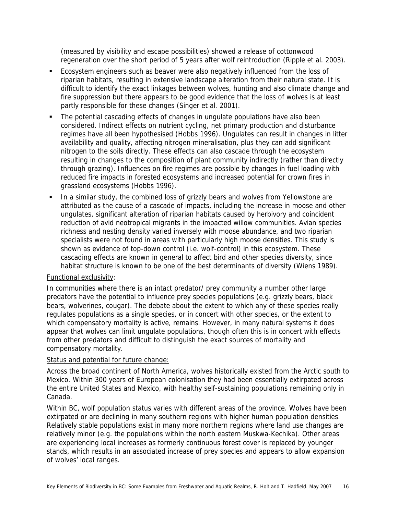(measured by visibility and escape possibilities) showed a release of cottonwood regeneration over the short period of 5 years after wolf reintroduction (Ripple et al. 2003).

- **Ecosystem engineers such as beaver were also negatively influenced from the loss of** riparian habitats, resulting in extensive landscape alteration from their natural state. It is difficult to identify the exact linkages between wolves, hunting and also climate change and fire suppression but there appears to be good evidence that the loss of wolves is at least partly responsible for these changes (Singer et al. 2001).
- The potential cascading effects of changes in ungulate populations have also been considered. Indirect effects on nutrient cycling, net primary production and disturbance regimes have all been hypothesised (Hobbs 1996). Ungulates can result in changes in litter availability and quality, affecting nitrogen mineralisation, plus they can add significant nitrogen to the soils directly. These effects can also cascade through the ecosystem resulting in changes to the composition of plant community indirectly (rather than directly through grazing). Influences on fire regimes are possible by changes in fuel loading with reduced fire impacts in forested ecosystems and increased potential for crown fires in grassland ecosystems (Hobbs 1996).
- In a similar study, the combined loss of grizzly bears and wolves from Yellowstone are attributed as the cause of a cascade of impacts, including the increase in moose and other ungulates, significant alteration of riparian habitats caused by herbivory and coincident reduction of avid neotropical migrants in the impacted willow communities. Avian species richness and nesting density varied inversely with moose abundance, and two riparian specialists were not found in areas with particularly high moose densities. This study is shown as evidence of top-down control (i.e. wolf-control) in this ecosystem. These cascading effects are known in general to affect bird and other species diversity, since habitat structure is known to be one of the best determinants of diversity (Wiens 1989).

### Functional exclusivity:

In communities where there is an intact predator/ prey community a number other large predators have the potential to influence prey species populations (e.g. grizzly bears, black bears, wolverines, cougar). The debate about the extent to which any of these species really regulates populations as a single species, or in concert with other species, or the extent to which compensatory mortality is active, remains. However, in many natural systems it does appear that wolves can limit ungulate populations, though often this is in concert with effects from other predators and difficult to distinguish the exact sources of mortality and compensatory mortality.

#### Status and potential for future change:

Across the broad continent of North America, wolves historically existed from the Arctic south to Mexico. Within 300 years of European colonisation they had been essentially extirpated across the entire United States and Mexico, with healthy self-sustaining populations remaining only in Canada.

Within BC, wolf population status varies with different areas of the province. Wolves have been extirpated or are declining in many southern regions with higher human population densities. Relatively stable populations exist in many more northern regions where land use changes are relatively minor (e.g. the populations within the north eastern Muskwa-Kechika). Other areas are experiencing local increases as formerly continuous forest cover is replaced by younger stands, which results in an associated increase of prey species and appears to allow expansion of wolves' local ranges.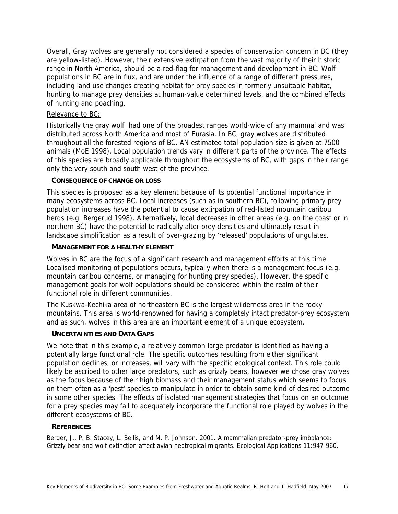Overall, Gray wolves are generally not considered a species of conservation concern in BC (they are yellow-listed). However, their extensive extirpation from the vast majority of their historic range in North America, should be a red-flag for management and development in BC. Wolf populations in BC are in flux, and are under the influence of a range of different pressures, including land use changes creating habitat for prey species in formerly unsuitable habitat, hunting to manage prey densities at human-value determined levels, and the combined effects of hunting and poaching.

### Relevance to BC:

Historically the gray wolf had one of the broadest ranges world-wide of any mammal and was distributed across North America and most of Eurasia. In BC, gray wolves are distributed throughout all the forested regions of BC. AN estimated total population size is given at 7500 animals (MoE 1998). Local population trends vary in different parts of the province. The effects of this species are broadly applicable throughout the ecosystems of BC, with gaps in their range only the very south and south west of the province.

### **CONSEQUENCE OF CHANGE OR LOSS**

This species is proposed as a key element because of its potential functional importance in many ecosystems across BC. Local increases (such as in southern BC), following primary prey population increases have the potential to cause extirpation of red-listed mountain caribou herds (e.g. Bergerud 1998). Alternatively, local decreases in other areas (e.g. on the coast or in northern BC) have the potential to radically alter prey densities and ultimately result in landscape simplification as a result of over-grazing by 'released' populations of ungulates.

### **MANAGEMENT FOR A HEALTHY ELEMENT**

Wolves in BC are the focus of a significant research and management efforts at this time. Localised monitoring of populations occurs, typically when there is a management focus (e.g. mountain caribou concerns, or managing for hunting prey species). However, the specific management goals for wolf populations should be considered within the realm of their functional role in different communities.

The Kuskwa-Kechika area of northeastern BC is the largest wilderness area in the rocky mountains. This area is world-renowned for having a completely intact predator-prey ecosystem and as such, wolves in this area are an important element of a unique ecosystem.

# **UNCERTAINTIES AND DATA GAPS**

We note that in this example, a relatively common large predator is identified as having a potentially large functional role. The specific outcomes resulting from either significant population declines, or increases, will vary with the specific ecological context. This role could likely be ascribed to other large predators, such as grizzly bears, however we chose gray wolves as the focus because of their high biomass and their management status which seems to focus on them often as a 'pest' species to manipulate in order to obtain some kind of desired outcome in some other species. The effects of isolated management strategies that focus on an outcome for a prey species may fail to adequately incorporate the functional role played by wolves in the different ecosystems of BC.

#### **REFERENCES**

Berger, J., P. B. Stacey, L. Bellis, and M. P. Johnson. 2001. A mammalian predator-prey imbalance: Grizzly bear and wolf extinction affect avian neotropical migrants. Ecological Applications 11:947-960.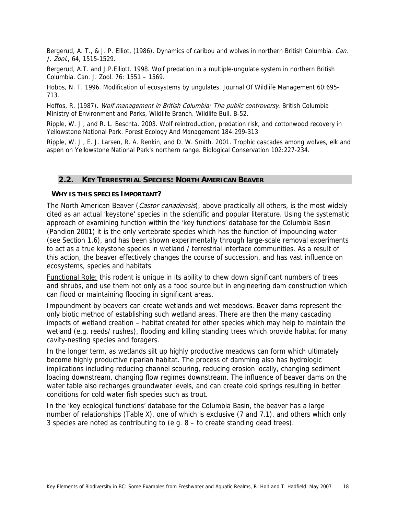Bergerud, A. T., & J. P. Elliot, (1986). Dynamics of caribou and wolves in northern British Columbia. *Can.* J. Zool., 64, 1515-1529.

Bergerud, A.T. and J.P.Elliott. 1998. Wolf predation in a multiple-ungulate system in northern British Columbia. Can. J. Zool. 76: 1551 – 1569.

Hobbs, N. T. 1996. Modification of ecosystems by ungulates. Journal Of Wildlife Management 60:695- 713.

Hoffos, R. (1987). Wolf management in British Columbia: The public controversy. British Columbia Ministry of Environment and Parks, Wildlife Branch. Wildlife Bull. B-52.

Ripple, W. J., and R. L. Beschta. 2003. Wolf reintroduction, predation risk, and cottonwood recovery in Yellowstone National Park. Forest Ecology And Management 184:299-313

Ripple, W. J., E. J. Larsen, R. A. Renkin, and D. W. Smith. 2001. Trophic cascades among wolves, elk and aspen on Yellowstone National Park's northern range. Biological Conservation 102:227-234.

## **2.2. KEY TERRESTRIAL SPECIES: NORTH AMERICAN BEAVER**

#### **WHY IS THIS SPECIES IMPORTANT?**

The North American Beaver (*Castor canadensis*), above practically all others, is the most widely cited as an actual 'keystone' species in the scientific and popular literature. Using the systematic approach of examining function within the 'key functions' database for the Columbia Basin (Pandion 2001) it is the only vertebrate species which has the function of impounding water (see Section 1.6), and has been shown experimentally through large-scale removal experiments to act as a true keystone species in wetland / terrestrial interface communities. As a result of this action, the beaver effectively changes the course of succession, and has vast influence on ecosystems, species and habitats.

Functional Role: this rodent is unique in its ability to chew down significant numbers of trees and shrubs, and use them not only as a food source but in engineering dam construction which can flood or maintaining flooding in significant areas.

Impoundment by beavers can create wetlands and wet meadows. Beaver dams represent the only biotic method of establishing such wetland areas. There are then the many cascading impacts of wetland creation – habitat created for other species which may help to maintain the wetland (e.g. reeds/ rushes), flooding and killing standing trees which provide habitat for many cavity-nesting species and foragers.

In the longer term, as wetlands silt up highly productive meadows can form which ultimately become highly productive riparian habitat. The process of damming also has hydrologic implications including reducing channel scouring, reducing erosion locally, changing sediment loading downstream, changing flow regimes downstream. The influence of beaver dams on the water table also recharges groundwater levels, and can create cold springs resulting in better conditions for cold water fish species such as trout.

In the 'key ecological functions' database for the Columbia Basin, the beaver has a large number of relationships (Table X), one of which is exclusive (7 and 7.1), and others which only 3 species are noted as contributing to (e.g. 8 – to create standing dead trees).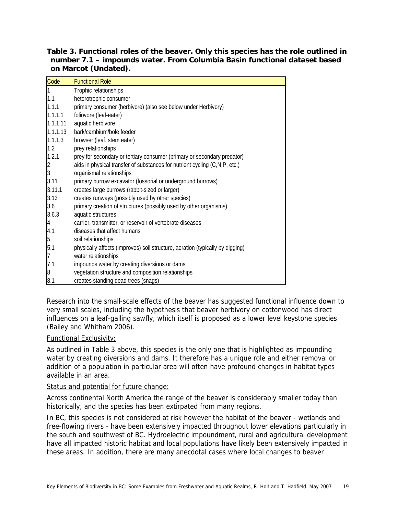| Table 3. Functional roles of the beaver. Only this species has the role outlined in |
|-------------------------------------------------------------------------------------|
| number 7.1 - impounds water. From Columbia Basin functional dataset based           |
| on Marcot (Undated).                                                                |

| Code          | <b>Functional Role</b>                                                        |
|---------------|-------------------------------------------------------------------------------|
|               | Trophic relationships                                                         |
| 1.1           | heterotrophic consumer                                                        |
| 1.1.1         | primary consumer (herbivore) (also see below under Herbivory)                 |
| 1.1.1.1       | foliovore (leaf-eater)                                                        |
| 1.1.1.11      | aquatic herbivore                                                             |
| 1.1.1.13      | bark/cambium/bole feeder                                                      |
| 1.1.1.3       | browser (leaf, stem eater)                                                    |
| 1.2           | prey relationships                                                            |
| 1.2.1         | prey for secondary or tertiary consumer (primary or secondary predator)       |
| $\frac{2}{3}$ | aids in physical transfer of substances for nutrient cycling (C,N,P, etc.)    |
|               | organismal relationships                                                      |
| 3.11          | primary burrow excavator (fossorial or underground burrows)                   |
| 3.11.1        | creates large burrows (rabbit-sized or larger)                                |
| 3.13          | creates runways (possibly used by other species)                              |
| 3.6           | primary creation of structures (possibly used by other organisms)             |
| 3.6.3         | aquatic structures                                                            |
|               | carrier, transmitter, or reservoir of vertebrate diseases                     |
| 4.1           | diseases that affect humans                                                   |
| 5             | soil relationships                                                            |
| 5.1           | physically affects (improves) soil structure, aeration (typically by digging) |
|               | water relationships                                                           |
| 7.1           | impounds water by creating diversions or dams                                 |
| 8             | vegetation structure and composition relationships                            |
| 8.1           | creates standing dead trees (snags)                                           |

Research into the small-scale effects of the beaver has suggested functional influence down to very small scales, including the hypothesis that beaver herbivory on cottonwood has direct influences on a leaf-galling sawfly, which itself is proposed as a lower level keystone species (Bailey and Whitham 2006).

# Functional Exclusivity:

As outlined in Table 3 above, this species is the only one that is highlighted as impounding water by creating diversions and dams. It therefore has a unique role and either removal or addition of a population in particular area will often have profound changes in habitat types available in an area.

#### Status and potential for future change:

Across continental North America the range of the beaver is considerably smaller today than historically, and the species has been extirpated from many regions.

In BC, this species is not considered at risk however the habitat of the beaver - wetlands and free-flowing rivers - have been extensively impacted throughout lower elevations particularly in the south and southwest of BC. Hydroelectric impoundment, rural and agricultural development have all impacted historic habitat and local populations have likely been extensively impacted in these areas. In addition, there are many anecdotal cases where local changes to beaver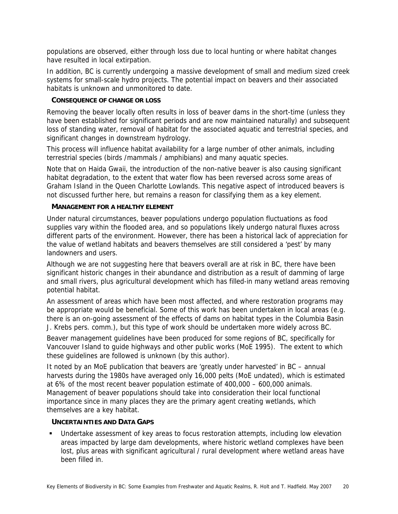populations are observed, either through loss due to local hunting or where habitat changes have resulted in local extirpation.

In addition, BC is currently undergoing a massive development of small and medium sized creek systems for small-scale hydro projects. The potential impact on beavers and their associated habitats is unknown and unmonitored to date.

### **CONSEQUENCE OF CHANGE OR LOSS**

Removing the beaver locally often results in loss of beaver dams in the short-time (unless they have been established for significant periods and are now maintained naturally) and subsequent loss of standing water, removal of habitat for the associated aquatic and terrestrial species, and significant changes in downstream hydrology.

This process will influence habitat availability for a large number of other animals, including terrestrial species (birds /mammals / amphibians) and many aquatic species.

Note that on Haida Gwaii, the introduction of the non-native beaver is also causing significant habitat degradation, to the extent that water flow has been reversed across some areas of Graham Island in the Queen Charlotte Lowlands. This negative aspect of introduced beavers is not discussed further here, but remains a reason for classifying them as a key element.

#### **MANAGEMENT FOR A HEALTHY ELEMENT**

Under natural circumstances, beaver populations undergo population fluctuations as food supplies vary within the flooded area, and so populations likely undergo natural fluxes across different parts of the environment. However, there has been a historical lack of appreciation for the value of wetland habitats and beavers themselves are still considered a 'pest' by many landowners and users.

Although we are not suggesting here that beavers overall are at risk in BC, there have been significant historic changes in their abundance and distribution as a result of damming of large and small rivers, plus agricultural development which has filled-in many wetland areas removing potential habitat.

An assessment of areas which have been most affected, and where restoration programs may be appropriate would be beneficial. Some of this work has been undertaken in local areas (e.g. there is an on-going assessment of the effects of dams on habitat types in the Columbia Basin J. Krebs pers. comm.), but this type of work should be undertaken more widely across BC.

Beaver management guidelines have been produced for some regions of BC, specifically for Vancouver Island to guide highways and other public works (MoE 1995). The extent to which these guidelines are followed is unknown (by this author).

It noted by an MoE publication that beavers are 'greatly under harvested' in BC – annual harvests during the 1980s have averaged only 16,000 pelts (MoE undated), which is estimated at 6% of the most recent beaver population estimate of 400,000 – 600,000 animals. Management of beaver populations should take into consideration their local functional importance since in many places they are the primary agent creating wetlands, which themselves are a key habitat.

#### **UNCERTAINTIES AND DATA GAPS**

 Undertake assessment of key areas to focus restoration attempts, including low elevation areas impacted by large dam developments, where historic wetland complexes have been lost, plus areas with significant agricultural / rural development where wetland areas have been filled in.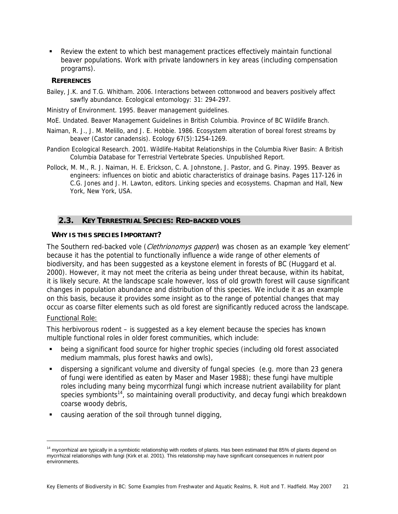Review the extent to which best management practices effectively maintain functional beaver populations. Work with private landowners in key areas (including compensation programs).

## **REFERENCES**

Bailey, J.K. and T.G. Whitham. 2006. Interactions between cottonwood and beavers positively affect sawfly abundance. Ecological entomology: 31: 294-297.

Ministry of Environment. 1995. Beaver management guidelines.

MoE. Undated. Beaver Management Guidelines in British Columbia. Province of BC Wildlife Branch.

- Naiman, R. J., J. M. Melillo, and J. E. Hobbie. 1986. Ecosystem alteration of boreal forest streams by beaver (Castor canadensis). Ecology 67(5):1254-1269.
- Pandion Ecological Research. 2001. Wildlife-Habitat Relationships in the Columbia River Basin: A British Columbia Database for Terrestrial Vertebrate Species. Unpublished Report.
- Pollock, M. M., R. J. Naiman, H. E. Erickson, C. A. Johnstone, J. Pastor, and G. Pinay. 1995. Beaver as engineers: influences on biotic and abiotic characteristics of drainage basins. Pages 117-126 in C.G. Jones and J. H. Lawton, editors. Linking species and ecosystems. Chapman and Hall, New York, New York, USA.

# **2.3. KEY TERRESTRIAL SPECIES: RED-BACKED VOLES**

#### **WHY IS THIS SPECIES IMPORTANT?**

The Southern red-backed vole (*Clethrionomys gapperi*) was chosen as an example 'key element' because it has the potential to functionally influence a wide range of other elements of biodiversity, and has been suggested as a keystone element in forests of BC (Huggard et al. 2000). However, it may not meet the criteria as being under threat because, within its habitat, it is likely secure. At the landscape scale however, loss of old growth forest will cause significant changes in population abundance and distribution of this species. We include it as an example on this basis, because it provides some insight as to the range of potential changes that may occur as coarse filter elements such as old forest are significantly reduced across the landscape.

#### Functional Role:

j

This herbivorous rodent – is suggested as a key element because the species has known multiple functional roles in older forest communities, which include:

- being a significant food source for higher trophic species (including old forest associated medium mammals, plus forest hawks and owls),
- dispersing a significant volume and diversity of fungal species (e.g. more than 23 genera of fungi were identified as eaten by Maser and Maser 1988); these fungi have multiple roles including many being mycorrhizal fungi which increase nutrient availability for plant species symbionts<sup>14</sup>, so maintaining overall productivity, and decay fungi which breakdown coarse woody debris,
- causing aeration of the soil through tunnel digging,

<sup>&</sup>lt;sup>14</sup> mycorrhizal are typically in a symbiotic relationship with rootlets of plants. Has been estimated that 85% of plants depend on mycrrhizal relationships with fungi (Kirk et al. 2001). This relationship may have significant consequences in nutrient poor environments.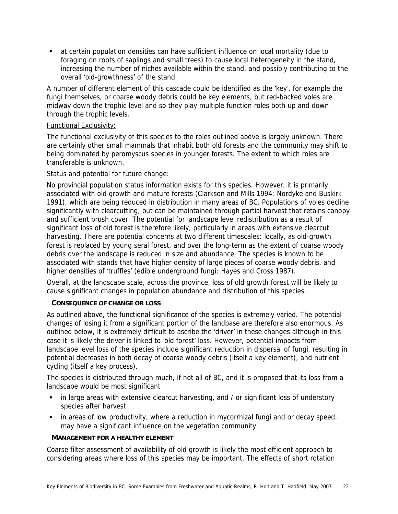at certain population densities can have sufficient influence on local mortality (due to foraging on roots of saplings and small trees) to cause local heterogeneity in the stand, increasing the number of niches available within the stand, and possibly contributing to the overall 'old-growthness' of the stand.

A number of different element of this cascade could be identified as the 'key', for example the fungi themselves, or coarse woody debris could be key elements, but red-backed voles are midway down the trophic level and so they play multiple function roles both up and down through the trophic levels.

## Functional Exclusivity:

The functional exclusivity of this species to the roles outlined above is largely unknown. There are certainly other small mammals that inhabit both old forests and the community may shift to being dominated by peromyscus species in younger forests. The extent to which roles are transferable is unknown.

### Status and potential for future change:

No provincial population status information exists for this species. However, it is primarily associated with old growth and mature forests (Clarkson and Mills 1994; Nordyke and Buskirk 1991), which are being reduced in distribution in many areas of BC. Populations of voles decline significantly with clearcutting, but can be maintained through partial harvest that retains canopy and sufficient brush cover. The potential for landscape level redistribution as a result of significant loss of old forest is therefore likely, particularly in areas with extensive clearcut harvesting. There are potential concerns at two different timescales: locally, as old-growth forest is replaced by young seral forest, and over the long-term as the extent of coarse woody debris over the landscape is reduced in size and abundance. The species is known to be associated with stands that have higher density of large pieces of coarse woody debris, and higher densities of 'truffles' (edible underground fungi; Hayes and Cross 1987).

Overall, at the landscape scale, across the province, loss of old growth forest will be likely to cause significant changes in population abundance and distribution of this species.

#### **CONSEQUENCE OF CHANGE OR LOSS**

As outlined above, the functional significance of the species is extremely varied. The potential changes of losing it from a significant portion of the landbase are therefore also enormous. As outlined below, it is extremely difficult to ascribe the 'driver' in these changes although in this case it is likely the driver is linked to 'old forest' loss. However, potential impacts from landscape level loss of the species include significant reduction in dispersal of fungi, resulting in potential decreases in both decay of coarse woody debris (itself a key element), and nutrient cycling (itself a key process).

The species is distributed through much, if not all of BC, and it is proposed that its loss from a landscape would be most significant

- in large areas with extensive clearcut harvesting, and / or significant loss of understory species after harvest
- in areas of low productivity, where a reduction in mycorrhizal fungi and or decay speed, may have a significant influence on the vegetation community.

#### **MANAGEMENT FOR A HEALTHY ELEMENT**

Coarse filter assessment of availability of old growth is likely the most efficient approach to considering areas where loss of this species may be important. The effects of short rotation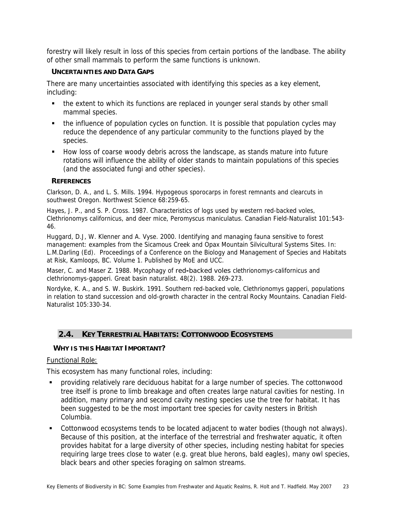forestry will likely result in loss of this species from certain portions of the landbase. The ability of other small mammals to perform the same functions is unknown.

## **UNCERTAINTIES AND DATA GAPS**

There are many uncertainties associated with identifying this species as a key element, including:

- the extent to which its functions are replaced in younger seral stands by other small mammal species.
- the influence of population cycles on function. It is possible that population cycles may reduce the dependence of any particular community to the functions played by the species.
- How loss of coarse woody debris across the landscape, as stands mature into future rotations will influence the ability of older stands to maintain populations of this species (and the associated fungi and other species).

### **REFERENCES**

Clarkson, D. A., and L. S. Mills. 1994. Hypogeous sporocarps in forest remnants and clearcuts in southwest Oregon. Northwest Science 68:259-65.

Hayes, J. P., and S. P. Cross. 1987. Characteristics of logs used by western red-backed voles, Clethrionomys californicus, and deer mice, Peromyscus maniculatus. Canadian Field-Naturalist 101:543- 46.

Huggard, D.J, W. Klenner and A. Vyse. 2000. Identifying and managing fauna sensitive to forest management: examples from the Sicamous Creek and Opax Mountain Silvicultural Systems Sites. In: L.M.Darling (Ed). Proceedings of a Conference on the Biology and Management of Species and Habitats at Risk, Kamloops, BC. Volume 1. Published by MoE and UCC.

Maser, C. and Maser Z. 1988. Mycophagy of red**-**backed voles clethrionomys-californicus and clethrionomys-gapperi. Great basin naturalist. 48(2). 1988. 269-273.

Nordyke, K. A., and S. W. Buskirk. 1991. Southern red-backed vole, Clethrionomys gapperi, populations in relation to stand succession and old-growth character in the central Rocky Mountains. Canadian Field-Naturalist 105:330-34.

# **2.4. KEY TERRESTRIAL HABITATS: COTTONWOOD ECOSYSTEMS**

# **WHY IS THIS HABITAT IMPORTANT?**

Functional Role:

This ecosystem has many functional roles, including:

- providing relatively rare deciduous habitat for a large number of species. The cottonwood tree itself is prone to limb breakage and often creates large natural cavities for nesting. In addition, many primary and second cavity nesting species use the tree for habitat. It has been suggested to be the most important tree species for cavity nesters in British Columbia.
- Cottonwood ecosystems tends to be located adjacent to water bodies (though not always). Because of this position, at the interface of the terrestrial and freshwater aquatic, it often provides habitat for a large diversity of other species, including nesting habitat for species requiring large trees close to water (e.g. great blue herons, bald eagles), many owl species, black bears and other species foraging on salmon streams.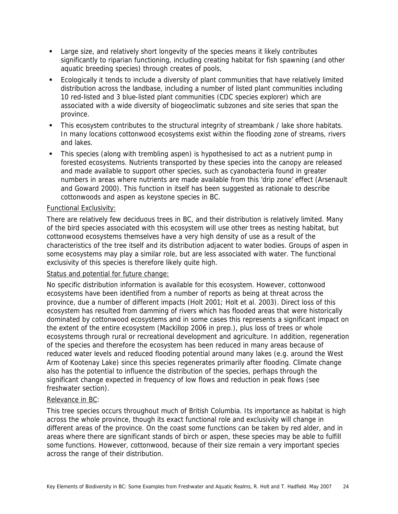- Large size, and relatively short longevity of the species means it likely contributes significantly to riparian functioning, including creating habitat for fish spawning (and other aquatic breeding species) through creates of pools,
- Ecologically it tends to include a diversity of plant communities that have relatively limited distribution across the landbase, including a number of listed plant communities including 10 red-listed and 3 blue-listed plant communities (CDC species explorer) which are associated with a wide diversity of biogeoclimatic subzones and site series that span the province.
- This ecosystem contributes to the structural integrity of streambank / lake shore habitats. In many locations cottonwood ecosystems exist within the flooding zone of streams, rivers and lakes.
- This species (along with trembling aspen) is hypothesised to act as a nutrient pump in forested ecosystems. Nutrients transported by these species into the canopy are released and made available to support other species, such as cyanobacteria found in greater numbers in areas where nutrients are made available from this 'drip zone' effect (Arsenault and Goward 2000). This function in itself has been suggested as rationale to describe cottonwoods and aspen as keystone species in BC.

### Functional Exclusivity:

There are relatively few deciduous trees in BC, and their distribution is relatively limited. Many of the bird species associated with this ecosystem will use other trees as nesting habitat, but cottonwood ecosystems themselves have a very high density of use as a result of the characteristics of the tree itself and its distribution adjacent to water bodies. Groups of aspen in some ecosystems may play a similar role, but are less associated with water. The functional exclusivity of this species is therefore likely quite high.

#### Status and potential for future change:

No specific distribution information is available for this ecosystem. However, cottonwood ecosystems have been identified from a number of reports as being at threat across the province, due a number of different impacts (Holt 2001; Holt et al. 2003). Direct loss of this ecosystem has resulted from damming of rivers which has flooded areas that were historically dominated by cottonwood ecosystems and in some cases this represents a significant impact on the extent of the entire ecosystem (Mackillop 2006 in prep.), plus loss of trees or whole ecosystems through rural or recreational development and agriculture. In addition, regeneration of the species and therefore the ecosystem has been reduced in many areas because of reduced water levels and reduced flooding potential around many lakes (e.g. around the West Arm of Kootenay Lake) since this species regenerates primarily after flooding. Climate change also has the potential to influence the distribution of the species, perhaps through the significant change expected in frequency of low flows and reduction in peak flows (see freshwater section).

#### Relevance in BC:

This tree species occurs throughout much of British Columbia. Its importance as habitat is high across the whole province, though its exact functional role and exclusivity will change in different areas of the province. On the coast some functions can be taken by red alder, and in areas where there are significant stands of birch or aspen, these species may be able to fulfill some functions. However, cottonwood, because of their size remain a very important species across the range of their distribution.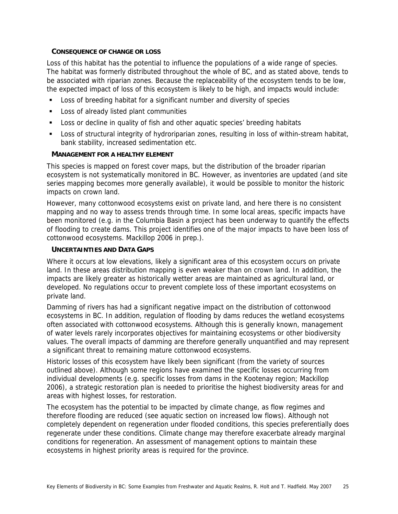#### **CONSEQUENCE OF CHANGE OR LOSS**

Loss of this habitat has the potential to influence the populations of a wide range of species. The habitat was formerly distributed throughout the whole of BC, and as stated above, tends to be associated with riparian zones. Because the replaceability of the ecosystem tends to be low, the expected impact of loss of this ecosystem is likely to be high, and impacts would include:

- **Loss of breeding habitat for a significant number and diversity of species**
- **Loss of already listed plant communities**
- Loss or decline in quality of fish and other aquatic species' breeding habitats
- Loss of structural integrity of hydroriparian zones, resulting in loss of within-stream habitat, bank stability, increased sedimentation etc.

### **MANAGEMENT FOR A HEALTHY ELEMENT**

This species is mapped on forest cover maps, but the distribution of the broader riparian ecosystem is not systematically monitored in BC. However, as inventories are updated (and site series mapping becomes more generally available), it would be possible to monitor the historic impacts on crown land.

However, many cottonwood ecosystems exist on private land, and here there is no consistent mapping and no way to assess trends through time. In some local areas, specific impacts have been monitored (e.g. in the Columbia Basin a project has been underway to quantify the effects of flooding to create dams. This project identifies one of the major impacts to have been loss of cottonwood ecosystems. Mackillop 2006 in prep.).

### **UNCERTAINTIES AND DATA GAPS**

Where it occurs at low elevations, likely a significant area of this ecosystem occurs on private land. In these areas distribution mapping is even weaker than on crown land. In addition, the impacts are likely greater as historically wetter areas are maintained as agricultural land, or developed. No regulations occur to prevent complete loss of these important ecosystems on private land.

Damming of rivers has had a significant negative impact on the distribution of cottonwood ecosystems in BC. In addition, regulation of flooding by dams reduces the wetland ecosystems often associated with cottonwood ecosystems. Although this is generally known, management of water levels rarely incorporates objectives for maintaining ecosystems or other biodiversity values. The overall impacts of damming are therefore generally unquantified and may represent a significant threat to remaining mature cottonwood ecosystems.

Historic losses of this ecosystem have likely been significant (from the variety of sources outlined above). Although some regions have examined the specific losses occurring from individual developments (e.g. specific losses from dams in the Kootenay region; Mackillop 2006), a strategic restoration plan is needed to prioritise the highest biodiversity areas for and areas with highest losses, for restoration.

The ecosystem has the potential to be impacted by climate change, as flow regimes and therefore flooding are reduced (see aquatic section on increased low flows). Although not completely dependent on regeneration under flooded conditions, this species preferentially does regenerate under these conditions. Climate change may therefore exacerbate already marginal conditions for regeneration. An assessment of management options to maintain these ecosystems in highest priority areas is required for the province.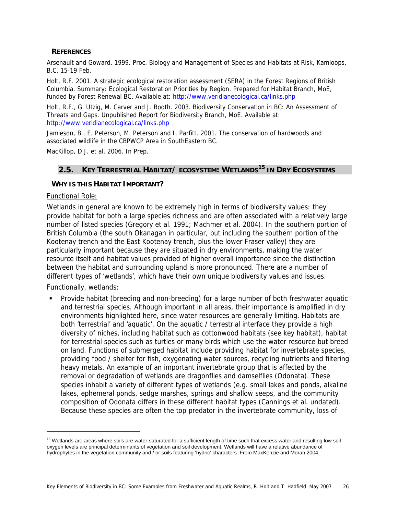#### **REFERENCES**

Arsenault and Goward. 1999. Proc. Biology and Management of Species and Habitats at Risk, Kamloops, B.C. 15-19 Feb.

Holt, R.F. 2001. A strategic ecological restoration assessment (SERA) in the Forest Regions of British Columbia. Summary: Ecological Restoration Priorities by Region. Prepared for Habitat Branch, MoE, funded by Forest Renewal BC. Available at: http://www.veridianecological.ca/links.php

Holt, R.F., G. Utzig, M. Carver and J. Booth. 2003. Biodiversity Conservation in BC: An Assessment of Threats and Gaps. Unpublished Report for Biodiversity Branch, MoE. Available at: http://www.veridianecological.ca/links.php

Jamieson, B., E. Peterson, M. Peterson and I. Parfitt. 2001. The conservation of hardwoods and associated wildlife in the CBPWCP Area in SouthEastern BC.

MacKillop, D.J. et al. 2006. In Prep.

# **2.5. KEY TERRESTRIAL HABITAT/ ECOSYSTEM: WETLANDS15 IN DRY ECOSYSTEMS**

#### **WHY IS THIS HABITAT IMPORTANT?**

#### Functional Role:

Wetlands in general are known to be extremely high in terms of biodiversity values: they provide habitat for both a large species richness and are often associated with a relatively large number of listed species (Gregory et al. 1991; Machmer et al. 2004). In the southern portion of British Columbia (the south Okanagan in particular, but including the southern portion of the Kootenay trench and the East Kootenay trench, plus the lower Fraser valley) they are particularly important because they are situated in dry environments, making the water resource itself and habitat values provided of higher overall importance since the distinction between the habitat and surrounding upland is more pronounced. There are a number of different types of 'wetlands', which have their own unique biodiversity values and issues.

Functionally, wetlands:

-

 Provide habitat (breeding and non-breeding) for a large number of both freshwater aquatic and terrestrial species. Although important in all areas, their importance is amplified in dry environments highlighted here, since water resources are generally limiting. Habitats are both 'terrestrial' and 'aquatic'. On the aquatic / terrestrial interface they provide a high diversity of niches, including habitat such as cottonwood habitats (see key habitat), habitat for terrestrial species such as turtles or many birds which use the water resource but breed on land. Functions of submerged habitat include providing habitat for invertebrate species, providing food / shelter for fish, oxygenating water sources, recycling nutrients and filtering heavy metals. An example of an important invertebrate group that is affected by the removal or degradation of wetlands are dragonflies and damselflies (Odonata). These species inhabit a variety of different types of wetlands (e.g. small lakes and ponds, alkaline lakes, ephemeral ponds, sedge marshes, springs and shallow seeps, and the community composition of Odonata differs in these different habitat types (Cannings et al. undated). Because these species are often the top predator in the invertebrate community, loss of

<sup>&</sup>lt;sup>15</sup> Wetlands are areas where soils are water-saturated for a sufficient length of time such that excess water and resulting low soil oxygen levels are principal determinants of vegetation and soil development. Wetlands will have a relative abundance of hydrophytes in the vegetation community and  $\overline{\ }$  or soils featuring 'hydric' characters. From MaxKenzie and Moran 2004.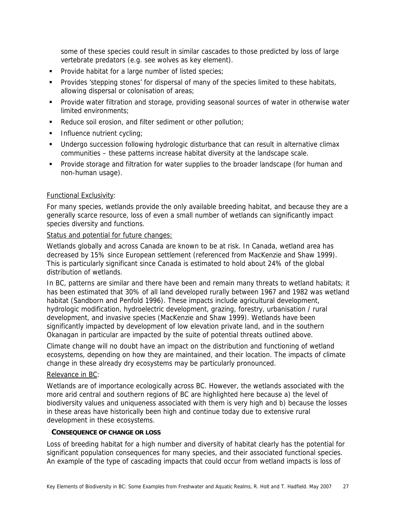some of these species could result in similar cascades to those predicted by loss of large vertebrate predators (e.g. see wolves as key element).

- **Provide habitat for a large number of listed species;**
- **Provides 'stepping stones' for dispersal of many of the species limited to these habitats,** allowing dispersal or colonisation of areas;
- Provide water filtration and storage, providing seasonal sources of water in otherwise water limited environments;
- Reduce soil erosion, and filter sediment or other pollution;
- **Influence nutrient cycling;**
- Undergo succession following hydrologic disturbance that can result in alternative climax communities – these patterns increase habitat diversity at the landscape scale.
- **Provide storage and filtration for water supplies to the broader landscape (for human and** non-human usage).

### Functional Exclusivity:

For many species, wetlands provide the only available breeding habitat, and because they are a generally scarce resource, loss of even a small number of wetlands can significantly impact species diversity and functions.

#### Status and potential for future changes:

Wetlands globally and across Canada are known to be at risk. In Canada, wetland area has decreased by 15% since European settlement (referenced from MacKenzie and Shaw 1999). This is particularly significant since Canada is estimated to hold about 24% of the global distribution of wetlands.

In BC, patterns are similar and there have been and remain many threats to wetland habitats; it has been estimated that 30% of all land developed rurally between 1967 and 1982 was wetland habitat (Sandborn and Penfold 1996). These impacts include agricultural development, hydrologic modification, hydroelectric development, grazing, forestry, urbanisation / rural development, and invasive species (MacKenzie and Shaw 1999). Wetlands have been significantly impacted by development of low elevation private land, and in the southern Okanagan in particular are impacted by the suite of potential threats outlined above.

Climate change will no doubt have an impact on the distribution and functioning of wetland ecosystems, depending on how they are maintained, and their location. The impacts of climate change in these already dry ecosystems may be particularly pronounced.

# Relevance in BC:

Wetlands are of importance ecologically across BC. However, the wetlands associated with the more arid central and southern regions of BC are highlighted here because a) the level of biodiversity values and uniqueness associated with them is very high and b) because the losses in these areas have historically been high and continue today due to extensive rural development in these ecosystems.

#### **CONSEQUENCE OF CHANGE OR LOSS**

Loss of breeding habitat for a high number and diversity of habitat clearly has the potential for significant population consequences for many species, and their associated functional species. An example of the type of cascading impacts that could occur from wetland impacts is loss of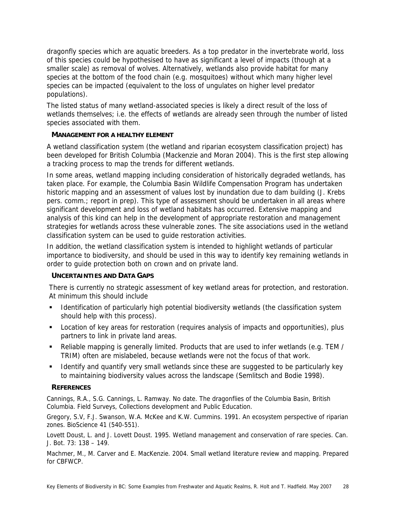dragonfly species which are aquatic breeders. As a top predator in the invertebrate world, loss of this species could be hypothesised to have as significant a level of impacts (though at a smaller scale) as removal of wolves. Alternatively, wetlands also provide habitat for many species at the bottom of the food chain (e.g. mosquitoes) without which many higher level species can be impacted (equivalent to the loss of ungulates on higher level predator populations).

The listed status of many wetland-associated species is likely a direct result of the loss of wetlands themselves; i.e. the effects of wetlands are already seen through the number of listed species associated with them.

# **MANAGEMENT FOR A HEALTHY ELEMENT**

A wetland classification system (the wetland and riparian ecosystem classification project) has been developed for British Columbia (Mackenzie and Moran 2004). This is the first step allowing a tracking process to map the trends for different wetlands.

In some areas, wetland mapping including consideration of historically degraded wetlands, has taken place. For example, the Columbia Basin Wildlife Compensation Program has undertaken historic mapping and an assessment of values lost by inundation due to dam building (J. Krebs pers. comm.; report in prep). This type of assessment should be undertaken in all areas where significant development and loss of wetland habitats has occurred. Extensive mapping and analysis of this kind can help in the development of appropriate restoration and management strategies for wetlands across these vulnerable zones. The site associations used in the wetland classification system can be used to guide restoration activities.

In addition, the wetland classification system is intended to highlight wetlands of particular importance to biodiversity, and should be used in this way to identify key remaining wetlands in order to guide protection both on crown and on private land.

# **UNCERTAINTIES AND DATA GAPS**

There is currently no strategic assessment of key wetland areas for protection, and restoration. At minimum this should include

- **IDENTIFY 11** Identification of particularly high potential biodiversity wetlands (the classification system should help with this process).
- Location of key areas for restoration (requires analysis of impacts and opportunities), plus partners to link in private land areas.
- Reliable mapping is generally limited. Products that are used to infer wetlands (e.g. TEM / TRIM) often are mislabeled, because wetlands were not the focus of that work.
- **I** Identify and quantify very small wetlands since these are suggested to be particularly key to maintaining biodiversity values across the landscape (Semlitsch and Bodie 1998).

# **REFERENCES**

Cannings, R.A., S.G. Cannings, L. Ramway. No date. The dragonflies of the Columbia Basin, British Columbia. Field Surveys, Collections development and Public Education.

Gregory, S.V, F.J. Swanson, W.A. McKee and K.W. Cummins. 1991. An ecosystem perspective of riparian zones. BioScience 41 (540-551).

Lovett Doust, L. and J. Lovett Doust. 1995. Wetland management and conservation of rare species. Can. J. Bot. 73: 138 – 149.

Machmer, M., M. Carver and E. MacKenzie. 2004. Small wetland literature review and mapping. Prepared for CBFWCP.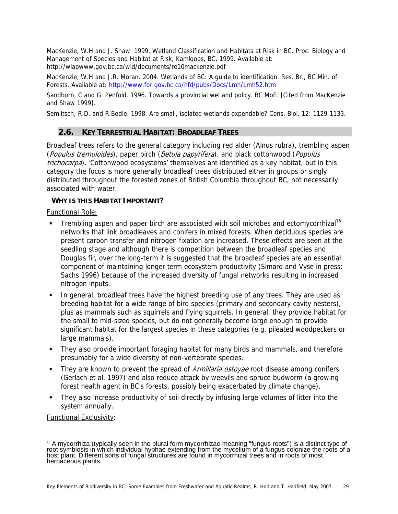MacKenzie, W.H and J. Shaw. 1999. Wetland Classification and Habitats at Risk in BC. Proc. Biology and Management of Species and Habitat at Risk, Kamloops, BC, 1999. Available at: http://wlapwww.gov.bc.ca/wld/documents/re10mackenzie.pdf

MacKenzie, W.H and J.R. Moran. 2004. Wetlands of BC: A guide to identification. Res. Br., BC Min. of Forests. Available at: http://www.for.gov.bc.ca/hfd/pubs/Docs/Lmh/Lmh52.htm

Sandborn, C and G. Penfold. 1996. Towards a provincial wetland policy. BC MoE. [Cited from MacKenzie and Shaw 1999].

Semlitsch, R.D. and R.Bodie. 1998. Are small, isolated wetlands expendable? Cons. Biol. 12: 1129-1133.

# **2.6. KEY TERRESTRIAL HABITAT: BROADLEAF TREES**

Broadleaf trees refers to the general category including red alder (Alnus rubra), trembling aspen (Populus tremuloides), paper birch (Betula papyrifera), and black cottonwood (Populus trichocarpa). 'Cottonwood ecosystems' themselves are identified as a key habitat, but in this category the focus is more generally broadleaf trees distributed either in groups or singly distributed throughout the forested zones of British Columbia throughout BC, not necessarily associated with water.

### **WHY IS THIS HABITAT IMPORTANT?**

Functional Role:

- **Trembling aspen and paper birch are associated with soil microbes and ectomycorrhizal**<sup>16</sup> networks that link broadleaves and conifers in mixed forests. When deciduous species are present carbon transfer and nitrogen fixation are increased. These effects are seen at the seedling stage and although there is competition between the broadleaf species and Douglas fir, over the long-term it is suggested that the broadleaf species are an essential component of maintaining longer term ecosystem productivity (Simard and Vyse in press; Sachs 1996) because of the increased diversity of fungal networks resulting in increased nitrogen inputs.
- In general, broadleaf trees have the highest breeding use of any trees. They are used as breeding habitat for a wide range of bird species (primary and secondary cavity nesters), plus as mammals such as squirrels and flying squirrels. In general, they provide habitat for the small to mid-sized species, but do not generally become large enough to provide significant habitat for the largest species in these categories (e.g. pileated woodpeckers or large mammals).
- They also provide important foraging habitat for many birds and mammals, and therefore presumably for a wide diversity of non-vertebrate species.
- They are known to prevent the spread of *Armillaria ostoyae* root disease among conifers (Gerlach et al. 1997) and also reduce attack by weevils and spruce budworm (a growing forest health agent in BC's forests, possibly being exacerbated by climate change).
- They also increase productivity of soil directly by infusing large volumes of litter into the system annually.

Functional Exclusivity:

-

<sup>&</sup>lt;sup>16</sup> A mycorrhiza (typically seen in the plural form mycorrhizae meaning "fungus roots") is a distinct type of<br>root symbiosis in which individual hyphae extending from the mycelium of a fungus colonize the roots of a<br>host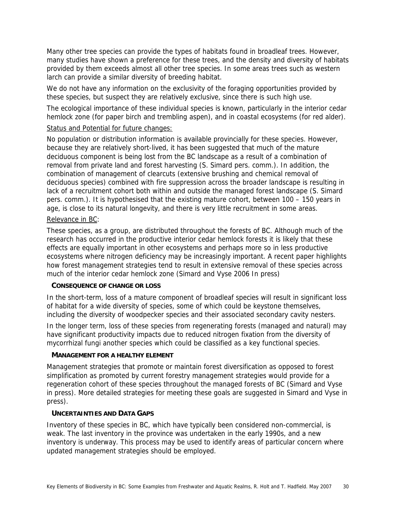Many other tree species can provide the types of habitats found in broadleaf trees. However, many studies have shown a preference for these trees, and the density and diversity of habitats provided by them exceeds almost all other tree species. In some areas trees such as western larch can provide a similar diversity of breeding habitat.

We do not have any information on the exclusivity of the foraging opportunities provided by these species, but suspect they are relatively exclusive, since there is such high use.

The ecological importance of these individual species is known, particularly in the interior cedar hemlock zone (for paper birch and trembling aspen), and in coastal ecosystems (for red alder).

#### Status and Potential for future changes:

No population or distribution information is available provincially for these species. However, because they are relatively short-lived, it has been suggested that much of the mature deciduous component is being lost from the BC landscape as a result of a combination of removal from private land and forest harvesting (S. Simard pers. comm.). In addition, the combination of management of clearcuts (extensive brushing and chemical removal of deciduous species) combined with fire suppression across the broader landscape is resulting in lack of a recruitment cohort both within and outside the managed forest landscape (S. Simard pers. comm.). It is hypothesised that the existing mature cohort, between 100 – 150 years in age, is close to its natural longevity, and there is very little recruitment in some areas.

### Relevance in BC:

These species, as a group, are distributed throughout the forests of BC. Although much of the research has occurred in the productive interior cedar hemlock forests it is likely that these effects are equally important in other ecosystems and perhaps more so in less productive ecosystems where nitrogen deficiency may be increasingly important. A recent paper highlights how forest management strategies tend to result in extensive removal of these species across much of the interior cedar hemlock zone (Simard and Vyse 2006 In press)

#### **CONSEQUENCE OF CHANGE OR LOSS**

In the short-term, loss of a mature component of broadleaf species will result in significant loss of habitat for a wide diversity of species, some of which could be keystone themselves, including the diversity of woodpecker species and their associated secondary cavity nesters.

In the longer term, loss of these species from regenerating forests (managed and natural) may have significant productivity impacts due to reduced nitrogen fixation from the diversity of mycorrhizal fungi another species which could be classified as a key functional species.

#### **MANAGEMENT FOR A HEALTHY ELEMENT**

Management strategies that promote or maintain forest diversification as opposed to forest simplification as promoted by current forestry management strategies would provide for a regeneration cohort of these species throughout the managed forests of BC (Simard and Vyse in press). More detailed strategies for meeting these goals are suggested in Simard and Vyse in press).

#### **UNCERTAINTIES AND DATA GAPS**

Inventory of these species in BC, which have typically been considered non-commercial, is weak. The last inventory in the province was undertaken in the early 1990s, and a new inventory is underway. This process may be used to identify areas of particular concern where updated management strategies should be employed.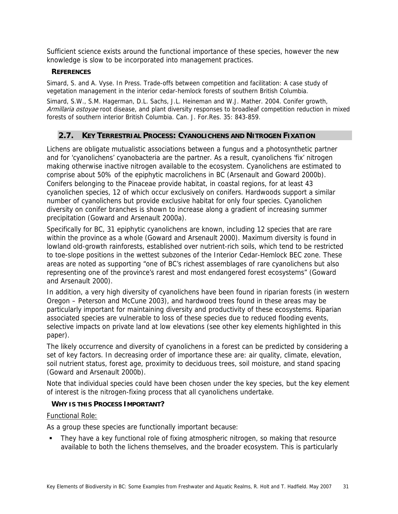Sufficient science exists around the functional importance of these species, however the new knowledge is slow to be incorporated into management practices.

# **REFERENCES**

Simard, S. and A. Vyse. In Press. Trade-offs between competition and facilitation: A case study of vegetation management in the interior cedar-hemlock forests of southern British Columbia.

Simard, S.W., S.M. Hagerman, D.L. Sachs, J.L. Heineman and W.J. Mather. 2004. Conifer growth, Armillaria ostovae root disease, and plant diversity responses to broadleaf competition reduction in mixed forests of southern interior British Columbia. Can. J. For.Res. 35: 843-859.

# **2.7. KEY TERRESTRIAL PROCESS: CYANOLICHENS AND NITROGEN FIXATION**

Lichens are obligate mutualistic associations between a fungus and a photosynthetic partner and for 'cyanolichens' cyanobacteria are the partner. As a result, cyanolichens 'fix' nitrogen making otherwise inactive nitrogen available to the ecosystem. Cyanolichens are estimated to comprise about 50% of the epiphytic macrolichens in BC (Arsenault and Goward 2000b). Conifers belonging to the Pinaceae provide habitat, in coastal regions, for at least 43 cyanolichen species, 12 of which occur exclusively on conifers. Hardwoods support a similar number of cyanolichens but provide exclusive habitat for only four species. Cyanolichen diversity on conifer branches is shown to increase along a gradient of increasing summer precipitation (Goward and Arsenault 2000a).

Specifically for BC, 31 epiphytic cyanolichens are known, including 12 species that are rare within the province as a whole (Goward and Arsenault 2000). Maximum diversity is found in lowland old-growth rainforests, established over nutrient-rich soils, which tend to be restricted to toe-slope positions in the wettest subzones of the Interior Cedar-Hemlock BEC zone. These areas are noted as supporting "one of BC's richest assemblages of rare cyanolichens but also representing one of the province's rarest and most endangered forest ecosystems" (Goward and Arsenault 2000).

In addition, a very high diversity of cyanolichens have been found in riparian forests (in western Oregon – Peterson and McCune 2003), and hardwood trees found in these areas may be particularly important for maintaining diversity and productivity of these ecosystems. Riparian associated species are vulnerable to loss of these species due to reduced flooding events, selective impacts on private land at low elevations (see other key elements highlighted in this paper).

The likely occurrence and diversity of cyanolichens in a forest can be predicted by considering a set of key factors. In decreasing order of importance these are: air quality, climate, elevation, soil nutrient status, forest age, proximity to deciduous trees, soil moisture, and stand spacing (Goward and Arsenault 2000b).

Note that individual species could have been chosen under the key species, but the key element of interest is the nitrogen-fixing process that all cyanolichens undertake.

# **WHY IS THIS PROCESS IMPORTANT?**

## Functional Role:

As a group these species are functionally important because:

 They have a key functional role of fixing atmospheric nitrogen, so making that resource available to both the lichens themselves, and the broader ecosystem. This is particularly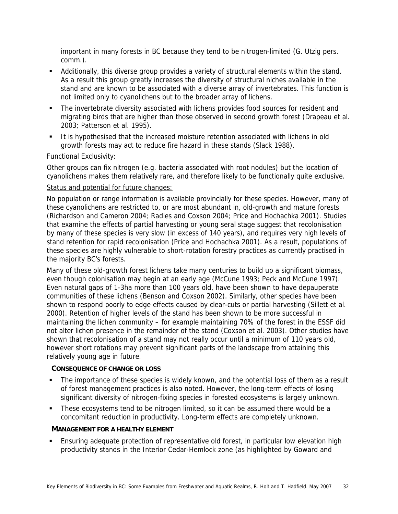important in many forests in BC because they tend to be nitrogen-limited (G. Utzig pers. comm.).

- Additionally, this diverse group provides a variety of structural elements within the stand. As a result this group greatly increases the diversity of structural niches available in the stand and are known to be associated with a diverse array of invertebrates. This function is not limited only to cyanolichens but to the broader array of lichens.
- The invertebrate diversity associated with lichens provides food sources for resident and migrating birds that are higher than those observed in second growth forest (Drapeau et al. 2003; Patterson et al. 1995).
- It is hypothesised that the increased moisture retention associated with lichens in old growth forests may act to reduce fire hazard in these stands (Slack 1988).

# Functional Exclusivity:

Other groups can fix nitrogen (e.g. bacteria associated with root nodules) but the location of cyanolichens makes them relatively rare, and therefore likely to be functionally quite exclusive.

## Status and potential for future changes:

No population or range information is available provincially for these species. However, many of these cyanolichens are restricted to, or are most abundant in, old-growth and mature forests (Richardson and Cameron 2004; Radies and Coxson 2004; Price and Hochachka 2001). Studies that examine the effects of partial harvesting or young seral stage suggest that recolonisation by many of these species is very slow (in excess of 140 years), and requires very high levels of stand retention for rapid recolonisation (Price and Hochachka 2001). As a result, populations of these species are highly vulnerable to short-rotation forestry practices as currently practised in the majority BC's forests.

Many of these old-growth forest lichens take many centuries to build up a significant biomass, even though colonisation may begin at an early age (McCune 1993; Peck and McCune 1997). Even natural gaps of 1-3ha more than 100 years old, have been shown to have depauperate communities of these lichens (Benson and Coxson 2002). Similarly, other species have been shown to respond poorly to edge effects caused by clear-cuts or partial harvesting (Sillett et al. 2000). Retention of higher levels of the stand has been shown to be more successful in maintaining the lichen community – for example maintaining 70% of the forest in the ESSF did not alter lichen presence in the remainder of the stand (Coxson et al. 2003). Other studies have shown that recolonisation of a stand may not really occur until a minimum of 110 years old, however short rotations may prevent significant parts of the landscape from attaining this relatively young age in future.

## **CONSEQUENCE OF CHANGE OR LOSS**

- The importance of these species is widely known, and the potential loss of them as a result of forest management practices is also noted. However, the long-term effects of losing significant diversity of nitrogen-fixing species in forested ecosystems is largely unknown.
- These ecosystems tend to be nitrogen limited, so it can be assumed there would be a concomitant reduction in productivity. Long-term effects are completely unknown.

## **MANAGEMENT FOR A HEALTHY ELEMENT**

**Ensuring adequate protection of representative old forest, in particular low elevation high** productivity stands in the Interior Cedar-Hemlock zone (as highlighted by Goward and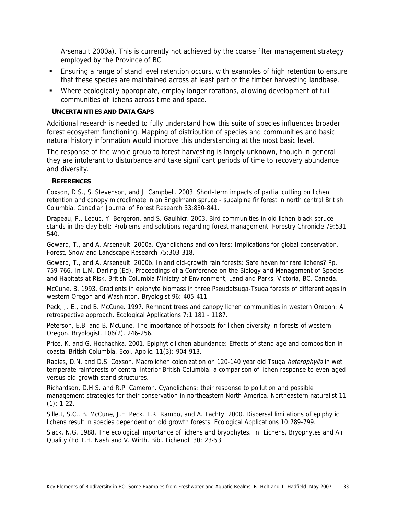Arsenault 2000a). This is currently not achieved by the coarse filter management strategy employed by the Province of BC.

- **Ensuring a range of stand level retention occurs, with examples of high retention to ensure** that these species are maintained across at least part of the timber harvesting landbase.
- Where ecologically appropriate, employ longer rotations, allowing development of full communities of lichens across time and space.

## **UNCERTAINTIES AND DATA GAPS**

Additional research is needed to fully understand how this suite of species influences broader forest ecosystem functioning. Mapping of distribution of species and communities and basic natural history information would improve this understanding at the most basic level.

The response of the whole group to forest harvesting is largely unknown, though in general they are intolerant to disturbance and take significant periods of time to recovery abundance and diversity.

## **REFERENCES**

Coxson, D.S., S. Stevenson, and J. Campbell. 2003. Short-term impacts of partial cutting on lichen retention and canopy microclimate in an Engelmann spruce - subalpine fir forest in north central British Columbia. Canadian Journal of Forest Research 33:830-841.

Drapeau, P., Leduc, Y. Bergeron, and S. Gaulhicr. 2003. Bird communities in old lichen-black spruce stands in the clay belt: Problems and solutions regarding forest management. Forestry Chronicle 79:531- 540.

Goward, T., and A. Arsenault. 2000a. Cyanolichens and conifers: Implications for global conservation. Forest, Snow and Landscape Research 75:303-318.

Goward, T., and A. Arsenault. 2000b. Inland old-growth rain forests: Safe haven for rare lichens? Pp. 759-766, In L.M. Darling (Ed). Proceedings of a Conference on the Biology and Management of Species and Habitats at Risk. British Columbia Ministry of Environment, Land and Parks, Victoria, BC, Canada.

McCune, B. 1993. Gradients in epiphyte biomass in three Pseudotsuga-Tsuga forests of different ages in western Oregon and Washinton. Bryologist 96: 405-411.

Peck, J. E., and B. McCune. 1997. Remnant trees and canopy lichen communities in western Oregon: A retrospective approach. Ecological Applications 7:1 181 - 1187.

Peterson, E.B. and B. McCune. The importance of hotspots for lichen diversity in forests of western Oregon. Bryologist. 106(2). 246-256.

Price, K. and G. Hochachka. 2001. Epiphytic lichen abundance: Effects of stand age and composition in coastal British Columbia. Ecol. Applic. 11(3): 904-913.

Radies, D.N. and D.S. Coxson. Macrolichen colonization on 120-140 year old Tsuga heterophylla in wet temperate rainforests of central-interior British Columbia: a comparison of lichen response to even-aged versus old-growth stand structures.

Richardson, D.H.S. and R.P. Cameron. Cyanolichens: their response to pollution and possible management strategies for their conservation in northeastern North America. Northeastern naturalist 11 (1): 1-22.

Sillett, S.C., B. McCune, J.E. Peck, T.R. Rambo, and A. Tachty. 2000. Dispersal limitations of epiphytic lichens result in species dependent on old growth forests. Ecological Applications 10:789-799.

Slack, N.G. 1988. The ecological importance of lichens and bryophytes. In: Lichens, Bryophytes and Air Quality (Ed T.H. Nash and V. Wirth. Bibl. Lichenol. 30: 23-53.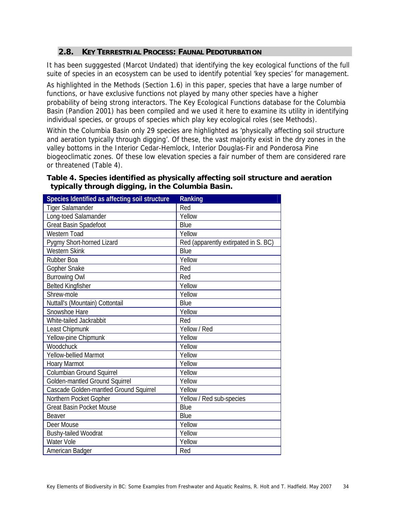# **2.8. KEY TERRESTRIAL PROCESS: FAUNAL PEDOTURBATION**

It has been sugggested (Marcot Undated) that identifying the key ecological functions of the full suite of species in an ecosystem can be used to identify potential 'key species' for management.

As highlighted in the Methods (Section 1.6) in this paper, species that have a large number of functions, or have exclusive functions not played by many other species have a higher probability of being strong interactors. The Key Ecological Functions database for the Columbia Basin (Pandion 2001) has been compiled and we used it here to examine its utility in identifying individual species, or groups of species which play key ecological roles (see Methods).

Within the Columbia Basin only 29 species are highlighted as 'physically affecting soil structure and aeration typically through digging'. Of these, the vast majority exist in the dry zones in the valley bottoms in the Interior Cedar-Hemlock, Interior Douglas-Fir and Ponderosa Pine biogeoclimatic zones. Of these low elevation species a fair number of them are considered rare or threatened (Table 4).

# **Table 4. Species identified as physically affecting soil structure and aeration typically through digging, in the Columbia Basin.**

| Species Identified as affecting soil structure | Ranking                              |
|------------------------------------------------|--------------------------------------|
| <b>Tiger Salamander</b>                        | Red                                  |
| Long-toed Salamander                           | Yellow                               |
| Great Basin Spadefoot                          | Blue                                 |
| <b>Western Toad</b>                            | Yellow                               |
| Pygmy Short-horned Lizard                      | Red (apparently extirpated in S. BC) |
| <b>Western Skink</b>                           | Blue                                 |
| Rubber Boa                                     | Yellow                               |
| Gopher Snake                                   | Red                                  |
| <b>Burrowing Owl</b>                           | Red                                  |
| <b>Belted Kingfisher</b>                       | Yellow                               |
| Shrew-mole                                     | Yellow                               |
| Nuttall's (Mountain) Cottontail                | Blue                                 |
| Snowshoe Hare                                  | Yellow                               |
| White-tailed Jackrabbit                        | Red                                  |
| Least Chipmunk                                 | Yellow / Red                         |
| Yellow-pine Chipmunk                           | Yellow                               |
| Woodchuck                                      | Yellow                               |
| Yellow-bellied Marmot                          | Yellow                               |
| <b>Hoary Marmot</b>                            | Yellow                               |
| Columbian Ground Squirrel                      | Yellow                               |
| Golden-mantled Ground Squirrel                 | Yellow                               |
| Cascade Golden-mantled Ground Squirrel         | Yellow                               |
| Northern Pocket Gopher                         | Yellow / Red sub-species             |
| <b>Great Basin Pocket Mouse</b>                | Blue                                 |
| Beaver                                         | Blue                                 |
| Deer Mouse                                     | Yellow                               |
| <b>Bushy-tailed Woodrat</b>                    | Yellow                               |
| <b>Water Vole</b>                              | Yellow                               |
| American Badger                                | Red                                  |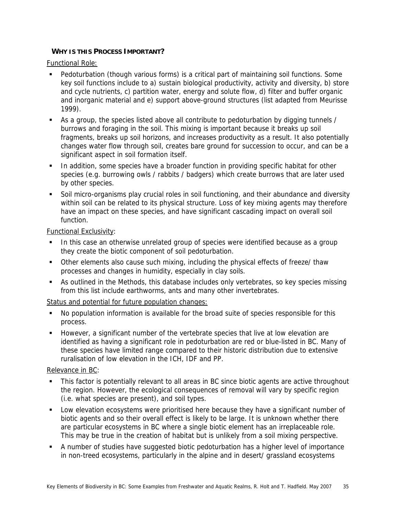# **WHY IS THIS PROCESS IMPORTANT?**

Functional Role:

- Pedoturbation (though various forms) is a critical part of maintaining soil functions. Some key soil functions include to a) sustain biological productivity, activity and diversity, b) store and cycle nutrients, c) partition water, energy and solute flow, d) filter and buffer organic and inorganic material and e) support above-ground structures (list adapted from Meurisse 1999).
- As a group, the species listed above all contribute to pedoturbation by digging tunnels / burrows and foraging in the soil. This mixing is important because it breaks up soil fragments, breaks up soil horizons, and increases productivity as a result. It also potentially changes water flow through soil, creates bare ground for succession to occur, and can be a significant aspect in soil formation itself.
- In addition, some species have a broader function in providing specific habitat for other species (e.g. burrowing owls / rabbits / badgers) which create burrows that are later used by other species.
- Soil micro-organisms play crucial roles in soil functioning, and their abundance and diversity within soil can be related to its physical structure. Loss of key mixing agents may therefore have an impact on these species, and have significant cascading impact on overall soil function.

Functional Exclusivity:

- In this case an otherwise unrelated group of species were identified because as a group they create the biotic component of soil pedoturbation.
- Other elements also cause such mixing, including the physical effects of freeze/ thaw processes and changes in humidity, especially in clay soils.
- As outlined in the Methods, this database includes only vertebrates, so key species missing from this list include earthworms, ants and many other invertebrates.

# Status and potential for future population changes:

- No population information is available for the broad suite of species responsible for this process.
- However, a significant number of the vertebrate species that live at low elevation are identified as having a significant role in pedoturbation are red or blue-listed in BC. Many of these species have limited range compared to their historic distribution due to extensive ruralisation of low elevation in the ICH, IDF and PP.

## Relevance in BC:

- This factor is potentially relevant to all areas in BC since biotic agents are active throughout the region. However, the ecological consequences of removal will vary by specific region (i.e. what species are present), and soil types.
- **Low elevation ecosystems were prioritised here because they have a significant number of** biotic agents and so their overall effect is likely to be large. It is unknown whether there are particular ecosystems in BC where a single biotic element has an irreplaceable role. This may be true in the creation of habitat but is unlikely from a soil mixing perspective.
- A number of studies have suggested biotic pedoturbation has a higher level of importance in non-treed ecosystems, particularly in the alpine and in desert/ grassland ecosystems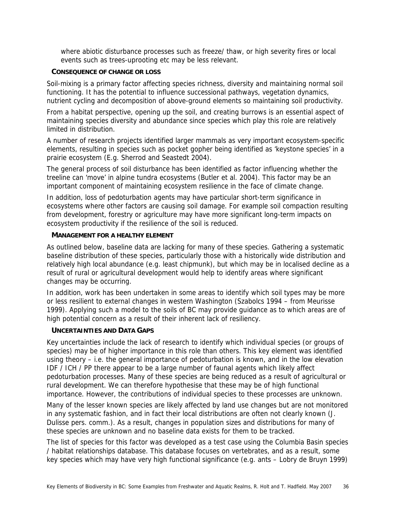where abiotic disturbance processes such as freeze/ thaw, or high severity fires or local events such as trees-uprooting etc may be less relevant.

## **CONSEQUENCE OF CHANGE OR LOSS**

Soil-mixing is a primary factor affecting species richness, diversity and maintaining normal soil functioning. It has the potential to influence successional pathways, vegetation dynamics, nutrient cycling and decomposition of above-ground elements so maintaining soil productivity.

From a habitat perspective, opening up the soil, and creating burrows is an essential aspect of maintaining species diversity and abundance since species which play this role are relatively limited in distribution.

A number of research projects identified larger mammals as very important ecosystem-specific elements, resulting in species such as pocket gopher being identified as 'keystone species' in a prairie ecosystem (E.g. Sherrod and Seastedt 2004).

The general process of soil disturbance has been identified as factor influencing whether the treeline can 'move' in alpine tundra ecosystems (Butler et al. 2004). This factor may be an important component of maintaining ecosystem resilience in the face of climate change.

In addition, loss of pedoturbation agents may have particular short-term significance in ecosystems where other factors are causing soil damage. For example soil compaction resulting from development, forestry or agriculture may have more significant long-term impacts on ecosystem productivity if the resilience of the soil is reduced.

## **MANAGEMENT FOR A HEALTHY ELEMENT**

As outlined below, baseline data are lacking for many of these species. Gathering a systematic baseline distribution of these species, particularly those with a historically wide distribution and relatively high local abundance (e.g. least chipmunk), but which may be in localised decline as a result of rural or agricultural development would help to identify areas where significant changes may be occurring.

In addition, work has been undertaken in some areas to identify which soil types may be more or less resilient to external changes in western Washington (Szabolcs 1994 – from Meurisse 1999). Applying such a model to the soils of BC may provide guidance as to which areas are of high potential concern as a result of their inherent lack of resiliency.

## **UNCERTAINTIES AND DATA GAPS**

Key uncertainties include the lack of research to identify which individual species (or groups of species) may be of higher importance in this role than others. This key element was identified using theory – i.e. the general importance of pedoturbation is known, and in the low elevation IDF / ICH / PP there appear to be a large number of faunal agents which likely affect pedoturbation processes. Many of these species are being reduced as a result of agricultural or rural development. We can therefore hypothesise that these may be of high functional importance. However, the contributions of individual species to these processes are unknown.

Many of the lesser known species are likely affected by land use changes but are not monitored in any systematic fashion, and in fact their local distributions are often not clearly known (J. Dulisse pers. comm.). As a result, changes in population sizes and distributions for many of these species are unknown and no baseline data exists for them to be tracked.

The list of species for this factor was developed as a test case using the Columbia Basin species / habitat relationships database. This database focuses on vertebrates, and as a result, some key species which may have very high functional significance (e.g. ants – Lobry de Bruyn 1999)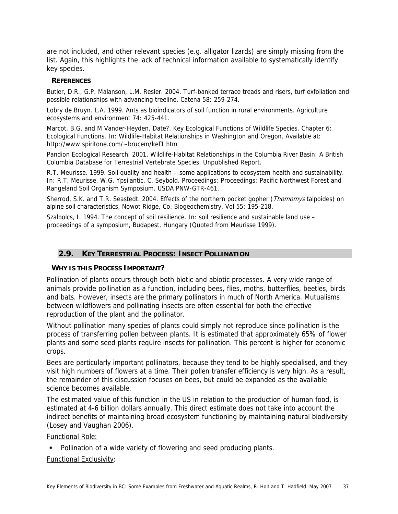are not included, and other relevant species (e.g. alligator lizards) are simply missing from the list. Again, this highlights the lack of technical information available to systematically identify key species.

## **REFERENCES**

Butler, D.R., G.P. Malanson, L.M. Resler. 2004. Turf-banked terrace treads and risers, turf exfoliation and possible relationships with advancing treeline. Catena 58: 259-274.

Lobry de Bruyn. L.A. 1999. Ants as bioindicators of soil function in rural environments. Agriculture ecosystems and environment 74: 425-441.

Marcot, B.G. and M Vander-Heyden. Date?. Key Ecological Functions of Wildlife Species. Chapter 6: Ecological Functions. In: Wildlife-Habitat Relationships in Washington and Oregon. Available at: http://www.spiritone.com/~brucem/kef1.htm

Pandion Ecological Research. 2001. Wildlife-Habitat Relationships in the Columbia River Basin: A British Columbia Database for Terrestrial Vertebrate Species. Unpublished Report.

R.T. Meurisse. 1999. Soil quality and health – some applications to ecosystem health and sustainability. In: R.T. Meurisse, W.G. Ypsilantic, C. Seybold. Proceedings: Proceedings: Pacific Northwest Forest and Rangeland Soil Organism Symposium. USDA PNW-GTR-461.

Sherrod, S.K. and T.R. Seastedt. 2004. Effects of the northern pocket gopher (Thomomys talpoides) on alpine soil characteristics, Nowot Ridge, Co. Biogeochemistry. Vol 55: 195-218.

Szalbolcs, I. 1994. The concept of soil resilience. In: soil resilience and sustainable land use proceedings of a symposium, Budapest, Hungary (Quoted from Meurisse 1999).

# **2.9. KEY TERRESTRIAL PROCESS: INSECT POLLINATION**

# **WHY IS THIS PROCESS IMPORTANT?**

Pollination of plants occurs through both biotic and abiotic processes. A very wide range of animals provide pollination as a function, including bees, flies, moths, butterflies, beetles, birds and bats. However, insects are the primary pollinators in much of North America. Mutualisms between wildflowers and pollinating insects are often essential for both the effective reproduction of the plant and the pollinator.

Without pollination many species of plants could simply not reproduce since pollination is the process of transferring pollen between plants. It is estimated that approximately 65% of flower plants and some seed plants require insects for pollination. This percent is higher for economic crops.

Bees are particularly important pollinators, because they tend to be highly specialised, and they visit high numbers of flowers at a time. Their pollen transfer efficiency is very high. As a result, the remainder of this discussion focuses on bees, but could be expanded as the available science becomes available.

The estimated value of this function in the US in relation to the production of human food, is estimated at 4-6 billion dollars annually. This direct estimate does not take into account the indirect benefits of maintaining broad ecosystem functioning by maintaining natural biodiversity (Losey and Vaughan 2006).

Functional Role:

• Pollination of a wide variety of flowering and seed producing plants.

# Functional Exclusivity: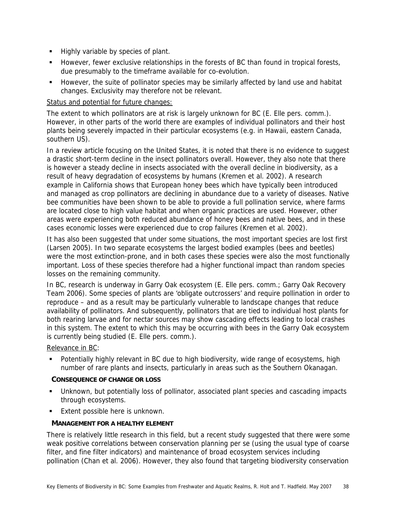- Highly variable by species of plant.
- However, fewer exclusive relationships in the forests of BC than found in tropical forests, due presumably to the timeframe available for co-evolution.
- **However, the suite of pollinator species may be similarly affected by land use and habitat** changes. Exclusivity may therefore not be relevant.

## Status and potential for future changes:

The extent to which pollinators are at risk is largely unknown for BC (E. Elle pers. comm.). However, in other parts of the world there are examples of individual pollinators and their host plants being severely impacted in their particular ecosystems (e.g. in Hawaii, eastern Canada, southern US).

In a review article focusing on the United States, it is noted that there is no evidence to suggest a drastic short-term decline in the insect pollinators overall. However, they also note that there is however a steady decline in insects associated with the overall decline in biodiversity, as a result of heavy degradation of ecosystems by humans (Kremen et al. 2002). A research example in California shows that European honey bees which have typically been introduced and managed as crop pollinators are declining in abundance due to a variety of diseases. Native bee communities have been shown to be able to provide a full pollination service, where farms are located close to high value habitat and when organic practices are used. However, other areas were experiencing both reduced abundance of honey bees and native bees, and in these cases economic losses were experienced due to crop failures (Kremen et al. 2002).

It has also been suggested that under some situations, the most important species are lost first (Larsen 2005). In two separate ecosystems the largest bodied examples (bees and beetles) were the most extinction-prone, and in both cases these species were also the most functionally important. Loss of these species therefore had a higher functional impact than random species losses on the remaining community.

In BC, research is underway in Garry Oak ecosystem (E. Elle pers. comm.; Garry Oak Recovery Team 2006). Some species of plants are 'obligate outcrossers' and require pollination in order to reproduce – and as a result may be particularly vulnerable to landscape changes that reduce availability of pollinators. And subsequently, pollinators that are tied to individual host plants for both rearing larvae and for nectar sources may show cascading effects leading to local crashes in this system. The extent to which this may be occurring with bees in the Garry Oak ecosystem is currently being studied (E. Elle pers. comm.).

Relevance in BC:

 Potentially highly relevant in BC due to high biodiversity, wide range of ecosystems, high number of rare plants and insects, particularly in areas such as the Southern Okanagan.

## **CONSEQUENCE OF CHANGE OR LOSS**

- Unknown, but potentially loss of pollinator, associated plant species and cascading impacts through ecosystems.
- Extent possible here is unknown.

# **MANAGEMENT FOR A HEALTHY ELEMENT**

There is relatively little research in this field, but a recent study suggested that there were some weak positive correlations between conservation planning per se (using the usual type of coarse filter, and fine filter indicators) and maintenance of broad ecosystem services including pollination (Chan et al. 2006). However, they also found that targeting biodiversity conservation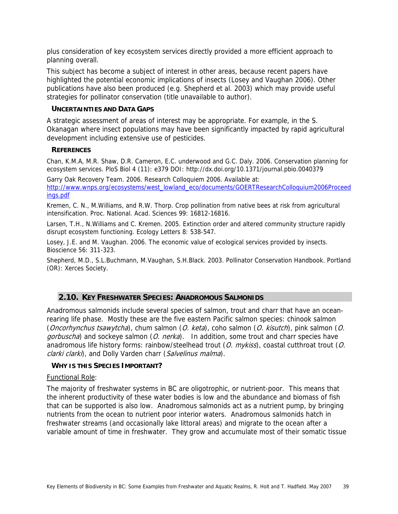plus consideration of key ecosystem services directly provided a more efficient approach to planning overall.

This subject has become a subject of interest in other areas, because recent papers have highlighted the potential economic implications of insects (Losey and Vaughan 2006). Other publications have also been produced (e.g. Shepherd et al. 2003) which may provide useful strategies for pollinator conservation (title unavailable to author).

## **UNCERTAINTIES AND DATA GAPS**

A strategic assessment of areas of interest may be appropriate. For example, in the S. Okanagan where insect populations may have been significantly impacted by rapid agricultural development including extensive use of pesticides.

## **REFERENCES**

Chan, K.M.A, M.R. Shaw, D.R. Cameron, E.C. underwood and G.C. Daly. 2006. Conservation planning for ecosystem services. PloS Biol 4 (11): e379 DOI: http://dx.doi.org/10.1371/journal.pbio.0040379

Garry Oak Recovery Team. 2006. Research Colloquiem 2006. Available at: http://www.wnps.org/ecosystems/west\_lowland\_eco/documents/GOERTResearchColloquium2006Proceed ings.pdf

Kremen, C. N., M.Williams, and R.W. Thorp. Crop pollination from native bees at risk from agricultural intensification. Proc. National. Acad. Sciences 99: 16812-16816.

Larsen, T.H., N.Williams and C. Kremen. 2005. Extinction order and altered community structure rapidly disrupt ecosystem functioning. Ecology Letters 8: 538-547.

Losey, J.E. and M. Vaughan. 2006. The economic value of ecological services provided by insects. Bioscience 56: 311-323.

Shepherd, M.D., S.L.Buchmann, M.Vaughan, S.H.Black. 2003. Pollinator Conservation Handbook. Portland (OR): Xerces Society.

# **2.10. KEY FRESHWATER SPECIES: ANADROMOUS SALMONIDS**

Anadromous salmonids include several species of salmon, trout and charr that have an oceanrearing life phase. Mostly these are the five eastern Pacific salmon species: chinook salmon (Oncorhynchus tsawytcha), chum salmon (O. keta), coho salmon (O. kisutch), pink salmon (O. gorbuscha) and sockeye salmon (O. nerka). In addition, some trout and charr species have anadromous life history forms: rainbow/steelhead trout (O. mykiss), coastal cutthroat trout (O. clarki clarki), and Dolly Varden charr (Salvelinus malma).

## **WHY IS THIS SPECIES IMPORTANT?**

#### Functional Role:

The majority of freshwater systems in BC are oligotrophic, or nutrient-poor. This means that the inherent productivity of these water bodies is low and the abundance and biomass of fish that can be supported is also low. Anadromous salmonids act as a nutrient pump, by bringing nutrients from the ocean to nutrient poor interior waters. Anadromous salmonids hatch in freshwater streams (and occasionally lake littoral areas) and migrate to the ocean after a variable amount of time in freshwater. They grow and accumulate most of their somatic tissue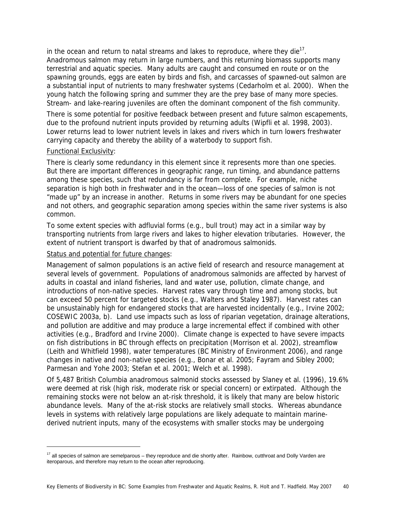in the ocean and return to natal streams and lakes to reproduce, where they die $^{17}$ . Anadromous salmon may return in large numbers, and this returning biomass supports many terrestrial and aquatic species. Many adults are caught and consumed en route or on the spawning grounds, eggs are eaten by birds and fish, and carcasses of spawned-out salmon are a substantial input of nutrients to many freshwater systems (Cedarholm et al. 2000). When the young hatch the following spring and summer they are the prey base of many more species. Stream- and lake-rearing juveniles are often the dominant component of the fish community.

There is some potential for positive feedback between present and future salmon escapements, due to the profound nutrient inputs provided by returning adults (Wipfli et al. 1998, 2003). Lower returns lead to lower nutrient levels in lakes and rivers which in turn lowers freshwater carrying capacity and thereby the ability of a waterbody to support fish.

## Functional Exclusivity:

-

There is clearly some redundancy in this element since it represents more than one species. But there are important differences in geographic range, run timing, and abundance patterns among these species, such that redundancy is far from complete. For example, niche separation is high both in freshwater and in the ocean—loss of one species of salmon is not "made up" by an increase in another. Returns in some rivers may be abundant for one species and not others, and geographic separation among species within the same river systems is also common.

To some extent species with adfluvial forms (e.g., bull trout) may act in a similar way by transporting nutrients from large rivers and lakes to higher elevation tributaries. However, the extent of nutrient transport is dwarfed by that of anadromous salmonids.

Status and potential for future changes:

Management of salmon populations is an active field of research and resource management at several levels of government. Populations of anadromous salmonids are affected by harvest of adults in coastal and inland fisheries, land and water use, pollution, climate change, and introductions of non-native species. Harvest rates vary through time and among stocks, but can exceed 50 percent for targeted stocks (e.g., Walters and Staley 1987). Harvest rates can be unsustainably high for endangered stocks that are harvested incidentally (e.g., Irvine 2002; COSEWIC 2003a, b). Land use impacts such as loss of riparian vegetation, drainage alterations, and pollution are additive and may produce a large incremental effect if combined with other activities (e.g., Bradford and Irvine 2000). Climate change is expected to have severe impacts on fish distributions in BC through effects on precipitation (Morrison et al. 2002), streamflow (Leith and Whitfield 1998), water temperatures (BC Ministry of Environment 2006), and range changes in native and non-native species (e.g., Bonar et al. 2005; Fayram and Sibley 2000; Parmesan and Yohe 2003; Stefan et al. 2001; Welch et al. 1998).

Of 5,487 British Columbia anadromous salmonid stocks assessed by Slaney et al. (1996), 19.6% were deemed at risk (high risk, moderate risk or special concern) or extirpated. Although the remaining stocks were not below an at-risk threshold, it is likely that many are below historic abundance levels. Many of the at-risk stocks are relatively small stocks. Whereas abundance levels in systems with relatively large populations are likely adequate to maintain marinederived nutrient inputs, many of the ecosystems with smaller stocks may be undergoing

 $17$  all species of salmon are semelparous – they reproduce and die shortly after. Rainbow, cutthroat and Dolly Varden are iteroparous, and therefore may return to the ocean after reproducing.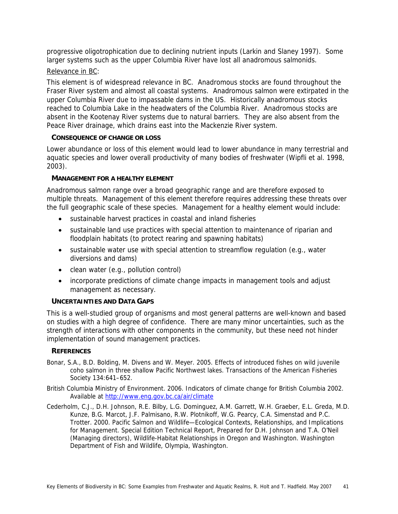progressive oligotrophication due to declining nutrient inputs (Larkin and Slaney 1997). Some larger systems such as the upper Columbia River have lost all anadromous salmonids.

# Relevance in BC:

This element is of widespread relevance in BC. Anadromous stocks are found throughout the Fraser River system and almost all coastal systems. Anadromous salmon were extirpated in the upper Columbia River due to impassable dams in the US. Historically anadromous stocks reached to Columbia Lake in the headwaters of the Columbia River. Anadromous stocks are absent in the Kootenay River systems due to natural barriers. They are also absent from the Peace River drainage, which drains east into the Mackenzie River system.

## **CONSEQUENCE OF CHANGE OR LOSS**

Lower abundance or loss of this element would lead to lower abundance in many terrestrial and aquatic species and lower overall productivity of many bodies of freshwater (Wipfli et al. 1998, 2003).

## **MANAGEMENT FOR A HEALTHY ELEMENT**

Anadromous salmon range over a broad geographic range and are therefore exposed to multiple threats. Management of this element therefore requires addressing these threats over the full geographic scale of these species. Management for a healthy element would include:

- sustainable harvest practices in coastal and inland fisheries
- sustainable land use practices with special attention to maintenance of riparian and floodplain habitats (to protect rearing and spawning habitats)
- sustainable water use with special attention to streamflow regulation (e.g., water diversions and dams)
- clean water (e.g., pollution control)
- incorporate predictions of climate change impacts in management tools and adjust management as necessary.

## **UNCERTAINTIES AND DATA GAPS**

This is a well-studied group of organisms and most general patterns are well-known and based on studies with a high degree of confidence. There are many minor uncertainties, such as the strength of interactions with other components in the community, but these need not hinder implementation of sound management practices.

## **REFERENCES**

- Bonar, S.A., B.D. Bolding, M. Divens and W. Meyer. 2005. Effects of introduced fishes on wild juvenile coho salmon in three shallow Pacific Northwest lakes. Transactions of the American Fisheries Society 134:641–652.
- British Columbia Ministry of Environment. 2006. Indicators of climate change for British Columbia 2002. Available at http://www.eng.gov.bc.ca/air/climate
- Cederholm, C.J., D.H. Johnson, R.E. Bilby, L.G. Dominguez, A.M. Garrett, W.H. Graeber, E.L. Greda, M.D. Kunze, B.G. Marcot, J.F. Palmisano, R.W. Plotnikoff, W.G. Pearcy, C.A. Simenstad and P.C. Trotter. 2000. Pacific Salmon and Wildlife—Ecological Contexts, Relationships, and Implications for Management. Special Edition Technical Report, Prepared for D.H. Johnson and T.A. O'Neil (Managing directors), Wildlife-Habitat Relationships in Oregon and Washington. Washington Department of Fish and Wildlife, Olympia, Washington.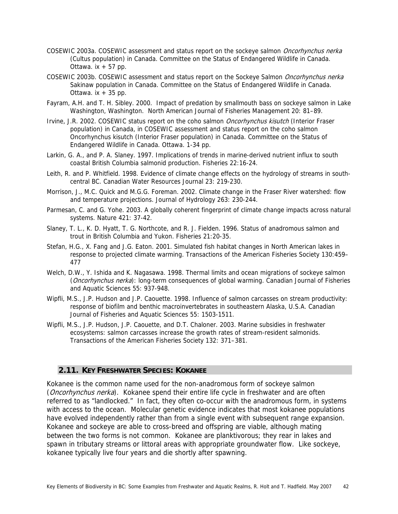- COSEWIC 2003a. COSEWIC assessment and status report on the sockeye salmon *Oncorhynchus nerka* (Cultus population) in Canada. Committee on the Status of Endangered Wildlife in Canada. Ottawa.  $ix + 57$  pp.
- COSEWIC 2003b. COSEWIC assessment and status report on the Sockeye Salmon Oncorhynchus nerka Sakinaw population in Canada. Committee on the Status of Endangered Wildlife in Canada. Ottawa.  $ix + 35$  pp.
- Fayram, A.H. and T. H. Sibley. 2000. Impact of predation by smallmouth bass on sockeye salmon in Lake Washington, Washington. North American Journal of Fisheries Management 20: 81–89.
- Irvine, J.R. 2002. COSEWIC status report on the coho salmon *Oncorhynchus kisutch* (Interior Fraser population) in Canada, in COSEWIC assessment and status report on the coho salmon Oncorhynchus kisutch (Interior Fraser population) in Canada. Committee on the Status of Endangered Wildlife in Canada. Ottawa. 1-34 pp.
- Larkin, G. A., and P. A. Slaney. 1997. Implications of trends in marine-derived nutrient influx to south coastal British Columbia salmonid production. Fisheries 22:16-24.
- Leith, R. and P. Whitfield. 1998. Evidence of climate change effects on the hydrology of streams in southcentral BC. Canadian Water Resources Journal 23: 219-230.
- Morrison, J., M.C. Quick and M.G.G. Foreman. 2002. Climate change in the Fraser River watershed: flow and temperature projections. Journal of Hydrology 263: 230-244.
- Parmesan, C. and G. Yohe. 2003. A globally coherent fingerprint of climate change impacts across natural systems. Nature 421: 37-42.
- Slaney, T. L., K. D. Hyatt, T. G. Northcote, and R. J. Fielden. 1996. Status of anadromous salmon and trout in British Columbia and Yukon. Fisheries 21:20-35.
- Stefan, H.G., X. Fang and J.G. Eaton. 2001. Simulated fish habitat changes in North American lakes in response to projected climate warming. Transactions of the American Fisheries Society 130:459– 477
- Welch, D.W., Y. Ishida and K. Nagasawa. 1998. Thermal limits and ocean migrations of sockeye salmon (Oncorhynchus nerka): long-term consequences of global warming. Canadian Journal of Fisheries and Aquatic Sciences 55: 937-948.
- Wipfli, M.S., J.P. Hudson and J.P. Caouette. 1998. Influence of salmon carcasses on stream productivity: response of biofilm and benthic macroinvertebrates in southeastern Alaska, U.S.A. Canadian Journal of Fisheries and Aquatic Sciences 55: 1503-1511.
- Wipfli, M.S., J.P. Hudson, J.P. Caouette, and D.T. Chaloner. 2003. Marine subsidies in freshwater ecosystems: salmon carcasses increase the growth rates of stream-resident salmonids. Transactions of the American Fisheries Society 132: 371–381.

## **2.11. KEY FRESHWATER SPECIES: KOKANEE**

Kokanee is the common name used for the non-anadromous form of sockeye salmon (*Oncorhynchus nerka*). Kokanee spend their entire life cycle in freshwater and are often referred to as "landlocked." In fact, they often co-occur with the anadromous form, in systems with access to the ocean. Molecular genetic evidence indicates that most kokanee populations have evolved independently rather than from a single event with subsequent range expansion. Kokanee and sockeye are able to cross-breed and offspring are viable, although mating between the two forms is not common. Kokanee are planktivorous; they rear in lakes and spawn in tributary streams or littoral areas with appropriate groundwater flow. Like sockeye, kokanee typically live four years and die shortly after spawning.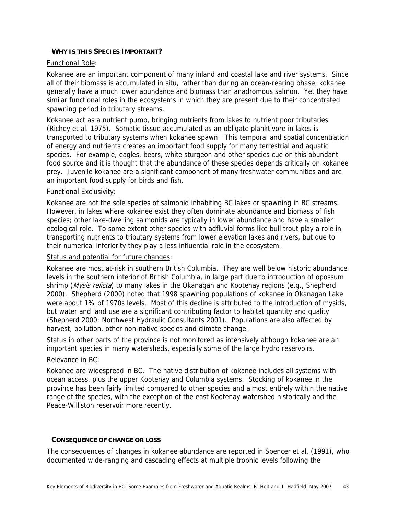# **WHY IS THIS SPECIES IMPORTANT?**

## Functional Role:

Kokanee are an important component of many inland and coastal lake and river systems. Since all of their biomass is accumulated in situ, rather than during an ocean-rearing phase, kokanee generally have a much lower abundance and biomass than anadromous salmon. Yet they have similar functional roles in the ecosystems in which they are present due to their concentrated spawning period in tributary streams.

Kokanee act as a nutrient pump, bringing nutrients from lakes to nutrient poor tributaries (Richey et al. 1975). Somatic tissue accumulated as an obligate planktivore in lakes is transported to tributary systems when kokanee spawn. This temporal and spatial concentration of energy and nutrients creates an important food supply for many terrestrial and aquatic species. For example, eagles, bears, white sturgeon and other species cue on this abundant food source and it is thought that the abundance of these species depends critically on kokanee prey. Juvenile kokanee are a significant component of many freshwater communities and are an important food supply for birds and fish.

## Functional Exclusivity:

Kokanee are not the sole species of salmonid inhabiting BC lakes or spawning in BC streams. However, in lakes where kokanee exist they often dominate abundance and biomass of fish species; other lake-dwelling salmonids are typically in lower abundance and have a smaller ecological role. To some extent other species with adfluvial forms like bull trout play a role in transporting nutrients to tributary systems from lower elevation lakes and rivers, but due to their numerical inferiority they play a less influential role in the ecosystem.

## Status and potential for future changes:

Kokanee are most at-risk in southern British Columbia. They are well below historic abundance levels in the southern interior of British Columbia, in large part due to introduction of opossum shrimp (Mysis relicta) to many lakes in the Okanagan and Kootenay regions (e.g., Shepherd 2000). Shepherd (2000) noted that 1998 spawning populations of kokanee in Okanagan Lake were about 1% of 1970s levels. Most of this decline is attributed to the introduction of mysids, but water and land use are a significant contributing factor to habitat quantity and quality (Shepherd 2000; Northwest Hydraulic Consultants 2001). Populations are also affected by harvest, pollution, other non-native species and climate change.

Status in other parts of the province is not monitored as intensively although kokanee are an important species in many watersheds, especially some of the large hydro reservoirs.

## Relevance in BC:

Kokanee are widespread in BC. The native distribution of kokanee includes all systems with ocean access, plus the upper Kootenay and Columbia systems. Stocking of kokanee in the province has been fairly limited compared to other species and almost entirely within the native range of the species, with the exception of the east Kootenay watershed historically and the Peace-Williston reservoir more recently.

## **CONSEQUENCE OF CHANGE OR LOSS**

The consequences of changes in kokanee abundance are reported in Spencer et al. (1991), who documented wide-ranging and cascading effects at multiple trophic levels following the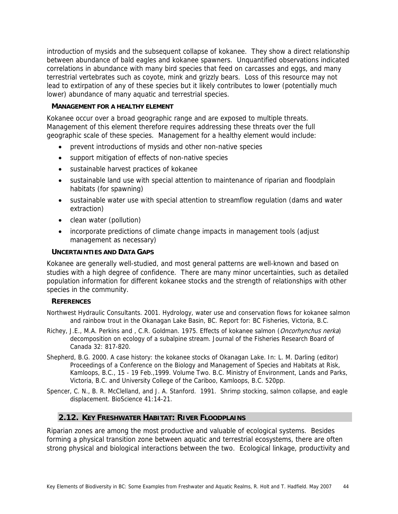introduction of mysids and the subsequent collapse of kokanee. They show a direct relationship between abundance of bald eagles and kokanee spawners. Unquantified observations indicated correlations in abundance with many bird species that feed on carcasses and eggs, and many terrestrial vertebrates such as coyote, mink and grizzly bears. Loss of this resource may not lead to extirpation of any of these species but it likely contributes to lower (potentially much lower) abundance of many aquatic and terrestrial species.

# **MANAGEMENT FOR A HEALTHY ELEMENT**

Kokanee occur over a broad geographic range and are exposed to multiple threats. Management of this element therefore requires addressing these threats over the full geographic scale of these species. Management for a healthy element would include:

- prevent introductions of mysids and other non-native species
- support mitigation of effects of non-native species
- sustainable harvest practices of kokanee
- sustainable land use with special attention to maintenance of riparian and floodplain habitats (for spawning)
- sustainable water use with special attention to streamflow regulation (dams and water extraction)
- clean water (pollution)
- incorporate predictions of climate change impacts in management tools (adjust management as necessary)

## **UNCERTAINTIES AND DATA GAPS**

Kokanee are generally well-studied, and most general patterns are well-known and based on studies with a high degree of confidence. There are many minor uncertainties, such as detailed population information for different kokanee stocks and the strength of relationships with other species in the community.

## **REFERENCES**

Northwest Hydraulic Consultants. 2001. Hydrology, water use and conservation flows for kokanee salmon and rainbow trout in the Okanagan Lake Basin, BC. Report for: BC Fisheries, Victoria, B.C.

- Richey, J.E., M.A. Perkins and , C.R. Goldman. 1975. Effects of kokanee salmon (Oncorhynchus nerka) decomposition on ecology of a subalpine stream. Journal of the Fisheries Research Board of Canada 32: 817-820.
- Shepherd, B.G. 2000. A case history: the kokanee stocks of Okanagan Lake. In: L. M. Darling (editor) Proceedings of a Conference on the Biology and Management of Species and Habitats at Risk, Kamloops, B.C., 15 - 19 Feb.,1999. Volume Two. B.C. Ministry of Environment, Lands and Parks, Victoria, B.C. and University College of the Cariboo, Kamloops, B.C. 520pp.
- Spencer, C. N., B. R. McClelland, and J. A. Stanford. 1991. Shrimp stocking, salmon collapse, and eagle displacement. BioScience 41:14-21.

# **2.12. KEY FRESHWATER HABITAT: RIVER FLOODPLAINS**

Riparian zones are among the most productive and valuable of ecological systems. Besides forming a physical transition zone between aquatic and terrestrial ecosystems, there are often strong physical and biological interactions between the two. Ecological linkage, productivity and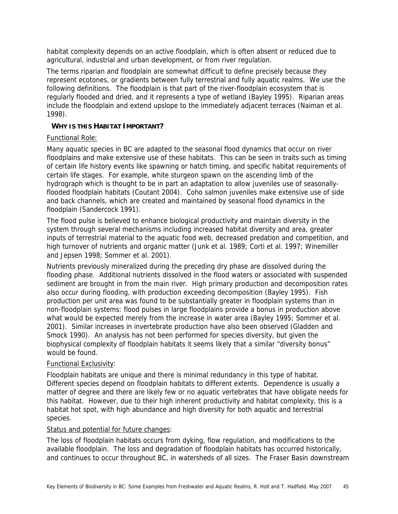habitat complexity depends on an active floodplain, which is often absent or reduced due to agricultural, industrial and urban development, or from river regulation.

The terms riparian and floodplain are somewhat difficult to define precisely because they represent ecotones, or gradients between fully terrestrial and fully aquatic realms. We use the following definitions. The floodplain is that part of the river-floodplain ecosystem that is regularly flooded and dried, and it represents a type of wetland (Bayley 1995). Riparian areas include the floodplain and extend upslope to the immediately adjacent terraces (Naiman et al. 1998).

# **WHY IS THIS HABITAT IMPORTANT?**

# Functional Role:

Many aquatic species in BC are adapted to the seasonal flood dynamics that occur on river floodplains and make extensive use of these habitats. This can be seen in traits such as timing of certain life history events like spawning or hatch timing, and specific habitat requirements of certain life stages. For example, white sturgeon spawn on the ascending limb of the hydrograph which is thought to be in part an adaptation to allow juveniles use of seasonallyflooded floodplain habitats (Coutant 2004). Coho salmon juveniles make extensive use of side and back channels, which are created and maintained by seasonal flood dynamics in the floodplain (Sandercock 1991).

The flood pulse is believed to enhance biological productivity and maintain diversity in the system through several mechanisms including increased habitat diversity and area, greater inputs of terrestrial material to the aquatic food web, decreased predation and competition, and high turnover of nutrients and organic matter (Junk et al. 1989; Corti et al. 1997; Winemiller and Jepsen 1998; Sommer et al. 2001).

Nutrients previously mineralized during the preceding dry phase are dissolved during the flooding phase. Additional nutrients dissolved in the flood waters or associated with suspended sediment are brought in from the main river. High primary production and decomposition rates also occur during flooding, with production exceeding decomposition (Bayley 1995). Fish production per unit area was found to be substantially greater in floodplain systems than in non-floodplain systems: flood pulses in large floodplains provide a bonus in production above what would be expected merely from the increase in water area (Bayley 1995; Sommer et al. 2001). Similar increases in invertebrate production have also been observed (Gladden and Smock 1990). An analysis has not been performed for species diversity, but given the biophysical complexity of floodplain habitats it seems likely that a similar "diversity bonus" would be found.

# Functional Exclusivity:

Floodplain habitats are unique and there is minimal redundancy in this type of habitat. Different species depend on floodplain habitats to different extents. Dependence is usually a matter of degree and there are likely few or no aquatic vertebrates that have obligate needs for this habitat. However, due to their high inherent productivity and habitat complexity, this is a habitat hot spot, with high abundance and high diversity for both aquatic and terrestrial species.

# Status and potential for future changes:

The loss of floodplain habitats occurs from dyking, flow regulation, and modifications to the available floodplain. The loss and degradation of floodplain habitats has occurred historically, and continues to occur throughout BC, in watersheds of all sizes. The Fraser Basin downstream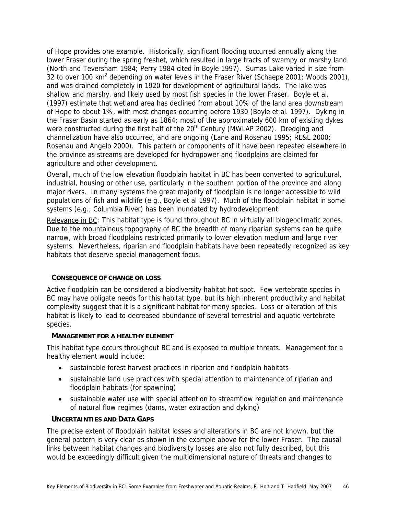of Hope provides one example. Historically, significant flooding occurred annually along the lower Fraser during the spring freshet, which resulted in large tracts of swampy or marshy land (North and Teversham 1984; Perry 1984 cited in Boyle 1997). Sumas Lake varied in size from 32 to over 100 km<sup>2</sup> depending on water levels in the Fraser River (Schaepe 2001; Woods 2001), and was drained completely in 1920 for development of agricultural lands. The lake was shallow and marshy, and likely used by most fish species in the lower Fraser. Boyle et al. (1997) estimate that wetland area has declined from about 10% of the land area downstream of Hope to about 1%, with most changes occurring before 1930 (Boyle et al. 1997). Dyking in the Fraser Basin started as early as 1864; most of the approximately 600 km of existing dykes were constructed during the first half of the 20<sup>th</sup> Century (MWLAP 2002). Dredging and channelization have also occurred, and are ongoing (Lane and Rosenau 1995; RL&L 2000; Rosenau and Angelo 2000). This pattern or components of it have been repeated elsewhere in the province as streams are developed for hydropower and floodplains are claimed for agriculture and other development.

Overall, much of the low elevation floodplain habitat in BC has been converted to agricultural, industrial, housing or other use, particularly in the southern portion of the province and along major rivers. In many systems the great majority of floodplain is no longer accessible to wild populations of fish and wildlife (e.g., Boyle et al 1997). Much of the floodplain habitat in some systems (e.g., Columbia River) has been inundated by hydrodevelopment.

Relevance in BC: This habitat type is found throughout BC in virtually all biogeoclimatic zones. Due to the mountainous topography of BC the breadth of many riparian systems can be quite narrow, with broad floodplains restricted primarily to lower elevation medium and large river systems. Nevertheless, riparian and floodplain habitats have been repeatedly recognized as key habitats that deserve special management focus.

## **CONSEQUENCE OF CHANGE OR LOSS**

Active floodplain can be considered a biodiversity habitat hot spot. Few vertebrate species in BC may have obligate needs for this habitat type, but its high inherent productivity and habitat complexity suggest that it is a significant habitat for many species. Loss or alteration of this habitat is likely to lead to decreased abundance of several terrestrial and aquatic vertebrate species.

## **MANAGEMENT FOR A HEALTHY ELEMENT**

This habitat type occurs throughout BC and is exposed to multiple threats. Management for a healthy element would include:

- sustainable forest harvest practices in riparian and floodplain habitats
- sustainable land use practices with special attention to maintenance of riparian and floodplain habitats (for spawning)
- sustainable water use with special attention to streamflow regulation and maintenance of natural flow regimes (dams, water extraction and dyking)

## **UNCERTAINTIES AND DATA GAPS**

The precise extent of floodplain habitat losses and alterations in BC are not known, but the general pattern is very clear as shown in the example above for the lower Fraser. The causal links between habitat changes and biodiversity losses are also not fully described, but this would be exceedingly difficult given the multidimensional nature of threats and changes to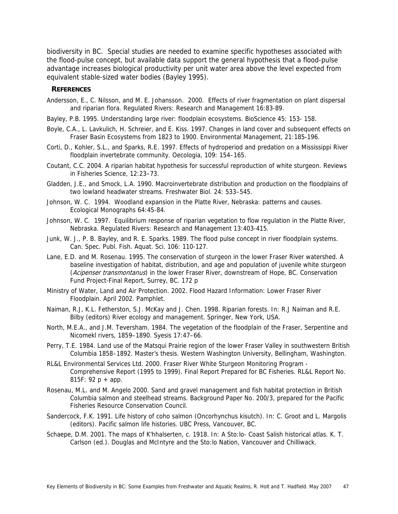biodiversity in BC. Special studies are needed to examine specific hypotheses associated with the flood-pulse concept, but available data support the general hypothesis that a flood-pulse advantage increases biological productivity per unit water area above the level expected from equivalent stable-sized water bodies (Bayley 1995).

#### **REFERENCES**

- Andersson, E., C. Nilsson, and M. E. Johansson. 2000. Effects of river fragmentation on plant dispersal and riparian flora. Regulated Rivers: Research and Management 16:83-89.
- Bayley, P.B. 1995. Understanding large river: floodplain ecosystems. BioScience 45: 153- 158.
- Boyle, C.A., L. Lavkulich, H. Schreier, and E. Kiss. 1997. Changes in land cover and subsequent effects on Fraser Basin Ecosystems from 1823 to 1900. Environmental Management, 21:185-196.
- Corti, D., Kohler, S.L., and Sparks, R.E. 1997. Effects of hydroperiod and predation on a Mississippi River floodplain invertebrate community. Oecologia, 109: 154–165.
- Coutant, C.C. 2004. A riparian habitat hypothesis for successful reproduction of white sturgeon. Reviews in Fisheries Science, 12:23–73.
- Gladden, J.E., and Smock, L.A. 1990. Macroinvertebrate distribution and production on the floodplains of two lowland headwater streams. Freshwater Biol. 24: 533–545.
- Johnson, W. C. 1994. Woodland expansion in the Platte River, Nebraska: patterns and causes. Ecological Monographs 64:45-84.
- Johnson, W. C. 1997. Equilibrium response of riparian vegetation to flow regulation in the Platte River, Nebraska. Regulated Rivers: Research and Management 13:403-415.
- Junk, W. J., P. B. Bayley, and R. E. Sparks. 1989. The flood pulse concept in river floodplain systems. Can. Spec. Publ. Fish. Aquat. Sci. 106: 110-127.
- Lane, E.D. and M. Rosenau. 1995. The conservation of sturgeon in the lower Fraser River watershed. A baseline investigation of habitat, distribution, and age and population of juvenile white sturgeon (Acipenser transmontanus) in the lower Fraser River, downstream of Hope, BC. Conservation Fund Project-Final Report, Surrey, BC. 172 p
- Ministry of Water, Land and Air Protection. 2002. Flood Hazard Information: Lower Fraser River Floodplain. April 2002. Pamphlet.
- Naiman, R.J, K.L. Fetherston, S.J. McKay and J. Chen. 1998. Riparian forests. In: R.J Naiman and R.E. Bilby (editors) River ecology and management. Springer, New York, USA.
- North, M.E.A., and J.M. Teversham. 1984. The vegetation of the floodplain of the Fraser, Serpentine and Nicomekl rivers, 1859–1890. Syesis 17:47–66.
- Perry, T.E. 1984. Land use of the Matsqui Prairie region of the lower Fraser Valley in southwestern British Columbia 1858–1892. Master's thesis. Western Washington University, Bellingham, Washington.
- RL&L Environmental Services Ltd. 2000. Fraser River White Sturgeon Monitoring Program Comprehensive Report (1995 to 1999). Final Report Prepared for BC Fisheries. RL&L Report No. 815F:  $92 p + app$ .
- Rosenau, M.L. and M. Angelo 2000. Sand and gravel management and fish habitat protection in British Columbia salmon and steelhead streams. Background Paper No. 200/3, prepared for the Pacific Fisheries Resource Conservation Council.
- Sandercock, F.K. 1991. Life history of coho salmon (Oncorhynchus kisutch). In: C. Groot and L. Margolis (editors). Pacific salmon life histories. UBC Press, Vancouver, BC.
- Schaepe, D.M. 2001. The maps of K'hhalserten, c. 1918. In: A Sto:lo- Coast Salish historical atlas. K. T. Carlson (ed.). Douglas and McIntyre and the Sto:lo Nation, Vancouver and Chilliwack.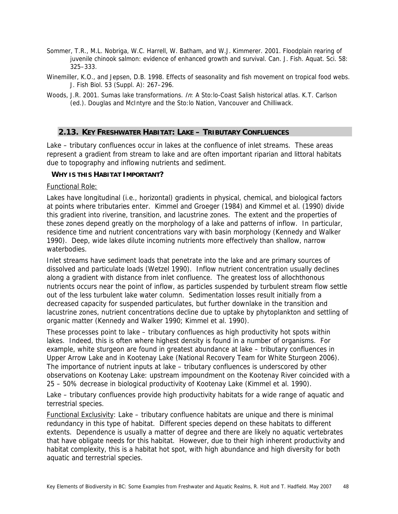- Sommer, T.R., M.L. Nobriga, W.C. Harrell, W. Batham, and W.J. Kimmerer. 2001. Floodplain rearing of juvenile chinook salmon: evidence of enhanced growth and survival. Can. J. Fish. Aquat. Sci. 58: 325–333.
- Winemiller, K.O., and Jepsen, D.B. 1998. Effects of seasonality and fish movement on tropical food webs. J. Fish Biol. 53 (Suppl. A): 267–296.
- Woods, J.R. 2001. Sumas lake transformations. In: A Sto:lo-Coast Salish historical atlas. K.T. Carlson (ed.). Douglas and McIntyre and the Sto:lo Nation, Vancouver and Chilliwack.

# **2.13. KEY FRESHWATER HABITAT: LAKE – TRIBUTARY CONFLUENCES**

Lake – tributary confluences occur in lakes at the confluence of inlet streams. These areas represent a gradient from stream to lake and are often important riparian and littoral habitats due to topography and inflowing nutrients and sediment.

## **WHY IS THIS HABITAT IMPORTANT?**

## Functional Role:

Lakes have longitudinal (i.e., horizontal) gradients in physical, chemical, and biological factors at points where tributaries enter. Kimmel and Groeger (1984) and Kimmel et al. (1990) divide this gradient into riverine, transition, and lacustrine zones. The extent and the properties of these zones depend greatly on the morphology of a lake and patterns of inflow. In particular, residence time and nutrient concentrations vary with basin morphology (Kennedy and Walker 1990). Deep, wide lakes dilute incoming nutrients more effectively than shallow, narrow waterbodies.

Inlet streams have sediment loads that penetrate into the lake and are primary sources of dissolved and particulate loads (Wetzel 1990). Inflow nutrient concentration usually declines along a gradient with distance from inlet confluence. The greatest loss of allochthonous nutrients occurs near the point of inflow, as particles suspended by turbulent stream flow settle out of the less turbulent lake water column. Sedimentation losses result initially from a decreased capacity for suspended particulates, but further downlake in the transition and lacustrine zones, nutrient concentrations decline due to uptake by phytoplankton and settling of organic matter (Kennedy and Walker 1990; Kimmel et al. 1990).

These processes point to lake – tributary confluences as high productivity hot spots within lakes. Indeed, this is often where highest density is found in a number of organisms. For example, white sturgeon are found in greatest abundance at lake – tributary confluences in Upper Arrow Lake and in Kootenay Lake (National Recovery Team for White Sturgeon 2006). The importance of nutrient inputs at lake – tributary confluences is underscored by other observations on Kootenay Lake: upstream impoundment on the Kootenay River coincided with a 25 – 50% decrease in biological productivity of Kootenay Lake (Kimmel et al. 1990).

Lake – tributary confluences provide high productivity habitats for a wide range of aquatic and terrestrial species.

Functional Exclusivity: Lake – tributary confluence habitats are unique and there is minimal redundancy in this type of habitat. Different species depend on these habitats to different extents. Dependence is usually a matter of degree and there are likely no aquatic vertebrates that have obligate needs for this habitat. However, due to their high inherent productivity and habitat complexity, this is a habitat hot spot, with high abundance and high diversity for both aquatic and terrestrial species.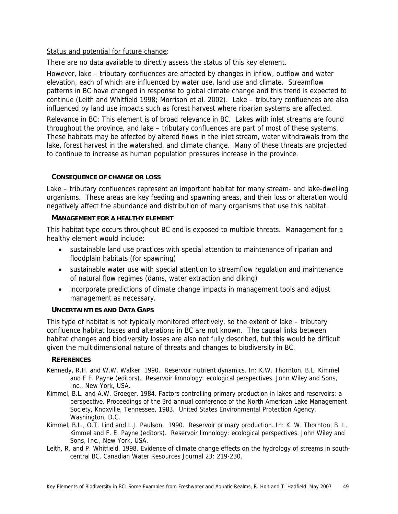# Status and potential for future change:

There are no data available to directly assess the status of this key element.

However, lake – tributary confluences are affected by changes in inflow, outflow and water elevation, each of which are influenced by water use, land use and climate. Streamflow patterns in BC have changed in response to global climate change and this trend is expected to continue (Leith and Whitfield 1998; Morrison et al. 2002). Lake – tributary confluences are also influenced by land use impacts such as forest harvest where riparian systems are affected.

Relevance in BC: This element is of broad relevance in BC. Lakes with inlet streams are found throughout the province, and lake – tributary confluences are part of most of these systems. These habitats may be affected by altered flows in the inlet stream, water withdrawals from the lake, forest harvest in the watershed, and climate change. Many of these threats are projected to continue to increase as human population pressures increase in the province.

## **CONSEQUENCE OF CHANGE OR LOSS**

Lake – tributary confluences represent an important habitat for many stream- and lake-dwelling organisms. These areas are key feeding and spawning areas, and their loss or alteration would negatively affect the abundance and distribution of many organisms that use this habitat.

## **MANAGEMENT FOR A HEALTHY ELEMENT**

This habitat type occurs throughout BC and is exposed to multiple threats. Management for a healthy element would include:

- sustainable land use practices with special attention to maintenance of riparian and floodplain habitats (for spawning)
- sustainable water use with special attention to streamflow regulation and maintenance of natural flow regimes (dams, water extraction and diking)
- incorporate predictions of climate change impacts in management tools and adjust management as necessary.

# **UNCERTAINTIES AND DATA GAPS**

This type of habitat is not typically monitored effectively, so the extent of lake – tributary confluence habitat losses and alterations in BC are not known. The causal links between habitat changes and biodiversity losses are also not fully described, but this would be difficult given the multidimensional nature of threats and changes to biodiversity in BC.

## **REFERENCES**

- Kennedy, R.H. and W.W. Walker. 1990. Reservoir nutrient dynamics. In: K.W. Thornton, B.L. Kimmel and F E. Payne (editors). Reservoir limnology: ecological perspectives. John Wiley and Sons, Inc., New York, USA.
- Kimmel, B.L. and A.W. Groeger. 1984. Factors controlling primary production in lakes and reservoirs: a perspective. Proceedings of the 3rd annual conference of the North American Lake Management Society, Knoxville, Tennessee, 1983. United States Environmental Protection Agency, Washington, D.C.
- Kimmel, B.L., O.T. Lind and L.J. Paulson. 1990. Reservoir primary production. In: K. W. Thornton, B. L. Kimmel and F. E. Payne (editors). Reservoir limnology: ecological perspectives. John Wiley and Sons, Inc., New York, USA.
- Leith, R. and P. Whitfield. 1998. Evidence of climate change effects on the hydrology of streams in southcentral BC. Canadian Water Resources Journal 23: 219-230.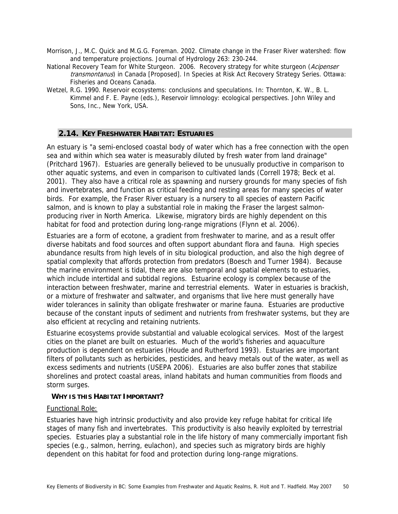- Morrison, J., M.C. Quick and M.G.G. Foreman. 2002. Climate change in the Fraser River watershed: flow and temperature projections. Journal of Hydrology 263: 230-244.
- National Recovery Team for White Sturgeon. 2006. Recovery strategy for white sturgeon (Acipenser transmontanus) in Canada [Proposed]. In Species at Risk Act Recovery Strategy Series. Ottawa: Fisheries and Oceans Canada.
- Wetzel, R.G. 1990. Reservoir ecosystems: conclusions and speculations. In: Thornton, K. W., B. L. Kimmel and F. E. Payne (eds.), Reservoir limnology: ecological perspectives. John Wiley and Sons, Inc., New York, USA.

# **2.14. KEY FRESHWATER HABITAT: ESTUARIES**

An estuary is "a semi-enclosed coastal body of water which has a free connection with the open sea and within which sea water is measurably diluted by fresh water from land drainage" (Pritchard 1967). Estuaries are generally believed to be unusually productive in comparison to other aquatic systems, and even in comparison to cultivated lands (Correll 1978; Beck et al. 2001). They also have a critical role as spawning and nursery grounds for many species of fish and invertebrates, and function as critical feeding and resting areas for many species of water birds. For example, the Fraser River estuary is a nursery to all species of eastern Pacific salmon, and is known to play a substantial role in making the Fraser the largest salmonproducing river in North America. Likewise, migratory birds are highly dependent on this habitat for food and protection during long-range migrations (Flynn et al. 2006).

Estuaries are a form of ecotone, a gradient from freshwater to marine, and as a result offer diverse habitats and food sources and often support abundant flora and fauna. High species abundance results from high levels of in situ biological production, and also the high degree of spatial complexity that affords protection from predators (Boesch and Turner 1984). Because the marine environment is tidal, there are also temporal and spatial elements to estuaries, which include intertidal and subtidal regions. Estuarine ecology is complex because of the interaction between freshwater, marine and terrestrial elements. Water in estuaries is brackish, or a mixture of freshwater and saltwater, and organisms that live here must generally have wider tolerances in salinity than obligate freshwater or marine fauna. Estuaries are productive because of the constant inputs of sediment and nutrients from freshwater systems, but they are also efficient at recycling and retaining nutrients.

Estuarine ecosystems provide substantial and valuable ecological services. Most of the largest cities on the planet are built on estuaries. Much of the world's fisheries and aquaculture production is dependent on estuaries (Houde and Rutherford 1993). Estuaries are important filters of pollutants such as herbicides, pesticides, and heavy metals out of the water, as well as excess sediments and nutrients (USEPA 2006). Estuaries are also buffer zones that stabilize shorelines and protect coastal areas, inland habitats and human communities from floods and storm surges.

## **WHY IS THIS HABITAT IMPORTANT?**

## Functional Role:

Estuaries have high intrinsic productivity and also provide key refuge habitat for critical life stages of many fish and invertebrates. This productivity is also heavily exploited by terrestrial species. Estuaries play a substantial role in the life history of many commercially important fish species (e.g., salmon, herring, eulachon), and species such as migratory birds are highly dependent on this habitat for food and protection during long-range migrations.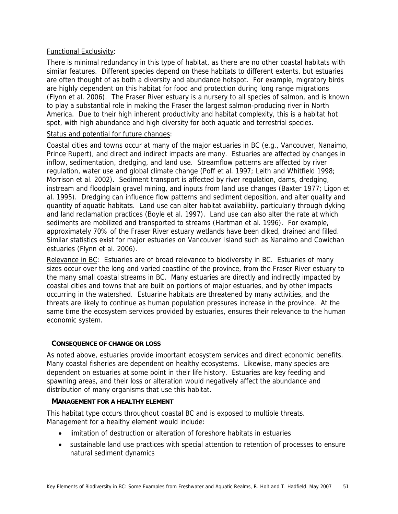# Functional Exclusivity:

There is minimal redundancy in this type of habitat, as there are no other coastal habitats with similar features. Different species depend on these habitats to different extents, but estuaries are often thought of as both a diversity and abundance hotspot. For example, migratory birds are highly dependent on this habitat for food and protection during long range migrations (Flynn et al. 2006). The Fraser River estuary is a nursery to all species of salmon, and is known to play a substantial role in making the Fraser the largest salmon-producing river in North America. Due to their high inherent productivity and habitat complexity, this is a habitat hot spot, with high abundance and high diversity for both aquatic and terrestrial species.

## Status and potential for future changes:

Coastal cities and towns occur at many of the major estuaries in BC (e.g., Vancouver, Nanaimo, Prince Rupert), and direct and indirect impacts are many. Estuaries are affected by changes in inflow, sedimentation, dredging, and land use. Streamflow patterns are affected by river regulation, water use and global climate change (Poff et al. 1997; Leith and Whitfield 1998; Morrison et al. 2002). Sediment transport is affected by river regulation, dams, dredging, instream and floodplain gravel mining, and inputs from land use changes (Baxter 1977; Ligon et al. 1995). Dredging can influence flow patterns and sediment deposition, and alter quality and quantity of aquatic habitats. Land use can alter habitat availability, particularly through dyking and land reclamation practices (Boyle et al. 1997). Land use can also alter the rate at which sediments are mobilized and transported to streams (Hartman et al. 1996). For example, approximately 70% of the Fraser River estuary wetlands have been diked, drained and filled. Similar statistics exist for major estuaries on Vancouver Island such as Nanaimo and Cowichan estuaries (Flynn et al. 2006).

Relevance in BC: Estuaries are of broad relevance to biodiversity in BC. Estuaries of many sizes occur over the long and varied coastline of the province, from the Fraser River estuary to the many small coastal streams in BC. Many estuaries are directly and indirectly impacted by coastal cities and towns that are built on portions of major estuaries, and by other impacts occurring in the watershed. Estuarine habitats are threatened by many activities, and the threats are likely to continue as human population pressures increase in the province. At the same time the ecosystem services provided by estuaries, ensures their relevance to the human economic system.

# **CONSEQUENCE OF CHANGE OR LOSS**

As noted above, estuaries provide important ecosystem services and direct economic benefits. Many coastal fisheries are dependent on healthy ecosystems. Likewise, many species are dependent on estuaries at some point in their life history. Estuaries are key feeding and spawning areas, and their loss or alteration would negatively affect the abundance and distribution of many organisms that use this habitat.

# **MANAGEMENT FOR A HEALTHY ELEMENT**

This habitat type occurs throughout coastal BC and is exposed to multiple threats. Management for a healthy element would include:

- limitation of destruction or alteration of foreshore habitats in estuaries
- sustainable land use practices with special attention to retention of processes to ensure natural sediment dynamics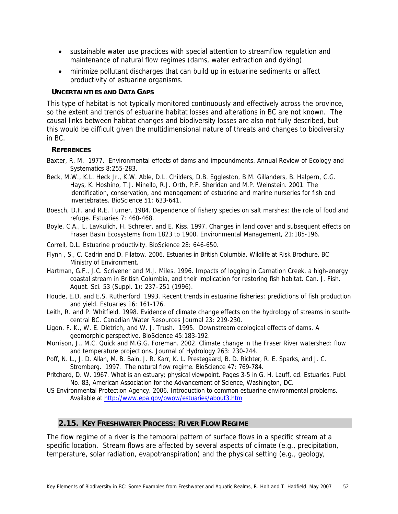- sustainable water use practices with special attention to streamflow regulation and maintenance of natural flow regimes (dams, water extraction and dyking)
- minimize pollutant discharges that can build up in estuarine sediments or affect productivity of estuarine organisms.

### **UNCERTAINTIES AND DATA GAPS**

This type of habitat is not typically monitored continuously and effectively across the province, so the extent and trends of estuarine habitat losses and alterations in BC are not known. The causal links between habitat changes and biodiversity losses are also not fully described, but this would be difficult given the multidimensional nature of threats and changes to biodiversity in BC.

## **REFERENCES**

- Baxter, R. M. 1977. Environmental effects of dams and impoundments. Annual Review of Ecology and Systematics 8:255-283.
- Beck, M.W., K.L. Heck Jr., K.W. Able, D.L. Childers, D.B. Eggleston, B.M. Gillanders, B. Halpern, C.G. Hays, K. Hoshino, T.J. Minello, R.J. Orth, P.F. Sheridan and M.P. Weinstein. 2001. The identification, conservation, and management of estuarine and marine nurseries for fish and invertebrates. BioScience 51: 633-641.
- Boesch, D.F. and R.E. Turner. 1984. Dependence of fishery species on salt marshes: the role of food and refuge. Estuaries 7: 460-468.
- Boyle, C.A., L. Lavkulich, H. Schreier, and E. Kiss. 1997. Changes in land cover and subsequent effects on Fraser Basin Ecosystems from 1823 to 1900. Environmental Management, 21:185-196.
- Correll, D.L. Estuarine productivity. BioScience 28: 646-650.
- Flynn , S., C. Cadrin and D. Filatow. 2006. Estuaries in British Columbia. Wildlife at Risk Brochure. BC Ministry of Environment.
- Hartman, G.F., J.C. Scrivener and M.J. Miles. 1996. Impacts of logging in Carnation Creek, a high-energy coastal stream in British Columbia, and their implication for restoring fish habitat. Can. J. Fish. Aquat. Sci. 53 (Suppl. 1): 237–251 (1996).
- Houde, E.D. and E.S. Rutherford. 1993. Recent trends in estuarine fisheries: predictions of fish production and yield. Estuaries 16: 161-176.
- Leith, R. and P. Whitfield. 1998. Evidence of climate change effects on the hydrology of streams in southcentral BC. Canadian Water Resources Journal 23: 219-230.
- Ligon, F. K., W. E. Dietrich, and W. J. Trush. 1995. Downstream ecological effects of dams. A geomorphic perspective. BioScience 45:183-192.
- Morrison, J., M.C. Quick and M.G.G. Foreman. 2002. Climate change in the Fraser River watershed: flow and temperature projections. Journal of Hydrology 263: 230-244.
- Poff, N. L., J. D. Allan, M. B. Bain, J. R. Karr, K. L. Prestegaard, B. D. Richter, R. E. Sparks, and J. C. Stromberg. 1997. The natural flow regime. BioScience 47: 769-784.
- Pritchard, D. W. 1967. What is an estuary; physical viewpoint. Pages 3-5 in G. H. Lauff, ed. Estuaries. Publ. No. 83, American Association for the Advancement of Science, Washington, DC.
- US Environmental Protection Agency. 2006. Introduction to common estuarine environmental problems. Available at http://www.epa.gov/owow/estuaries/about3.htm

# **2.15. KEY FRESHWATER PROCESS: RIVER FLOW REGIME**

The flow regime of a river is the temporal pattern of surface flows in a specific stream at a specific location. Stream flows are affected by several aspects of climate (e.g., precipitation, temperature, solar radiation, evapotranspiration) and the physical setting (e.g., geology,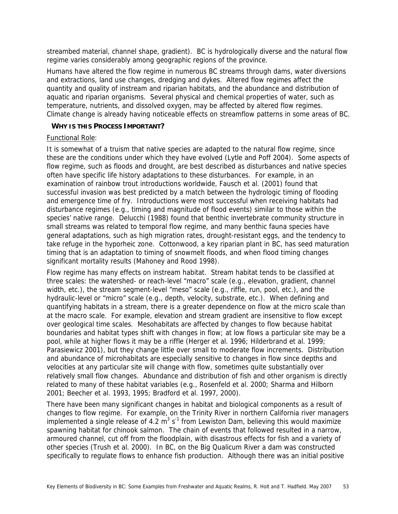streambed material, channel shape, gradient). BC is hydrologically diverse and the natural flow regime varies considerably among geographic regions of the province.

Humans have altered the flow regime in numerous BC streams through dams, water diversions and extractions, land use changes, dredging and dykes. Altered flow regimes affect the quantity and quality of instream and riparian habitats, and the abundance and distribution of aquatic and riparian organisms. Several physical and chemical properties of water, such as temperature, nutrients, and dissolved oxygen, may be affected by altered flow regimes. Climate change is already having noticeable effects on streamflow patterns in some areas of BC.

## **WHY IS THIS PROCESS IMPORTANT?**

## Functional Role:

It is somewhat of a truism that native species are adapted to the natural flow regime, since these are the conditions under which they have evolved (Lytle and Poff 2004). Some aspects of flow regime, such as floods and drought, are best described as disturbances and native species often have specific life history adaptations to these disturbances. For example, in an examination of rainbow trout introductions worldwide, Fausch et al. (2001) found that successful invasion was best predicted by a match between the hydrologic timing of flooding and emergence time of fry. Introductions were most successful when receiving habitats had disturbance regimes (e.g., timing and magnitude of flood events) similar to those within the species' native range. Delucchi (1988) found that benthic invertebrate community structure in small streams was related to temporal flow regime, and many benthic fauna species have general adaptations, such as high migration rates, drought-resistant eggs, and the tendency to take refuge in the hyporheic zone. Cottonwood, a key riparian plant in BC, has seed maturation timing that is an adaptation to timing of snowmelt floods, and when flood timing changes significant mortality results (Mahoney and Rood 1998).

Flow regime has many effects on instream habitat. Stream habitat tends to be classified at three scales: the watershed- or reach-level "macro" scale (e.g., elevation, gradient, channel width, etc.), the stream segment-level "meso" scale (e.g., riffle, run, pool, etc.), and the hydraulic-level or "micro" scale (e.g., depth, velocity, substrate, etc.). When defining and quantifying habitats in a stream, there is a greater dependence on flow at the micro scale than at the macro scale. For example, elevation and stream gradient are insensitive to flow except over geological time scales. Mesohabitats are affected by changes to flow because habitat boundaries and habitat types shift with changes in flow; at low flows a particular site may be a pool, while at higher flows it may be a riffle (Herger et al. 1996; Hilderbrand et al. 1999; Parasiewicz 2001), but they change little over small to moderate flow increments. Distribution and abundance of microhabitats are especially sensitive to changes in flow since depths and velocities at any particular site will change with flow, sometimes quite substantially over relatively small flow changes. Abundance and distribution of fish and other organism is directly related to many of these habitat variables (e.g., Rosenfeld et al. 2000; Sharma and Hilborn 2001; Beecher et al. 1993, 1995; Bradford et al. 1997, 2000).

There have been many significant changes in habitat and biological components as a result of changes to flow regime. For example, on the Trinity River in northern California river managers implemented a single release of 4.2  $m^3 s^{-1}$  from Lewiston Dam, believing this would maximize spawning habitat for chinook salmon. The chain of events that followed resulted in a narrow, armoured channel, cut off from the floodplain, with disastrous effects for fish and a variety of other species (Trush et al. 2000). In BC, on the Big Qualicum River a dam was constructed specifically to regulate flows to enhance fish production. Although there was an initial positive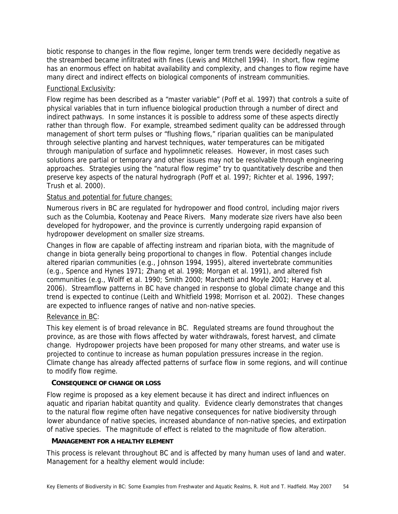biotic response to changes in the flow regime, longer term trends were decidedly negative as the streambed became infiltrated with fines (Lewis and Mitchell 1994). In short, flow regime has an enormous effect on habitat availability and complexity, and changes to flow regime have many direct and indirect effects on biological components of instream communities.

# Functional Exclusivity:

Flow regime has been described as a "master variable" (Poff et al. 1997) that controls a suite of physical variables that in turn influence biological production through a number of direct and indirect pathways. In some instances it is possible to address some of these aspects directly rather than through flow. For example, streambed sediment quality can be addressed through management of short term pulses or "flushing flows," riparian qualities can be manipulated through selective planting and harvest techniques, water temperatures can be mitigated through manipulation of surface and hypolimnetic releases. However, in most cases such solutions are partial or temporary and other issues may not be resolvable through engineering approaches. Strategies using the "natural flow regime" try to quantitatively describe and then preserve key aspects of the natural hydrograph (Poff et al. 1997; Richter et al. 1996, 1997; Trush et al. 2000).

# Status and potential for future changes:

Numerous rivers in BC are regulated for hydropower and flood control, including major rivers such as the Columbia, Kootenay and Peace Rivers. Many moderate size rivers have also been developed for hydropower, and the province is currently undergoing rapid expansion of hydropower development on smaller size streams.

Changes in flow are capable of affecting instream and riparian biota, with the magnitude of change in biota generally being proportional to changes in flow. Potential changes include altered riparian communities (e.g., Johnson 1994, 1995), altered invertebrate communities (e.g., Spence and Hynes 1971; Zhang et al. 1998; Morgan et al. 1991), and altered fish communities (e.g., Wolff et al. 1990; Smith 2000; Marchetti and Moyle 2001; Harvey et al. 2006). Streamflow patterns in BC have changed in response to global climate change and this trend is expected to continue (Leith and Whitfield 1998; Morrison et al. 2002). These changes are expected to influence ranges of native and non-native species.

# Relevance in BC:

This key element is of broad relevance in BC. Regulated streams are found throughout the province, as are those with flows affected by water withdrawals, forest harvest, and climate change. Hydropower projects have been proposed for many other streams, and water use is projected to continue to increase as human population pressures increase in the region. Climate change has already affected patterns of surface flow in some regions, and will continue to modify flow regime.

# **CONSEQUENCE OF CHANGE OR LOSS**

Flow regime is proposed as a key element because it has direct and indirect influences on aquatic and riparian habitat quantity and quality. Evidence clearly demonstrates that changes to the natural flow regime often have negative consequences for native biodiversity through lower abundance of native species, increased abundance of non-native species, and extirpation of native species. The magnitude of effect is related to the magnitude of flow alteration.

# **MANAGEMENT FOR A HEALTHY ELEMENT**

This process is relevant throughout BC and is affected by many human uses of land and water. Management for a healthy element would include: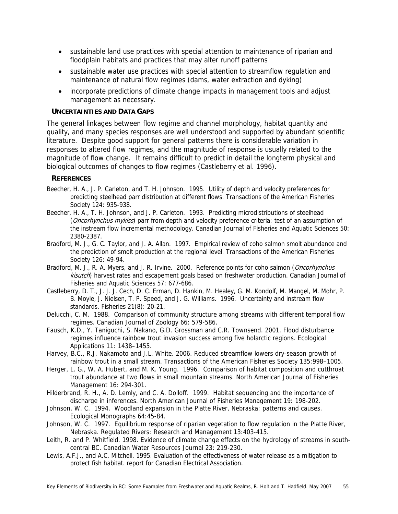- sustainable land use practices with special attention to maintenance of riparian and floodplain habitats and practices that may alter runoff patterns
- sustainable water use practices with special attention to streamflow regulation and maintenance of natural flow regimes (dams, water extraction and dyking)
- incorporate predictions of climate change impacts in management tools and adjust management as necessary.

## **UNCERTAINTIES AND DATA GAPS**

The general linkages between flow regime and channel morphology, habitat quantity and quality, and many species responses are well understood and supported by abundant scientific literature. Despite good support for general patterns there is considerable variation in responses to altered flow regimes, and the magnitude of response is usually related to the magnitude of flow change. It remains difficult to predict in detail the longterm physical and biological outcomes of changes to flow regimes (Castleberry et al. 1996).

# **REFERENCES**

- Beecher, H. A., J. P. Carleton, and T. H. Johnson. 1995. Utility of depth and velocity preferences for predicting steelhead parr distribution at different flows. Transactions of the American Fisheries Society 124: 935-938.
- Beecher, H. A., T. H. Johnson, and J. P. Carleton. 1993. Predicting microdistributions of steelhead (*Oncorhynchus mykiss*) parr from depth and velocity preference criteria: test of an assumption of the instream flow incremental methodology. Canadian Journal of Fisheries and Aquatic Sciences 50: 2380-2387.
- Bradford, M. J., G. C. Taylor, and J. A. Allan. 1997. Empirical review of coho salmon smolt abundance and the prediction of smolt production at the regional level. Transactions of the American Fisheries Society 126: 49-94.
- Bradford, M. J., R. A. Myers, and J. R. Irvine. 2000. Reference points for coho salmon (*Oncorhynchus* kisutch) harvest rates and escapement goals based on freshwater production. Canadian Journal of Fisheries and Aquatic Sciences 57: 677-686.
- Castleberry, D. T., J. J. J. Cech, D. C. Erman, D. Hankin, M. Healey, G. M. Kondolf, M. Mangel, M. Mohr, P. B. Moyle, J. Nielsen, T. P. Speed, and J. G. Williams. 1996. Uncertainty and instream flow standards. Fisheries 21(8): 20-21.
- Delucchi, C. M. 1988. Comparison of community structure among streams with different temporal flow regimes. Canadian Journal of Zoology 66: 579-586.
- Fausch, K.D., Y. Taniguchi, S. Nakano, G.D. Grossman and C.R. Townsend. 2001. Flood disturbance regimes influence rainbow trout invasion success among five holarctic regions. Ecological Applications 11: 1438–1455.
- Harvey, B.C., R.J. Nakamoto and J.L. White. 2006. Reduced streamflow lowers dry-season growth of rainbow trout in a small stream. Transactions of the American Fisheries Society 135:998–1005.
- Herger, L. G., W. A. Hubert, and M. K. Young. 1996. Comparison of habitat composition and cutthroat trout abundance at two flows in small mountain streams. North American Journal of Fisheries Management 16: 294-301.
- Hilderbrand, R. H., A. D. Lemly, and C. A. Dolloff. 1999. Habitat sequencing and the importance of discharge in inferences. North American Journal of Fisheries Management 19: 198-202.
- Johnson, W. C. 1994. Woodland expansion in the Platte River, Nebraska: patterns and causes. Ecological Monographs 64:45-84.
- Johnson, W. C. 1997. Equilibrium response of riparian vegetation to flow regulation in the Platte River, Nebraska. Regulated Rivers: Research and Management 13:403-415.
- Leith, R. and P. Whitfield. 1998. Evidence of climate change effects on the hydrology of streams in southcentral BC. Canadian Water Resources Journal 23: 219-230.
- Lewis, A.F.J., and A.C. Mitchell. 1995. Evaluation of the effectiveness of water release as a mitigation to protect fish habitat. report for Canadian Electrical Association.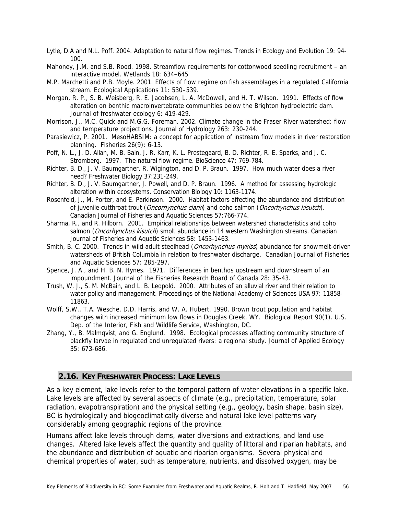Lytle, D.A and N.L. Poff. 2004. Adaptation to natural flow regimes. Trends in Ecology and Evolution 19: 94- 100.

Mahoney, J.M. and S.B. Rood. 1998. Streamflow requirements for cottonwood seedling recruitment – an interactive model. Wetlands 18: 634–645

- M.P. Marchetti and P.B. Moyle. 2001. Effects of flow regime on fish assemblages in a regulated California stream. Ecological Applications 11: 530–539.
- Morgan, R. P., S. B. Weisberg, R. E. Jacobsen, L. A. McDowell, and H. T. Wilson. 1991. Effects of flow alteration on benthic macroinvertebrate communities below the Brighton hydroelectric dam. Journal of freshwater ecology 6: 419-429.
- Morrison, J., M.C. Quick and M.G.G. Foreman. 2002. Climate change in the Fraser River watershed: flow and temperature projections. Journal of Hydrology 263: 230-244.
- Parasiewicz, P. 2001. MesoHABSIM: a concept for application of instream flow models in river restoration planning. Fisheries 26(9): 6-13.
- Poff, N. L., J. D. Allan, M. B. Bain, J. R. Karr, K. L. Prestegaard, B. D. Richter, R. E. Sparks, and J. C. Stromberg. 1997. The natural flow regime. BioScience 47: 769-784.
- Richter, B. D., J. V. Baumgartner, R. Wigington, and D. P. Braun. 1997. How much water does a river need? Freshwater Biology 37:231-249.
- Richter, B. D., J. V. Baumgartner, J. Powell, and D. P. Braun. 1996. A method for assessing hydrologic alteration within ecosystems. Conservation Biology 10: 1163-1174.
- Rosenfeld, J., M. Porter, and E. Parkinson. 2000. Habitat factors affecting the abundance and distribution of juvenile cutthroat trout (*Oncorhynchus clarki*) and coho salmon (*Oncorhynchus kisutch*). Canadian Journal of Fisheries and Aquatic Sciences 57:766-774.
- Sharma, R., and R. Hilborn. 2001. Empirical relationships between watershed characteristics and coho salmon (Oncorhynchus kisutch) smolt abundance in 14 western Washington streams. Canadian Journal of Fisheries and Aquatic Sciences 58: 1453-1463.
- Smith, B. C. 2000. Trends in wild adult steelhead (*Oncorhynchus mykiss*) abundance for snowmelt-driven watersheds of British Columbia in relation to freshwater discharge. Canadian Journal of Fisheries and Aquatic Sciences 57: 285-297.
- Spence, J. A., and H. B. N. Hynes. 1971. Differences in benthos upstream and downstream of an impoundment. Journal of the Fisheries Research Board of Canada 28: 35-43.
- Trush, W. J., S. M. McBain, and L. B. Leopold. 2000. Attributes of an alluvial river and their relation to water policy and management. Proceedings of the National Academy of Sciences USA 97: 11858- 11863.
- Wolff, S.W., T.A. Wesche, D.D. Harris, and W. A. Hubert. 1990. Brown trout population and habitat changes with increased minimum low flows in Douglas Creek, WY. Biological Report 90(1). U.S. Dep. of the Interior, Fish and Wildlife Service, Washington, DC.
- Zhang, Y., B. Malmqvist, and G. Englund. 1998. Ecological processes affecting community structure of blackfly larvae in regulated and unregulated rivers: a regional study. Journal of Applied Ecology 35: 673-686.

# **2.16. KEY FRESHWATER PROCESS: LAKE LEVELS**

As a key element, lake levels refer to the temporal pattern of water elevations in a specific lake. Lake levels are affected by several aspects of climate (e.g., precipitation, temperature, solar radiation, evapotranspiration) and the physical setting (e.g., geology, basin shape, basin size). BC is hydrologically and biogeoclimatically diverse and natural lake level patterns vary considerably among geographic regions of the province.

Humans affect lake levels through dams, water diversions and extractions, and land use changes. Altered lake levels affect the quantity and quality of littoral and riparian habitats, and the abundance and distribution of aquatic and riparian organisms. Several physical and chemical properties of water, such as temperature, nutrients, and dissolved oxygen, may be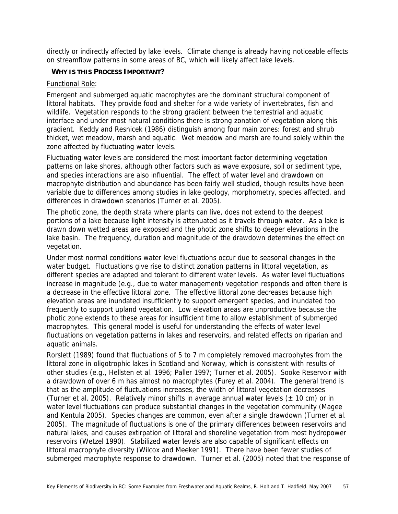directly or indirectly affected by lake levels. Climate change is already having noticeable effects on streamflow patterns in some areas of BC, which will likely affect lake levels.

## **WHY IS THIS PROCESS IMPORTANT?**

## Functional Role:

Emergent and submerged aquatic macrophytes are the dominant structural component of littoral habitats. They provide food and shelter for a wide variety of invertebrates, fish and wildlife. Vegetation responds to the strong gradient between the terrestrial and aquatic interface and under most natural conditions there is strong zonation of vegetation along this gradient. Keddy and Resnicek (1986) distinguish among four main zones: forest and shrub thicket, wet meadow, marsh and aquatic. Wet meadow and marsh are found solely within the zone affected by fluctuating water levels.

Fluctuating water levels are considered the most important factor determining vegetation patterns on lake shores, although other factors such as wave exposure, soil or sediment type, and species interactions are also influential. The effect of water level and drawdown on macrophyte distribution and abundance has been fairly well studied, though results have been variable due to differences among studies in lake geology, morphometry, species affected, and differences in drawdown scenarios (Turner et al. 2005).

The photic zone, the depth strata where plants can live, does not extend to the deepest portions of a lake because light intensity is attenuated as it travels through water. As a lake is drawn down wetted areas are exposed and the photic zone shifts to deeper elevations in the lake basin. The frequency, duration and magnitude of the drawdown determines the effect on vegetation.

Under most normal conditions water level fluctuations occur due to seasonal changes in the water budget. Fluctuations give rise to distinct zonation patterns in littoral vegetation, as different species are adapted and tolerant to different water levels. As water level fluctuations increase in magnitude (e.g., due to water management) vegetation responds and often there is a decrease in the effective littoral zone. The effective littoral zone decreases because high elevation areas are inundated insufficiently to support emergent species, and inundated too frequently to support upland vegetation. Low elevation areas are unproductive because the photic zone extends to these areas for insufficient time to allow establishment of submerged macrophytes. This general model is useful for understanding the effects of water level fluctuations on vegetation patterns in lakes and reservoirs, and related effects on riparian and aquatic animals.

Rorslett (1989) found that fluctuations of 5 to 7 m completely removed macrophytes from the littoral zone in oligotrophic lakes in Scotland and Norway, which is consistent with results of other studies (e.g., Hellsten et al. 1996; Paller 1997; Turner et al. 2005). Sooke Reservoir with a drawdown of over 6 m has almost no macrophytes (Furey et al. 2004). The general trend is that as the amplitude of fluctuations increases, the width of littoral vegetation decreases (Turner et al. 2005). Relatively minor shifts in average annual water levels ( $\pm$  10 cm) or in water level fluctuations can produce substantial changes in the vegetation community (Magee and Kentula 2005). Species changes are common, even after a single drawdown (Turner et al. 2005). The magnitude of fluctuations is one of the primary differences between reservoirs and natural lakes, and causes extirpation of littoral and shoreline vegetation from most hydropower reservoirs (Wetzel 1990). Stabilized water levels are also capable of significant effects on littoral macrophyte diversity (Wilcox and Meeker 1991). There have been fewer studies of submerged macrophyte response to drawdown. Turner et al. (2005) noted that the response of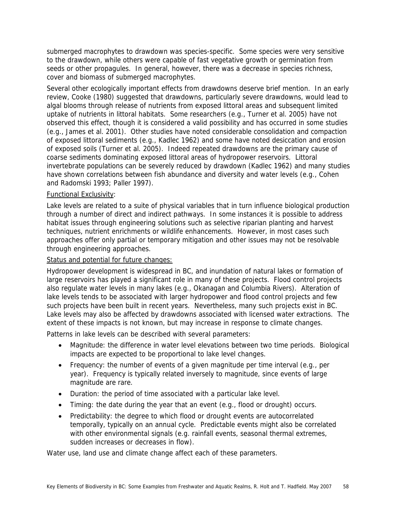submerged macrophytes to drawdown was species-specific. Some species were very sensitive to the drawdown, while others were capable of fast vegetative growth or germination from seeds or other propagules. In general, however, there was a decrease in species richness, cover and biomass of submerged macrophytes.

Several other ecologically important effects from drawdowns deserve brief mention. In an early review, Cooke (1980) suggested that drawdowns, particularly severe drawdowns, would lead to algal blooms through release of nutrients from exposed littoral areas and subsequent limited uptake of nutrients in littoral habitats. Some researchers (e.g., Turner et al. 2005) have not observed this effect, though it is considered a valid possibility and has occurred in some studies (e.g., James et al. 2001). Other studies have noted considerable consolidation and compaction of exposed littoral sediments (e.g., Kadlec 1962) and some have noted desiccation and erosion of exposed soils (Turner et al. 2005). Indeed repeated drawdowns are the primary cause of coarse sediments dominating exposed littoral areas of hydropower reservoirs. Littoral invertebrate populations can be severely reduced by drawdown (Kadlec 1962) and many studies have shown correlations between fish abundance and diversity and water levels (e.g., Cohen and Radomski 1993; Paller 1997).

# Functional Exclusivity:

Lake levels are related to a suite of physical variables that in turn influence biological production through a number of direct and indirect pathways. In some instances it is possible to address habitat issues through engineering solutions such as selective riparian planting and harvest techniques, nutrient enrichments or wildlife enhancements. However, in most cases such approaches offer only partial or temporary mitigation and other issues may not be resolvable through engineering approaches.

# Status and potential for future changes:

Hydropower development is widespread in BC, and inundation of natural lakes or formation of large reservoirs has played a significant role in many of these projects. Flood control projects also regulate water levels in many lakes (e.g., Okanagan and Columbia Rivers). Alteration of lake levels tends to be associated with larger hydropower and flood control projects and few such projects have been built in recent years. Nevertheless, many such projects exist in BC. Lake levels may also be affected by drawdowns associated with licensed water extractions. The extent of these impacts is not known, but may increase in response to climate changes.

Patterns in lake levels can be described with several parameters:

- Magnitude: the difference in water level elevations between two time periods. Biological impacts are expected to be proportional to lake level changes.
- Frequency: the number of events of a given magnitude per time interval (e.g., per year). Frequency is typically related inversely to magnitude, since events of large magnitude are rare.
- Duration: the period of time associated with a particular lake level.
- Timing: the date during the year that an event (e.g., flood or drought) occurs.
- Predictability: the degree to which flood or drought events are autocorrelated temporally, typically on an annual cycle. Predictable events might also be correlated with other environmental signals (e.g. rainfall events, seasonal thermal extremes, sudden increases or decreases in flow).

Water use, land use and climate change affect each of these parameters.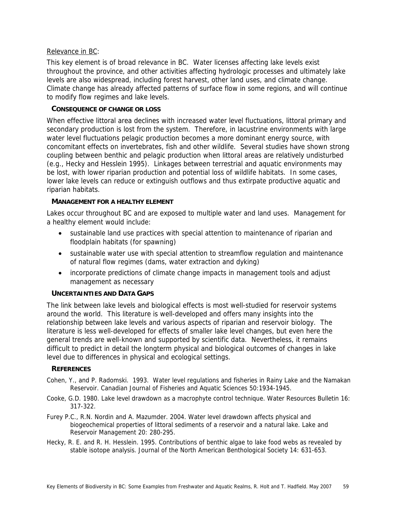## Relevance in BC:

This key element is of broad relevance in BC. Water licenses affecting lake levels exist throughout the province, and other activities affecting hydrologic processes and ultimately lake levels are also widespread, including forest harvest, other land uses, and climate change. Climate change has already affected patterns of surface flow in some regions, and will continue to modify flow regimes and lake levels.

## **CONSEQUENCE OF CHANGE OR LOSS**

When effective littoral area declines with increased water level fluctuations, littoral primary and secondary production is lost from the system. Therefore, in lacustrine environments with large water level fluctuations pelagic production becomes a more dominant energy source, with concomitant effects on invertebrates, fish and other wildlife. Several studies have shown strong coupling between benthic and pelagic production when littoral areas are relatively undisturbed (e.g., Hecky and Hesslein 1995). Linkages between terrestrial and aquatic environments may be lost, with lower riparian production and potential loss of wildlife habitats. In some cases, lower lake levels can reduce or extinguish outflows and thus extirpate productive aquatic and riparian habitats.

## **MANAGEMENT FOR A HEALTHY ELEMENT**

Lakes occur throughout BC and are exposed to multiple water and land uses. Management for a healthy element would include:

- sustainable land use practices with special attention to maintenance of riparian and floodplain habitats (for spawning)
- sustainable water use with special attention to streamflow regulation and maintenance of natural flow regimes (dams, water extraction and dyking)
- incorporate predictions of climate change impacts in management tools and adjust management as necessary

## **UNCERTAINTIES AND DATA GAPS**

The link between lake levels and biological effects is most well-studied for reservoir systems around the world. This literature is well-developed and offers many insights into the relationship between lake levels and various aspects of riparian and reservoir biology. The literature is less well-developed for effects of smaller lake level changes, but even here the general trends are well-known and supported by scientific data. Nevertheless, it remains difficult to predict in detail the longterm physical and biological outcomes of changes in lake level due to differences in physical and ecological settings.

## **REFERENCES**

- Cohen, Y., and P. Radomski. 1993. Water level regulations and fisheries in Rainy Lake and the Namakan Reservoir. Canadian Journal of Fisheries and Aquatic Sciences 50:1934-1945.
- Cooke, G.D. 1980. Lake level drawdown as a macrophyte control technique. Water Resources Bulletin 16: 317-322.
- Furey P.C., R.N. Nordin and A. Mazumder. 2004. Water level drawdown affects physical and biogeochemical properties of littoral sediments of a reservoir and a natural lake. Lake and Reservoir Management 20: 280-295.
- Hecky, R. E. and R. H. Hesslein. 1995. Contributions of benthic algae to lake food webs as revealed by stable isotope analysis. Journal of the North American Benthological Society 14: 631-653.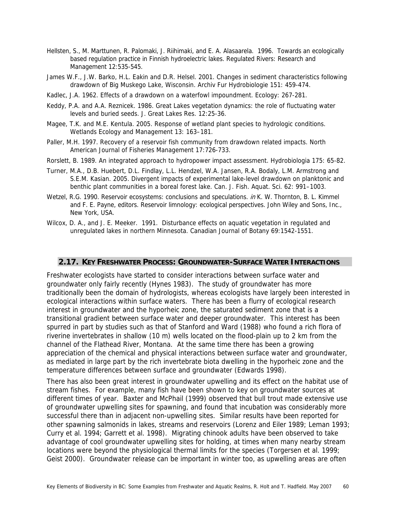- Hellsten, S., M. Marttunen, R. Palomaki, J. Riihimaki, and E. A. Alasaarela. 1996. Towards an ecologically based regulation practice in Finnish hydroelectric lakes. Regulated Rivers: Research and Management 12:535-545.
- James W.F., J.W. Barko, H.L. Eakin and D.R. Helsel. 2001. Changes in sediment characteristics following drawdown of Big Muskego Lake, Wisconsin. Archiv Fur Hydrobiologie 151: 459-474.
- Kadlec, J.A. 1962. Effects of a drawdown on a waterfowl impoundment. Ecology: 267-281.
- Keddy, P.A. and A.A. Reznicek. 1986. Great Lakes vegetation dynamics: the role of fluctuating water levels and buried seeds. J. Great Lakes Res. 12:25-36.
- Magee, T.K. and M.E. Kentula. 2005. Response of wetland plant species to hydrologic conditions. Wetlands Ecology and Management 13: 163–181.
- Paller, M.H. 1997. Recovery of a reservoir fish community from drawdown related impacts. North American Journal of Fisheries Management 17:726-733.
- Rorslett, B. 1989. An integrated approach to hydropower impact assessment. Hydrobiologia 175: 65-82.
- Turner, M.A., D.B. Huebert, D.L. Findlay, L.L. Hendzel, W.A. Jansen, R.A. Bodaly, L.M. Armstrong and S.E.M. Kasian. 2005. Divergent impacts of experimental lake-level drawdown on planktonic and benthic plant communities in a boreal forest lake. Can. J. Fish. Aquat. Sci. 62: 991–1003.
- Wetzel, R.G. 1990. Reservoir ecosystems: conclusions and speculations. in K. W. Thornton, B. L. Kimmel and F. E. Payne, editors. Reservoir limnology: ecological perspectives. John Wiley and Sons, Inc., New York, USA.
- Wilcox, D. A., and J. E. Meeker. 1991. Disturbance effects on aquatic vegetation in regulated and unregulated lakes in northern Minnesota. Canadian Journal of Botany 69:1542-1551.

## **2.17. KEY FRESHWATER PROCESS: GROUNDWATER-SURFACE WATER INTERACTIONS**

Freshwater ecologists have started to consider interactions between surface water and groundwater only fairly recently (Hynes 1983). The study of groundwater has more traditionally been the domain of hydrologists, whereas ecologists have largely been interested in ecological interactions within surface waters. There has been a flurry of ecological research interest in groundwater and the hyporheic zone, the saturated sediment zone that is a transitional gradient between surface water and deeper groundwater. This interest has been spurred in part by studies such as that of Stanford and Ward (1988) who found a rich flora of riverine invertebrates in shallow (10 m) wells located on the flood-plain up to 2 km from the channel of the Flathead River, Montana. At the same time there has been a growing appreciation of the chemical and physical interactions between surface water and groundwater, as mediated in large part by the rich invertebrate biota dwelling in the hyporheic zone and the temperature differences between surface and groundwater (Edwards 1998).

There has also been great interest in groundwater upwelling and its effect on the habitat use of stream fishes. For example, many fish have been shown to key on groundwater sources at different times of year. Baxter and McPhail (1999) observed that bull trout made extensive use of groundwater upwelling sites for spawning, and found that incubation was considerably more successful there than in adjacent non-upwelling sites. Similar results have been reported for other spawning salmonids in lakes, streams and reservoirs (Lorenz and Eiler 1989; Leman 1993; Curry et al. 1994; Garrett et al. 1998). Migrating chinook adults have been observed to take advantage of cool groundwater upwelling sites for holding, at times when many nearby stream locations were beyond the physiological thermal limits for the species (Torgersen et al. 1999; Geist 2000). Groundwater release can be important in winter too, as upwelling areas are often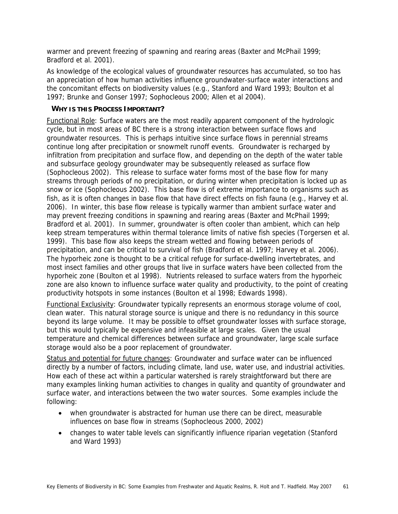warmer and prevent freezing of spawning and rearing areas (Baxter and McPhail 1999; Bradford et al. 2001).

As knowledge of the ecological values of groundwater resources has accumulated, so too has an appreciation of how human activities influence groundwater-surface water interactions and the concomitant effects on biodiversity values (e.g., Stanford and Ward 1993; Boulton et al 1997; Brunke and Gonser 1997; Sophocleous 2000; Allen et al 2004).

# **WHY IS THIS PROCESS IMPORTANT?**

Functional Role: Surface waters are the most readily apparent component of the hydrologic cycle, but in most areas of BC there is a strong interaction between surface flows and groundwater resources. This is perhaps intuitive since surface flows in perennial streams continue long after precipitation or snowmelt runoff events. Groundwater is recharged by infiltration from precipitation and surface flow, and depending on the depth of the water table and subsurface geology groundwater may be subsequently released as surface flow (Sophocleous 2002). This release to surface water forms most of the base flow for many streams through periods of no precipitation, or during winter when precipitation is locked up as snow or ice (Sophocleous 2002). This base flow is of extreme importance to organisms such as fish, as it is often changes in base flow that have direct effects on fish fauna (e.g., Harvey et al. 2006). In winter, this base flow release is typically warmer than ambient surface water and may prevent freezing conditions in spawning and rearing areas (Baxter and McPhail 1999; Bradford et al. 2001). In summer, groundwater is often cooler than ambient, which can help keep stream temperatures within thermal tolerance limits of native fish species (Torgersen et al. 1999). This base flow also keeps the stream wetted and flowing between periods of precipitation, and can be critical to survival of fish (Bradford et al. 1997; Harvey et al. 2006). The hyporheic zone is thought to be a critical refuge for surface-dwelling invertebrates, and most insect families and other groups that live in surface waters have been collected from the hyporheic zone (Boulton et al 1998). Nutrients released to surface waters from the hyporheic zone are also known to influence surface water quality and productivity, to the point of creating productivity hotspots in some instances (Boulton et al 1998; Edwards 1998).

Functional Exclusivity: Groundwater typically represents an enormous storage volume of cool, clean water. This natural storage source is unique and there is no redundancy in this source beyond its large volume. It may be possible to offset groundwater losses with surface storage, but this would typically be expensive and infeasible at large scales. Given the usual temperature and chemical differences between surface and groundwater, large scale surface storage would also be a poor replacement of groundwater.

Status and potential for future changes: Groundwater and surface water can be influenced directly by a number of factors, including climate, land use, water use, and industrial activities. How each of these act within a particular watershed is rarely straightforward but there are many examples linking human activities to changes in quality and quantity of groundwater and surface water, and interactions between the two water sources. Some examples include the following:

- when groundwater is abstracted for human use there can be direct, measurable influences on base flow in streams (Sophocleous 2000, 2002)
- changes to water table levels can significantly influence riparian vegetation (Stanford and Ward 1993)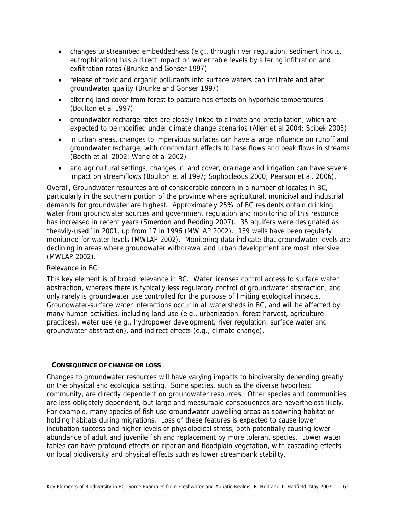- changes to streambed embeddedness (e.g., through river regulation, sediment inputs, eutrophication) has a direct impact on water table levels by altering infiltration and exfiltration rates (Brunke and Gonser 1997)
- release of toxic and organic pollutants into surface waters can infiltrate and alter groundwater quality (Brunke and Gonser 1997)
- altering land cover from forest to pasture has effects on hyporheic temperatures (Boulton et al 1997)
- groundwater recharge rates are closely linked to climate and precipitation, which are expected to be modified under climate change scenarios (Allen et al 2004; Scibek 2005)
- in urban areas, changes to impervious surfaces can have a large influence on runoff and groundwater recharge, with concomitant effects to base flows and peak flows in streams (Booth et al. 2002; Wang et al 2002)
- and agricultural settings, changes in land cover, drainage and irrigation can have severe impact on streamflows (Boulton et al 1997; Sophocleous 2000; Pearson et al. 2006).

Overall, Groundwater resources are of considerable concern in a number of locales in BC, particularly in the southern portion of the province where agricultural, municipal and industrial demands for groundwater are highest. Approximately 25% of BC residents obtain drinking water from groundwater sources and government regulation and monitoring of this resource has increased in recent years (Smerdon and Redding 2007). 35 aquifers were designated as "heavily-used" in 2001, up from 17 in 1996 (MWLAP 2002). 139 wells have been regularly monitored for water levels (MWLAP 2002). Monitoring data indicate that groundwater levels are declining in areas where groundwater withdrawal and urban development are most intensive (MWLAP 2002).

# Relevance in BC:

This key element is of broad relevance in BC. Water licenses control access to surface water abstraction, whereas there is typically less regulatory control of groundwater abstraction, and only rarely is groundwater use controlled for the purpose of limiting ecological impacts. Groundwater-surface water interactions occur in all watersheds in BC, and will be affected by many human activities, including land use (e.g., urbanization, forest harvest, agriculture practices), water use (e.g., hydropower development, river regulation, surface water and groundwater abstraction), and indirect effects (e.g., climate change).

## **CONSEQUENCE OF CHANGE OR LOSS**

Changes to groundwater resources will have varying impacts to biodiversity depending greatly on the physical and ecological setting. Some species, such as the diverse hyporheic community, are directly dependent on groundwater resources. Other species and communities are less obligately dependent, but large and measurable consequences are nevertheless likely. For example, many species of fish use groundwater upwelling areas as spawning habitat or holding habitats during migrations. Loss of these features is expected to cause lower incubation success and higher levels of physiological stress, both potentially causing lower abundance of adult and juvenile fish and replacement by more tolerant species. Lower water tables can have profound effects on riparian and floodplain vegetation, with cascading effects on local biodiversity and physical effects such as lower streambank stability.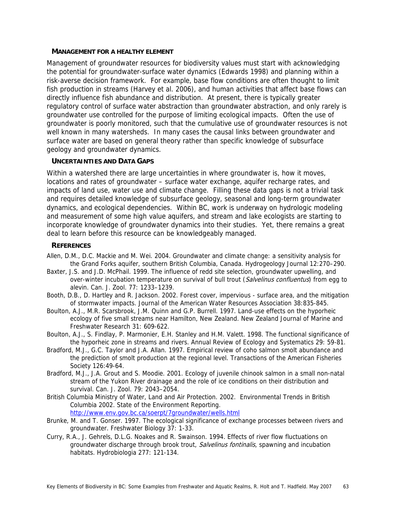#### **MANAGEMENT FOR A HEALTHY ELEMENT**

Management of groundwater resources for biodiversity values must start with acknowledging the potential for groundwater-surface water dynamics (Edwards 1998) and planning within a risk-averse decision framework. For example, base flow conditions are often thought to limit fish production in streams (Harvey et al. 2006), and human activities that affect base flows can directly influence fish abundance and distribution. At present, there is typically greater regulatory control of surface water abstraction than groundwater abstraction, and only rarely is groundwater use controlled for the purpose of limiting ecological impacts. Often the use of groundwater is poorly monitored, such that the cumulative use of groundwater resources is not well known in many watersheds. In many cases the causal links between groundwater and surface water are based on general theory rather than specific knowledge of subsurface geology and groundwater dynamics.

## **UNCERTAINTIES AND DATA GAPS**

Within a watershed there are large uncertainties in where groundwater is, how it moves, locations and rates of groundwater – surface water exchange, aquifer recharge rates, and impacts of land use, water use and climate change. Filling these data gaps is not a trivial task and requires detailed knowledge of subsurface geology, seasonal and long-term groundwater dynamics, and ecological dependencies. Within BC, work is underway on hydrologic modeling and measurement of some high value aquifers, and stream and lake ecologists are starting to incorporate knowledge of groundwater dynamics into their studies. Yet, there remains a great deal to learn before this resource can be knowledgeably managed.

#### **REFERENCES**

- Allen, D.M., D.C. Mackie and M. Wei. 2004. Groundwater and climate change: a sensitivity analysis for the Grand Forks aquifer, southern British Columbia, Canada. Hydrogeology Journal 12:270–290.
- Baxter, J.S. and J.D. McPhail. 1999. The influence of redd site selection, groundwater upwelling, and over-winter incubation temperature on survival of bull trout (Salvelinus confluentus) from egg to alevin. Can. J. Zool. 77: 1233–1239.
- Booth, D.B., D. Hartley and R. Jackson. 2002. Forest cover, impervious surface area, and the mitigation of stormwater impacts. Journal of the American Water Resources Association 38:835-845.
- Boulton, A.J., M.R. Scarsbrook, J.M. Quinn and G.P. Burrell. 1997. Land-use effects on the hyporheic ecology of five small streams near Hamilton, New Zealand. New Zealand Journal of Marine and Freshwater Research 31: 609-622.
- Boulton, A.J., S. Findlay, P. Marmonier, E.H. Stanley and H.M. Valett. 1998. The functional significance of the hyporheic zone in streams and rivers. Annual Review of Ecology and Systematics 29: 59-81.
- Bradford, M.J., G.C. Taylor and J.A. Allan. 1997. Empirical review of coho salmon smolt abundance and the prediction of smolt production at the regional level. Transactions of the American Fisheries Society 126:49-64.
- Bradford, M.J., J.A. Grout and S. Moodie. 2001. Ecology of juvenile chinook salmon in a small non-natal stream of the Yukon River drainage and the role of ice conditions on their distribution and survival. Can. J. Zool. 79: 2043–2054.
- British Columbia Ministry of Water, Land and Air Protection. 2002. Environmental Trends in British Columbia 2002. State of the Environment Reporting. http://www.env.gov.bc.ca/soerpt/7groundwater/wells.html
- Brunke, M. and T. Gonser. 1997. The ecological significance of exchange processes between rivers and groundwater. Freshwater Biology 37: 1-33.
- Curry, R.A., J. Gehrels, D.L.G. Noakes and R. Swainson. 1994. Effects of river flow fluctuations on groundwater discharge through brook trout, Salvelinus fontinalis, spawning and incubation habitats. Hydrobiologia 277: 121-134.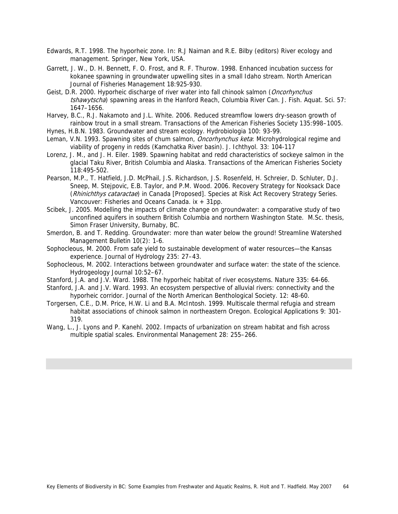- Edwards, R.T. 1998. The hyporheic zone. In: R.J Naiman and R.E. Bilby (editors) River ecology and management. Springer, New York, USA.
- Garrett, J. W., D. H. Bennett, F. O. Frost, and R. F. Thurow. 1998. Enhanced incubation success for kokanee spawning in groundwater upwelling sites in a small Idaho stream. North American Journal of Fisheries Management 18:925-930.
- Geist, D.R. 2000. Hyporheic discharge of river water into fall chinook salmon (Oncorhynchus tshawytscha) spawning areas in the Hanford Reach, Columbia River Can. J. Fish. Aquat. Sci. 57: 1647–1656.
- Harvey, B.C., R.J. Nakamoto and J.L. White. 2006. Reduced streamflow lowers dry-season growth of rainbow trout in a small stream. Transactions of the American Fisheries Society 135:998–1005.
- Hynes, H.B.N. 1983. Groundwater and stream ecology. Hydrobiologia 100: 93-99.
- Leman, V.N. 1993. Spawning sites of chum salmon, *Oncorhynchus keta*: Microhydrological regime and viability of progeny in redds (Kamchatka River basin). J. Ichthyol. 33: 104-117
- Lorenz, J. M., and J. H. Eiler. 1989. Spawning habitat and redd characteristics of sockeye salmon in the glacial Taku River, British Columbia and Alaska. Transactions of the American Fisheries Society 118:495-502.
- Pearson, M.P., T. Hatfield, J.D. McPhail, J.S. Richardson, J.S. Rosenfeld, H. Schreier, D. Schluter, D.J. Sneep, M. Stejpovic, E.B. Taylor, and P.M. Wood. 2006. Recovery Strategy for Nooksack Dace (Rhinichthys cataractae) in Canada [Proposed]. Species at Risk Act Recovery Strategy Series. Vancouver: Fisheries and Oceans Canada. ix + 31pp.
- Scibek, J. 2005. Modelling the impacts of climate change on groundwater: a comparative study of two unconfined aquifers in southern British Columbia and northern Washington State. M.Sc. thesis, Simon Fraser University, Burnaby, BC.
- Smerdon, B. and T. Redding. Groundwater: more than water below the ground! Streamline Watershed Management Bulletin 10(2): 1-6.
- Sophocleous, M. 2000. From safe yield to sustainable development of water resources—the Kansas experience. Journal of Hydrology 235: 27–43.
- Sophocleous, M. 2002. Interactions between groundwater and surface water: the state of the science. Hydrogeology Journal 10:52–67.
- Stanford, J.A. and J.V. Ward. 1988. The hyporheic habitat of river ecosystems. Nature 335: 64-66.
- Stanford, J.A. and J.V. Ward. 1993. An ecosystem perspective of alluvial rivers: connectivity and the hyporheic corridor. Journal of the North American Benthological Society. 12: 48-60.
- Torgersen, C.E., D.M. Price, H.W. Li and B.A. McIntosh. 1999. Multiscale thermal refugia and stream habitat associations of chinook salmon in northeastern Oregon. Ecological Applications 9: 301- 319.
- Wang, L., J. Lyons and P. Kanehl. 2002. Impacts of urbanization on stream habitat and fish across multiple spatial scales. Environmental Management 28: 255–266.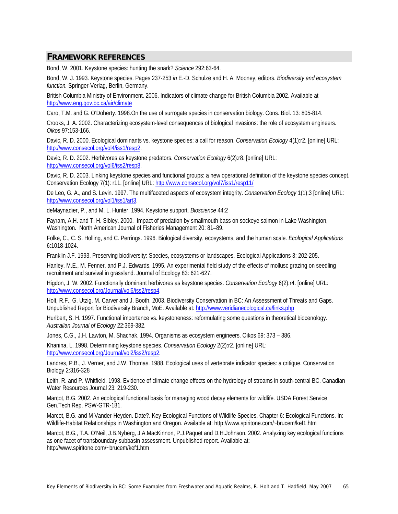# **FRAMEWORK REFERENCES**

Bond, W. 2001. Keystone species: hunting the snark? *Science* 292:63-64.

Bond, W. J. 1993. Keystone species. Pages 237-253 *in* E.-D. Schulze and H. A. Mooney, editors. *Biodiversity and ecosystem function.* Springer-Verlag, Berlin, Germany.

British Columbia Ministry of Environment. 2006. Indicators of climate change for British Columbia 2002. Available at http://www.eng.gov.bc.ca/air/climate

Caro, T.M. and G. O'Doherty. 1998.On the use of surrogate species in conservation biology. Cons. Biol. 13: 805-814.

Crooks, J. A. 2002. Characterizing ecosystem-level consequences of biological invasions: the role of ecosystem engineers. *Oikos* 97:153-166.

Davic, R. D. 2000. Ecological dominants vs. keystone species: a call for reason. *Conservation Ecology* 4(1):r2. [online] URL: http://www.consecol.org/vol4/iss1/resp2.

Davic, R. D. 2002. Herbivores as keystone predators. *Conservation Ecology* 6(2):r8. [online] URL: http;//www.consecol.org/vol6/iss2/resp8.

Davic, R. D. 2003. Linking keystone species and functional groups: a new operational definition of the keystone species concept. Conservation Ecology 7(1): r11. [online] URL: http://www.consecol.org/vol7/iss1/resp11/

De Leo, G. A., and S. Levin. 1997. The multifaceted aspects of ecosystem integrity. *Conservation Ecology* 1(1):3 [online] URL: http://www.consecol.org/vol1/iss1/art3.

deMaynadier, P., and M. L. Hunter. 1994. Keystone support. *Bioscience* 44:2

Fayram, A.H. and T. H. Sibley. 2000. Impact of predation by smallmouth bass on sockeye salmon in Lake Washington, Washington. North American Journal of Fisheries Management 20: 81–89.

Folke, C., C. S. Holling, and C. Perrings. 1996. Biological diversity, ecosystems, and the human scale. *Ecological Applications* 6:1018-1024.

Franklin J.F. 1993. Preserving biodiversity: Species, ecosystems or landscapes. Ecological Applications 3: 202-205.

Hanley, M.E., M. Fenner, and P.J. Edwards. 1995. An experimental field study of the effects of mollusc grazing on seedling recruitment and survival in grassland. Journal of Ecology 83: 621-627.

Higdon, J. W. 2002. Functionally dominant herbivores as keystone species. *Conservation Ecology* 6(2):r4. [online] URL: http://www.consecol.org/Journal/vol6/iss2/resp4.

Holt, R.F., G. Utzig, M. Carver and J. Booth. 2003. Biodiversity Conservation in BC: An Assessment of Threats and Gaps. Unpublished Report for Biodiversity Branch, MoE. Available at: http://www.veridianecological.ca/links.php

Hurlbert, S. H. 1997. Functional importance vs. keystoneness: reformulating some questions in theoretical biocenology. *Australian Journal of Ecology* 22:369-382.

Jones, C.G., J.H. Lawton, M. Shachak. 1994. Organisms as ecosystem engineers. Oikos 69: 373 – 386.

Khanina, L. 1998. Determining keystone species. *Conservation Ecology* 2(2):r2. [online] URL: http://www.consecol.org/Journal/vol2/iss2/resp2.

Landres, P.B., J. Verner, and J.W. Thomas. 1988. Ecological uses of vertebrate indicator species: a critique. Conservation Biology 2:316-328

Leith, R. and P. Whitfield. 1998. Evidence of climate change effects on the hydrology of streams in south-central BC. Canadian Water Resources Journal 23: 219-230.

Marcot, B.G. 2002. An ecological functional basis for managing wood decay elements for wildlife. USDA Forest Service Gen.Tech.Rep. PSW-GTR-181.

Marcot, B.G. and M Vander-Heyden. Date?. Key Ecological Functions of Wildlife Species. Chapter 6: Ecological Functions. In: Wildlife-Habitat Relationships in Washington and Oregon. Available at: http://www.spiritone.com/~brucem/kef1.htm

Marcot, B.G., T.A. O'Neil, J.B.Nyberg, J.A.MacKinnon, P.J.Paquet and D.H.Johnson. 2002. Analyzing key ecological functions as one facet of transboundary subbasin assessment. Unpublished report. Available at: http://www.spiritone.com/~brucem/kef1.htm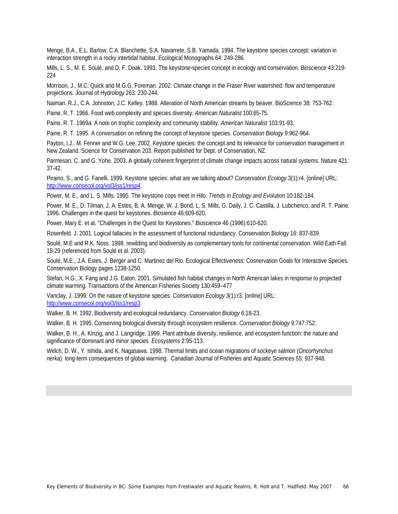Menge, B.A., E.L. Barlow, C.A. Blanchette, S.A. Navarrete, S.B. Yamada. 1994. The keystone species concept: variation in interaction strength in a rocky intertidal habitat. Ecological Monographs 64: 249-286.

Mills, L. S., M. E. Soulé, and D. F. Doak. 1993. The keystone-species concept in ecology and conservation. *Bioscience* 43:219- 224

Morrison, J., M.C. Quick and M.G.G. Foreman. 2002. Climate change in the Fraser River watershed: flow and temperature projections. Journal of Hydrology 263: 230-244.

Naiman, R.J., C.A. Johnston, J.C. Kelley. 1988. Alteration of North American streams by beaver. BioScience 38: 753-762.

Paine, R. T. 1966. Food web complexity and species diversity. *American Naturalist* 100:65-75.

Paine, R. T. 1969*a.* A note on trophic complexity and community stability. *American Naturalist* 103:91-93.

Paine, R. T. 1995. A conversation on refining the concept of keystone species. *Conservation Biology* 9:962-964.

Payton, I.J., M. Fenner and W.G. Lee. 2002. Keystone species: the concept and its relevance for conservation management in New Zealand. Science for Conservation 203. Report published for Dept. of Conservation, NZ.

Parmesan, C. and G. Yohe. 2003. A globally coherent fingerprint of climate change impacts across natural systems. Nature 421: 37-42.

Piraino, S., and G. Fanelli. 1999. Keystone species: what are we talking about? *Conservation Ecology* 3(1):r4. [online] URL: http://www.consecol.org/vol3/iss1/resp4.

Power, M. E., and L. S. Mills. 1995. The keystone cops meet in Hilo. *Trends in Ecology and Evolution* 10:182-184.

Power, M. E., D. Tilman, J. A. Estes, B. A. Menge, W. J. Bond, L. S. Mills, G. Daily, J. C. Castilla, J. Lubchenco, and R. T. Paine. 1996. Challenges in the quest for keystones. *Biosience* 46:609-620.

Power, Mary E. et al. "Challenges in the Quest for Keystones." *Bioscience* 46 (1996):610-620.

Rosenfeld. J. 2001. Logical fallacies in the assessment of functional redundancy. Conservation Biology 16: 837-839.

Soulé, M.E and R.K. Noss. 1998. rewilding and biodiversity as complementary tools for continental conservation. Wild Eath Fall: 18-29 (referenced from Soulé et al. 2003).

Soulé, M.E., J.A. Estes, J. Berger and C. Martinez del Rio. Ecological Effectiveness: Cosnervation Goals for Interactive Species. Conservation Biology pages 1238-1250.

Stefan, H.G., X. Fang and J.G. Eaton. 2001. Simulated fish habitat changes in North American lakes in response to projected climate warming. Transactions of the American Fisheries Society 130:459–477

Vanclay, J. 1999. On the nature of keystone species. *Conservation Ecology* 3(1):r3. [online] URL: http://www.consecol.org/vol3/iss1/resp3.

Walker, B. H. 1992. Biodiversity and ecological redundancy. *Conservation Biology* 6:18-23.

Walker, B. H. 1995. Conserving biological diversity through ecosystem resilience. *Conservation Biology* 9:747:752.

Walker, B. H., A. Kinzig, and J. Langridge. 1999. Plant attribute diversity, resilience, and ecosystem function: the nature and significance of dominant and minor species. *Ecosystems* 2:95-113.

Welch, D. W., Y. Ishida, and K. Nagasawa. 1998. Thermal limits and ocean migrations of sockeye salmon (*Oncorhynchus nerka*): long-term consequences of global warming. Canadian Journal of Fisheries and Aquatic Sciences 55: 937-948.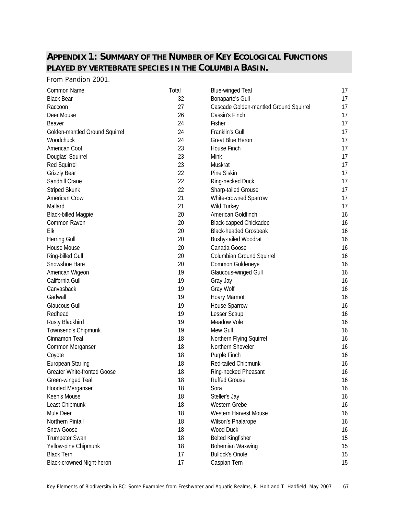## **APPENDIX 1: SUMMARY OF THE NUMBER OF KEY ECOLOGICAL FUNCTIONS PLAYED BY VERTEBRATE SPECIES IN THE COLUMBIA BASIN.**

From Pandion 2001.

| Common Name                        | Total | <b>Blue-winged Teal</b>                | 17 |
|------------------------------------|-------|----------------------------------------|----|
| <b>Black Bear</b>                  | 32    | <b>Bonaparte's Gull</b>                | 17 |
| Raccoon                            | 27    | Cascade Golden-mantled Ground Squirrel | 17 |
| Deer Mouse                         | 26    | Cassin's Finch                         | 17 |
| <b>Beaver</b>                      | 24    | Fisher                                 | 17 |
| Golden-mantled Ground Squirrel     | 24    | Franklin's Gull                        | 17 |
| Woodchuck                          | 24    | <b>Great Blue Heron</b>                | 17 |
| American Coot                      | 23    | House Finch                            | 17 |
| Douglas' Squirrel                  | 23    | Mink                                   | 17 |
| Red Squirrel                       | 23    | Muskrat                                | 17 |
| <b>Grizzly Bear</b>                | 22    | Pine Siskin                            | 17 |
| Sandhill Crane                     | 22    | Ring-necked Duck                       | 17 |
| <b>Striped Skunk</b>               | 22    | Sharp-tailed Grouse                    | 17 |
| American Crow                      | 21    | White-crowned Sparrow                  | 17 |
| Mallard                            | 21    | Wild Turkey                            | 17 |
| <b>Black-billed Magpie</b>         | 20    | American Goldfinch                     | 16 |
| Common Raven                       | 20    | <b>Black-capped Chickadee</b>          | 16 |
| Elk                                | 20    | <b>Black-headed Grosbeak</b>           | 16 |
| <b>Herring Gull</b>                | 20    | <b>Bushy-tailed Woodrat</b>            | 16 |
| House Mouse                        | 20    | Canada Goose                           | 16 |
| Ring-billed Gull                   | 20    | Columbian Ground Squirrel              | 16 |
| Snowshoe Hare                      | 20    | Common Goldeneye                       | 16 |
| American Wigeon                    | 19    | Glaucous-winged Gull                   | 16 |
| California Gull                    | 19    | Gray Jay                               | 16 |
| Canvasback                         | 19    | Gray Wolf                              | 16 |
| Gadwall                            | 19    | Hoary Marmot                           | 16 |
| <b>Glaucous Gull</b>               | 19    | House Sparrow                          | 16 |
| Redhead                            | 19    | Lesser Scaup                           | 16 |
| Rusty Blackbird                    | 19    | Meadow Vole                            | 16 |
| Townsend's Chipmunk                | 19    | Mew Gull                               | 16 |
| Cinnamon Teal                      | 18    | Northern Flying Squirrel               | 16 |
| Common Merganser                   | 18    | Northern Shoveler                      | 16 |
| Coyote                             | 18    | Purple Finch                           | 16 |
| <b>European Starling</b>           | 18    | Red-tailed Chipmunk                    | 16 |
| <b>Greater White-fronted Goose</b> | 18    | Ring-necked Pheasant                   | 16 |
| Green-winged Teal                  | 18    | <b>Ruffed Grouse</b>                   | 16 |
| Hooded Merganser                   | 18    | Sora                                   | 16 |
| Keen's Mouse                       | 18    | Steller's Jay                          | 16 |
| Least Chipmunk                     | 18    | Western Grebe                          | 16 |
| Mule Deer                          | 18    | Western Harvest Mouse                  | 16 |
| Northern Pintail                   | 18    | Wilson's Phalarope                     | 16 |
| Snow Goose                         | 18    | Wood Duck                              | 16 |
| <b>Trumpeter Swan</b>              | 18    | <b>Belted Kingfisher</b>               | 15 |
| Yellow-pine Chipmunk               | 18    | Bohemian Waxwing                       | 15 |
| <b>Black Tern</b>                  | 17    | <b>Bullock's Oriole</b>                | 15 |
| Black-crowned Night-heron          | 17    | Caspian Tern                           | 15 |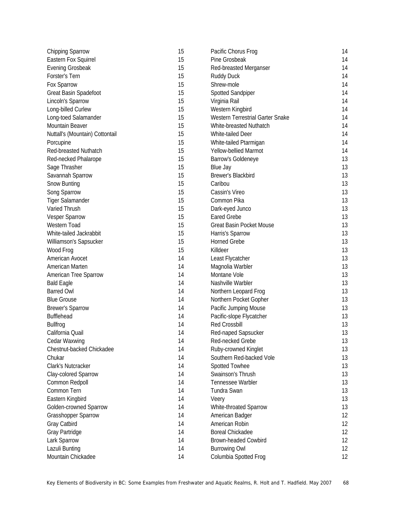| <b>Chipping Sparrow</b>         | 15 | Pacific Chorus Frog              | 14 |
|---------------------------------|----|----------------------------------|----|
| Eastern Fox Squirrel            | 15 | Pine Grosbeak                    | 14 |
| <b>Evening Grosbeak</b>         | 15 | Red-breasted Merganser           | 14 |
| Forster's Tern                  | 15 | <b>Ruddy Duck</b>                | 14 |
| Fox Sparrow                     | 15 | Shrew-mole                       | 14 |
| Great Basin Spadefoot           | 15 | <b>Spotted Sandpiper</b>         | 14 |
| Lincoln's Sparrow               | 15 | Virginia Rail                    | 14 |
| Long-billed Curlew              | 15 | Western Kingbird                 | 14 |
| Long-toed Salamander            | 15 | Western Terrestrial Garter Snake | 14 |
| Mountain Beaver                 | 15 | White-breasted Nuthatch          | 14 |
| Nuttall's (Mountain) Cottontail | 15 | White-tailed Deer                | 14 |
| Porcupine                       | 15 | White-tailed Ptarmigan           | 14 |
| Red-breasted Nuthatch           | 15 | Yellow-bellied Marmot            | 14 |
| Red-necked Phalarope            | 15 | Barrow's Goldeneye               | 13 |
| Sage Thrasher                   | 15 | Blue Jay                         | 13 |
| Savannah Sparrow                | 15 | Brewer's Blackbird               | 13 |
| Snow Bunting                    | 15 | Caribou                          | 13 |
| Song Sparrow                    | 15 | Cassin's Vireo                   | 13 |
| <b>Tiger Salamander</b>         | 15 | Common Pika                      | 13 |
| Varied Thrush                   | 15 | Dark-eyed Junco                  | 13 |
| Vesper Sparrow                  | 15 | <b>Eared Grebe</b>               | 13 |
| Western Toad                    | 15 | <b>Great Basin Pocket Mouse</b>  | 13 |
| White-tailed Jackrabbit         | 15 | Harris's Sparrow                 | 13 |
| Williamson's Sapsucker          | 15 | <b>Horned Grebe</b>              | 13 |
| Wood Frog                       | 15 | Killdeer                         | 13 |
| American Avocet                 | 14 | Least Flycatcher                 | 13 |
| American Marten                 | 14 | Magnolia Warbler                 | 13 |
| American Tree Sparrow           | 14 | Montane Vole                     | 13 |
| <b>Bald Eagle</b>               | 14 | Nashville Warbler                | 13 |
| <b>Barred Owl</b>               | 14 | Northern Leopard Frog            | 13 |
| <b>Blue Grouse</b>              | 14 | Northern Pocket Gopher           | 13 |
| <b>Brewer's Sparrow</b>         | 14 | Pacific Jumping Mouse            | 13 |
| Bufflehead                      | 14 | Pacific-slope Flycatcher         | 13 |
| <b>Bullfrog</b>                 | 14 | <b>Red Crossbill</b>             | 13 |
| California Quail                | 14 | Red-naped Sapsucker              | 13 |
| Cedar Waxwing                   | 14 | Red-necked Grebe                 | 13 |
| Chestnut-backed Chickadee       | 14 | Ruby-crowned Kinglet             | 13 |
| Chukar                          | 14 | Southern Red-backed Vole         | 13 |
| Clark's Nutcracker              | 14 | Spotted Towhee                   | 13 |
| Clay-colored Sparrow            | 14 | Swainson's Thrush                | 13 |
| Common Redpoll                  | 14 | Tennessee Warbler                | 13 |
| Common Tern                     | 14 | Tundra Swan                      | 13 |
| Eastern Kingbird                | 14 | Veery                            | 13 |
| Golden-crowned Sparrow          | 14 | White-throated Sparrow           | 13 |
| <b>Grasshopper Sparrow</b>      | 14 | American Badger                  | 12 |
| Gray Catbird                    | 14 | American Robin                   | 12 |
| Gray Partridge                  | 14 | <b>Boreal Chickadee</b>          | 12 |
| Lark Sparrow                    | 14 | <b>Brown-headed Cowbird</b>      | 12 |
| Lazuli Bunting                  | 14 | <b>Burrowing Owl</b>             | 12 |
| Mountain Chickadee              | 14 | Columbia Spotted Frog            | 12 |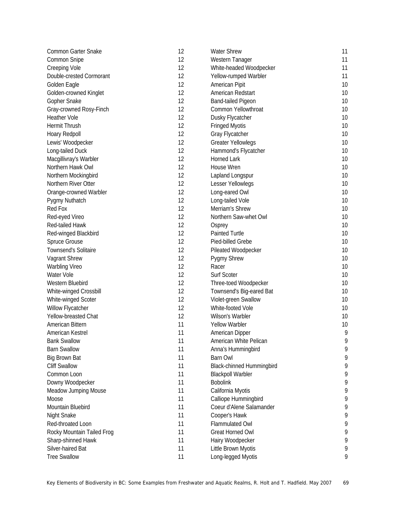| Common Garter Snake         | 12       | <b>Water Shrew</b>                               | 11 |
|-----------------------------|----------|--------------------------------------------------|----|
| Common Snipe                | 12       | Western Tanager                                  | 11 |
| <b>Creeping Vole</b>        | 12       | White-headed Woodpecker                          | 11 |
| Double-crested Cormorant    | 12       | Yellow-rumped Warbler                            | 11 |
| Golden Eagle                | 12       | American Pipit                                   | 10 |
| Golden-crowned Kinglet      | 12       | American Redstart                                | 10 |
| Gopher Snake                | 12       | Band-tailed Pigeon                               | 10 |
| Gray-crowned Rosy-Finch     | 12       | Common Yellowthroat                              | 10 |
| Heather Vole                | 12       | Dusky Flycatcher                                 | 10 |
| Hermit Thrush               | 12       | <b>Fringed Myotis</b>                            | 10 |
| Hoary Redpoll               | 12       | Gray Flycatcher                                  | 10 |
| Lewis' Woodpecker           | 12       | <b>Greater Yellowlegs</b>                        | 10 |
| Long-tailed Duck            | 12       | Hammond's Flycatcher                             | 10 |
| Macgillivray's Warbler      | 12       | Horned Lark                                      | 10 |
| Northern Hawk Owl           | 12       | House Wren                                       | 10 |
| Northern Mockingbird        | 12       | Lapland Longspur                                 | 10 |
| Northern River Otter        | 12       | Lesser Yellowlegs                                | 10 |
| Orange-crowned Warbler      | 12       | Long-eared Owl                                   | 10 |
| Pygmy Nuthatch              | 12       | Long-tailed Vole                                 | 10 |
| Red Fox                     | 12       | Merriam's Shrew                                  | 10 |
| Red-eyed Vireo              | 12       | Northern Saw-whet Owl                            | 10 |
| Red-tailed Hawk             | 12       | Osprey                                           | 10 |
| Red-winged Blackbird        | 12       | Painted Turtle                                   | 10 |
| Spruce Grouse               | 12       | Pied-billed Grebe                                | 10 |
| <b>Townsend's Solitaire</b> | 12       | Pileated Woodpecker                              | 10 |
| Vagrant Shrew               | 12       | <b>Pygmy Shrew</b>                               | 10 |
| <b>Warbling Vireo</b>       | 12       | Racer                                            | 10 |
| Water Vole                  | 12       | Surf Scoter                                      | 10 |
| Western Bluebird            | 12       | Three-toed Woodpecker                            | 10 |
| White-winged Crossbill      | 12       | Townsend's Big-eared Bat                         | 10 |
| White-winged Scoter         | 12       | Violet-green Swallow                             | 10 |
| Willow Flycatcher           | 12       | White-footed Vole                                | 10 |
| Yellow-breasted Chat        | 12       | Wilson's Warbler                                 | 10 |
| American Bittern            | 11       | <b>Yellow Warbler</b>                            | 10 |
| American Kestrel            | 11       | American Dipper                                  | 9  |
| <b>Bank Swallow</b>         | 11       | American White Pelican                           | 9  |
| <b>Barn Swallow</b>         | 11       | Anna's Hummingbird                               | 9  |
| <b>Big Brown Bat</b>        | 11       | <b>Barn Owl</b>                                  | 9  |
| <b>Cliff Swallow</b>        | 11       | <b>Black-chinned Hummingbird</b>                 | 9  |
| Common Loon                 | 11       | <b>Blackpoll Warbler</b>                         | 9  |
| Downy Woodpecker            | 11       | <b>Bobolink</b>                                  | 9  |
|                             | 11       |                                                  | 9  |
| Meadow Jumping Mouse        |          | California Myotis                                |    |
| Moose                       | 11<br>11 | Calliope Hummingbird<br>Coeur d'Alene Salamander | 9  |
| Mountain Bluebird           |          |                                                  | 9  |
| <b>Night Snake</b>          | 11       | Cooper's Hawk                                    | 9  |
| Red-throated Loon           | 11       | Flammulated Owl                                  | 9  |
| Rocky Mountain Tailed Frog  | 11       | <b>Great Horned Owl</b>                          | 9  |
| Sharp-shinned Hawk          | 11       | Hairy Woodpecker                                 | 9  |
| Silver-haired Bat           | 11       | Little Brown Myotis                              | 9  |
| <b>Tree Swallow</b>         | 11       | Long-legged Myotis                               | 9  |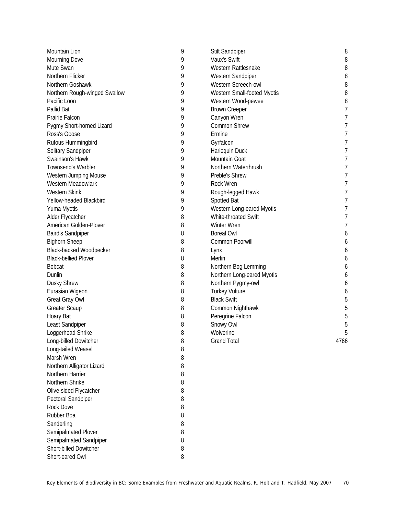| Mountain Lion                 | 9 | <b>Stilt Sandpiper</b>      | 8              |
|-------------------------------|---|-----------------------------|----------------|
| Mourning Dove                 | 9 | Vaux's Swift                | 8              |
| Mute Swan                     | 9 | Western Rattlesnake         | 8              |
| Northern Flicker              | 9 | Western Sandpiper           | 8              |
| Northern Goshawk              | 9 | Western Screech-owl         | 8              |
| Northern Rough-winged Swallow | 9 | Western Small-footed Myotis | 8              |
| Pacific Loon                  | 9 | Western Wood-pewee          | 8              |
| Pallid Bat                    | 9 | <b>Brown Creeper</b>        | 7              |
| Prairie Falcon                | 9 | Canyon Wren                 | 7              |
| Pygmy Short-horned Lizard     | 9 | Common Shrew                | 7              |
| Ross's Goose                  | 9 | Ermine                      | 7              |
| Rufous Hummingbird            | 9 | Gyrfalcon                   | $\overline{7}$ |
| Solitary Sandpiper            | 9 | Harlequin Duck              | 7              |
| Swainson's Hawk               | 9 | Mountain Goat               | 7              |
| Townsend's Warbler            | 9 | Northern Waterthrush        | 7              |
| Western Jumping Mouse         | 9 | Preble's Shrew              | 7              |
| Western Meadowlark            | 9 | Rock Wren                   | 7              |
| Western Skink                 | 9 | Rough-legged Hawk           | 7              |
| Yellow-headed Blackbird       | 9 | Spotted Bat                 | $\overline{7}$ |
| Yuma Myotis                   | 9 | Western Long-eared Myotis   | $\overline{7}$ |
| Alder Flycatcher              | 8 | White-throated Swift        | $\overline{7}$ |
| American Golden-Plover        | 8 | Winter Wren                 | 7              |
| <b>Baird's Sandpiper</b>      | 8 | <b>Boreal Owl</b>           | 6              |
| <b>Bighorn Sheep</b>          | 8 | Common Poorwill             | 6              |
| Black-backed Woodpecker       | 8 |                             |                |
| <b>Black-bellied Plover</b>   |   | Lynx                        | 6              |
|                               | 8 | Merlin                      | 6              |
| <b>Bobcat</b>                 | 8 | Northern Bog Lemming        | 6              |
| Dunlin                        | 8 | Northern Long-eared Myotis  | 6              |
| <b>Dusky Shrew</b>            | 8 | Northern Pygmy-owl          | 6              |
| Eurasian Wigeon               | 8 | <b>Turkey Vulture</b>       | 6              |
| Great Gray Owl                | 8 | <b>Black Swift</b>          | 5              |
| <b>Greater Scaup</b>          | 8 | Common Nighthawk            | 5              |
| Hoary Bat                     | 8 | Peregrine Falcon            | 5              |
| Least Sandpiper               | 8 | Snowy Owl                   | 5              |
| Loggerhead Shrike             | 8 | Wolverine                   | 5              |
| Long-billed Dowitcher         | 8 | <b>Grand Total</b>          | 4766           |
| Long-tailed Weasel            | 8 |                             |                |
| Marsh Wren                    | 8 |                             |                |
| Northern Alligator Lizard     | 8 |                             |                |
| Northern Harrier              | 8 |                             |                |
| Northern Shrike               | 8 |                             |                |
| Olive-sided Flycatcher        | 8 |                             |                |
| Pectoral Sandpiper            | 8 |                             |                |
| Rock Dove                     | 8 |                             |                |
| Rubber Boa                    | 8 |                             |                |
| Sanderling                    | 8 |                             |                |
| Semipalmated Plover           | 8 |                             |                |
| Semipalmated Sandpiper        | 8 |                             |                |
| Short-billed Dowitcher        | 8 |                             |                |
|                               |   |                             |                |

Short-eared Owl 8